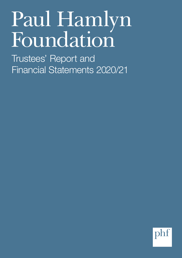# Paul Hamlyn Foundation

Trustees' Report and Financial Statements 2020/21

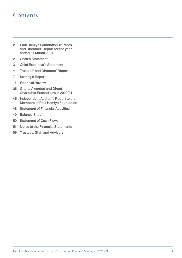# **Contents**

- Paul Hamlyn Foundation Trustees' and Directors' Report for the year ended 31 March 2021
- Chair's Statement
- Chief Executive's Statement
- Trustees' and Directors' Report
- Strategic Report
- Financial Review
- 25 Grants Awarded and Direct Charitable Expenditure in 2020/21
- Independent Auditor's Report to the Members of Paul Hamlyn Foundation
- Statement of Financial Activities
- Balance Sheet
- Statement of Cash Flows
- Notes to the Financial Statements
- Trustees, Staff and Advisors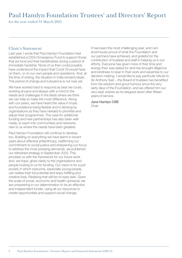# Paul Hamlyn Foundation Trustees' and Directors' Report for the year ended 31 March 2021

#### Chair's Statement

Last year, I wrote that Paul Hamlyn Foundation had established a £20m Emergency Fund to support those that we fund and their beneficiaries during a period of immediate hardship. None of us then could possibly have understood the impact that Covid-19 would have on them, or on our own people and operations. And, at the time of writing, the situation in India remains bleak. This period of change and turbulence is not over yet.

We have worked hard to respond as best we could, working at pace and always with a mind to the needs and challenges in the fields where we think we can help to make the most difference. Along with our peers, we have heard the value in trusts and foundations being flexible and in sticking by organisations as they have needed to prioritise and adjust their programmes. The case for additional funding and new partnerships has also been well made, to reach into communities and networks new to us where the needs have been greatest.

Paul Hamlyn Foundation will continue to develop too. Building on everything we have learnt in recent years about effective philanthropy, reaffirming our commitment to social justice and sharpening our focus to address the most pressing demands, we published our refreshed strategy in September 2020. This provides us with the framework for our future work and, we hope, gives clarity to the organisations and people looking to us for funding. Our vision is for a just society in which everyone, especially young people, can realise their full potential and enjoy fulfilling and creative lives. Realising that will be no easy task. Given the scale of social, economic and health upheaval, we are unwavering in our determination to be an effective and independent funder, using all our resources to create opportunities and support social change.

It has been the most challenging year, and I am enormously proud of what the Foundation and our partners have achieved, and grateful for the contribution of trustees and staff in helping us in our efforts. Everyone has given more of their time and energy than was asked for and has brought diligence and kindness to bear in their work and expertise to our decision making. I would like to pay particular tribute to Sir Anthony Salz – the Board of trustees has benefited from his wisdom and good humour since the very early days of the Foundation, and we offered him our very best wishes as he stepped down after fifteen years of service.

Jane Hamlyn CBE Chair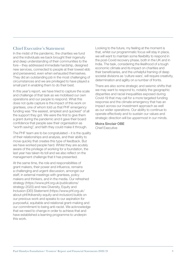#### Chief Executive's Statement

In the midst of the pandemic, the charities we fund and the individuals we back brought their ingenuity and deep understanding of their communities to the fore – they addressed immediate hardship, designed new services, connected to people at their lowest ebb and persevered, even when exhausted themselves. They did an outstanding job in the most challenging of circumstances and we are privileged to have played a small part in enabling them to do their best.

In this year's report, we have tried to capture the scale and challenge of that task as we mobilised our own operations and our people to respond. What this does not quite capture is the impact of this work on grantees, one of whom told us that PHF emergency funding was "the easiest, simplest and quickest" of all the support they got. We were the first to give them a grant during the pandemic and it gave their board confidence that people saw their organisation as "worth saving", and faith they could make it through.

The PHF team are to be congratulated – it is the quality of their relationships and analysis, and their ability to move quickly that creates this type of feedback. But we have worked people hard. Whilst they are acutely aware of the privilege of working for a foundation, the last year has taken its toll and we also reflect on the management challenge that it has presented.

At the same time, the role and responsibilities of grant makers, their power and influence, remains a challenging and urgent discussion, amongst our staff, in external meetings with grantees, policy makers and thinkers, and in the media. Our refreshed strategy (https://www.phf.org.uk/publications/ strategy-2020) and new Diversity, Equity and Inclusion (DEI) Statement (https://www.phf.org.uk/ about-phf/#diversity-equity-and-inclusion) builds on our previous work and speaks to our aspiration for purposeful, equitable and relational grant-making and our commitment to being anti-racist. We acknowledge that we need to change in order to achieve that and have established a learning programme to underpin this work.

Looking to the future, my feeling at the moment is that, whilst our programmatic focus will stay in place, we will want to maintain some flexibility to respond in the post-Covid recovery phase, both in the UK and in India. The task, considering the likelihood of a tough economic climate and its impact on charities and their beneficiaries, and the unhelpful framing of deep societal divisions as 'culture wars', will require creativity, determination and agility on a number of fronts.

There are also some strategic and seismic shifts that we may want to respond to, notably the geographic disparities and racial inequalities exposed during Covid-19 that may call for a more targeted funding response and the climate emergency that has an impact across our investment approach as well as our wider operations. Our ability to continue to operate effectively and to sustain our values and strategic direction will be uppermost in our minds.

Moira Sinclair OBE Chief Executive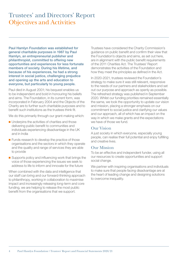# Trustees' and Directors' Report Objectives and Activities

Paul Hamlyn Foundation was established for general charitable purposes in 1987 by Paul Hamlyn, an entrepreneurial publisher and philanthropist, committed to offering new opportunities and experiences for less fortunate members of society. During his lifetime, and because of his experiences, he had a strong interest in social justice, challenging prejudice and opening up the arts and education to everyone, but particularly to young people.

Paul died in August 2001; his bequest enables us to be independent and bold in honouring his beliefs and aims. The Foundation, in its current form, was incorporated in February 2004 and the Objects of the Charity are to further such charitable purposes and to benefit such institutions as the trustees think fit.

We do this primarily through our grant-making which:

- Underpins the activities of charities and those delivering public benefit to communities and individuals experiencing disadvantage in the UK and in India
- Funds research to develop the practice of those organisations and the sectors in which they operate and the quality and range of services they are able to provide
- Supports policy and influencing work that brings the voice of those experiencing the issues we seek to address to life to inform and innovate for the future

When combined with the data and intelligence that our staff can bring and our forward-thinking approach to philanthropy, working in collaboration to maximise impact and increasingly releasing long-term and core funding, we are helping to release the most public benefit from the organisations that we support.

Trustees have considered the Charity Commission's guidance on public benefit and confirm their view that the Foundation's objects and aims, as set out here, are in alignment with the public benefit requirements of the 2011 Charities Act. The Trustees' Report demonstrates the activities of the Foundation and how they meet the principles as defined in the Act.

In 2020-2021, trustees reviewed the Foundation's strategy to make sure it was still relevant, responsive to the needs of our partners and stakeholders and set out our purpose and approach as openly as possible. The refreshed strategy was published in September 2020. Whilst our funding priorities remained essentially the same, we took the opportunity to update our vision and mission, placing a stronger emphasis on our commitment to social justice and clarifying our values and our approach, all of which has an impact on the way in which we make grants and the expectations we have of those we fund.

#### Our Vision

A just society in which everyone, especially young people, can realise their full potential and enjoy fulfilling and creative lives.

#### Our Mission

To be an effective and independent funder, using all our resources to create opportunities and support social change.

We partner with inspiring organisations and individuals to make sure that people facing disadvantage are at the heart of leading change and designing solutions to overcome inequality.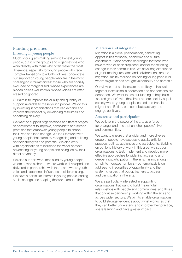#### Funding priorities Investing in young people

Much of our grant-making aims to benefit young people, but it is the groups and organisations who work directly with them who often make the most difference, especially for young people who face complex transitions to adulthood. We concentrate our support on young people who are in the most challenging circumstances: those who are socially excluded or marginalised, whose experiences are hidden or less well known, whose voices are often erased or ignored.

Our aim is to improve the quality and quantity of support available to these young people. We do this by investing in organisations that can expand and improve their impact by developing resources and enhancing delivery.

We want to support organisations at different stages of development to improve, consolidate and spread practices that empower young people to shape their lives and lead change. We look for work with young people that starts by recognising and building on their strengths and potential. We also work with organisations to influence the wider context. advocating for young people and being led by their direct advocacy.

We also support work that is led by young people, where power is shared, where work is developed and delivered in partnership with them, and where youth voice and experience influences decision making. We have a particular interest in young people leading social change and shaping the world around them.

#### Migration and integration

Migration is a global phenomenon, generating opportunities for social, economic and cultural enrichment. It also creates challenges for those who have moved or been displaced, and for those facing change in their communities. We have long experience of grant-making, research and collaborations around migration, mainly focused on helping young people for whom migration has brought vulnerability and hardship.

Our view is that societies are more likely to live well together if exclusion is addressed and connections are deepened. We want to use our funding to help build 'shared ground', with the aim of a more socially equal society where young people, settled and transient, migrant and British, can contribute actively and engage positively.

#### Arts access and participation

We believe in the power of the arts as a force for change, and one that enriches people's lives and communities.

We want to ensure that a wider and more diverse group of people have access to quality artistic practice, both as audiences and participants. Building on our long history of work in this area, we support organisations to test, implement and develop more effective approaches to widening access to and deepening participation in the arts. It is not enough simply to increase numbers – our emphasis is on addressing inequalities of opportunity and the systemic issues that put up barriers to access and participation in the arts.

We are particularly interested in supporting organisations that want to build meaningful relationships with people and communities, and those that prioritise partnership working within the arts and across wider sectors. We aim to enable organisations to build stronger evidence about what works, so that they can better understand and improve their practice, share learning and have greater impact.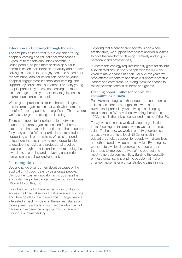#### Education and learning through the arts

The arts play an important role in enriching young people's learning and educational experiences. Exposure to the arts can unlock potential in young people, helping them to develop skills in communication, collaboration, creativity and problem solving. In addition to the enjoyment and enrichment the arts bring, arts education can increase young people's engagement in school and learning, and support key educational outcomes. For many young people, particularly those experiencing the most disadvantage, the only opportunity to gain access to arts education is at school.

Where good practice exists in schools, colleges and the arts organisations that work with them, the benefits for young people are significant. This is where we focus our grant-making and learning.

There is an appetite for collaboration between teachers and arts organisations, and for them to explore and improve their practice and the outcomes for young people. We are particularly interested in supporting such partnerships. We also respond to teachers' interest in having more opportunities to develop their skills and professional practice in teaching through the arts, and in understanding their pivotal role in creating and delivering an arts-rich curriculum and school environment.

#### Nurturing ideas and people

Social change often comes about because of the application of good ideas by passionate people. Our founder was an innovator: in his business life and philanthropy, he backed people with good ideas. We want to do this, too.

Individuals in the UK have limited opportunities to access the financial support that is needed to scope and develop ideas to achieve social change. We are interested in backing ideas at the earliest stages of development, particularly from people who may not have much experience of applying for or receiving funding, but merit backing.

Believing that a healthy civic society is one where artists thrive, we support composers and visual artists to have the freedom to develop creatively and to grow personally and professionally.

A vibrant arts ecology requires not only great artists, but also talented and visionary people with the drive and vision to make change happen. For over ten years we have offered responsive and flexible support to creative leaders and entrepreneurs, giving them the chance to make their mark across art forms and genres.

#### Creating opportunities for people and communities in India

Paul Hamlyn recognised that people and communities in India had inherent strengths that were often overlooked, particularly when living in challenging circumstances. We have been working there since 1992, and it is the only place we fund outside of the UK.

Today, we continue to work with local organisations in India, focusing on the areas where we can add most value. To that end, we work in priority geographical areas, giving grants to local NGOs for health, education, shelter, support for people with disabilities, and other social development activities. By doing so, we hope to give local agencies the resources that they need to improve the lives of the poorest and most vulnerable communities. Building the capacity of these organisations and the people that make change happen is one of our strategic aims in India.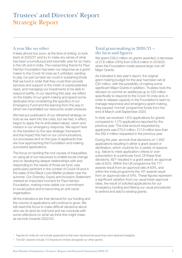# Trustees' and Directors' Report Strategic Report

#### A year like no other

It feels almost too soon, at the time of writing, to look back at 2020/21 and try to make any sense of what has been a tumultuous and traumatic year for so many in the UK and in India. The overarching theme for Paul Hamlyn Foundation has been our response as a grantmaker to the Covid-19 crisis as it unfolded, wanting to play our part as best we could in sustaining those that we fund in order that they could then provide services and support in the midst of unprecedented need, and managing our investments to be able to respond swiftly. In our reporting this year, we reflect on the totality of our grant-making and spend some dedicated time considering the specifics of our Emergency Fund and the learning from the way in which we marshalled our resources under pressure.

We had put publication of our refreshed strategy on hold as we went into the crisis, but we had, in effect, begun to apply the re-articulated values, vision and mission in our emergency response. We report here on the transition to the new strategic framework and the impact this had on our communications, our processes and on the type of applicants that are now approaching the Foundation and making successful applications.

The focus on tackling the root causes of inequalities, on using all of our resources to enable social change and on developing deeper relationships with and responding to the needs of those we fund, was particularly pertinent in the context of Covid-19 and in the wake of the Black Lives Matter protests over the summer. Our Diversity, Equity and Inclusion Statement marked an important moment for Paul Hamlyn Foundation, making more visible our commitment to social justice and to becoming an anti-racist organisation.

All the indications are that demand for our funding and the volume of applications will continue to grow. We will need this focus to make difficult decisions about who we do (and do not) fund and we conclude with some reflections on what we think this might mean as we look towards 2022/23.

#### Total grant-making in 2020/21 – the facts and figures

We spent £39.2 million on grants awarded, a decrease of £7.6 million (16%) from £46.8 million in 2019/20 when the Foundation made several large one-off Major Grants.

As indicated in last year's report, the original grant-making budget for the year had been set at £32 million, with the possibility of making some significant Major Grants in addition. Trustees took the decision to commit an additional up to £20 million specifically to respond to the Covid-19 crisis and, in order to release capacity in the Foundation's team to manage responsive and emergency grant-making, they paused 'normal' programme funds from the end of March until September 2020.

In total, we received 1,812 applications for grants compared to 1,173 applications reported for the previous year. The total amount requested by applicants was £70.5 million, £11.9 million less than the £82.4 million requested in the previous year.

During the year, we took final decisions on 1,4931 applications resulting in either a grant award or declination, which could be for a variety of reasons e.g.: failure to meet application criteria or over subscription to a particular fund. Of these final decisions, 921<sup>2</sup> resulted in a grant award: an approval rate of 62%. Within the UK programme the 771 awards result from an approval rate of 63%, and within the India programme the 147 awards result from an approval rate of 54%. These figures represent a significant variation from our usual lower approval rates, the result of solicited applications for our emergency funding and flexing our usual procedures to extend and add to existing grants.

The 921 awards include 113 Awards for Artists alongside our other grants.

<sup>1</sup> Figures for India do not include applications that were declined because they were deemed ineligible.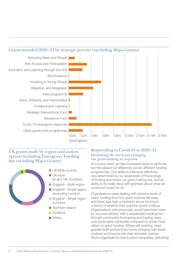

#### UK grants made by region and nation (grants including Emergency Funding but excluding Major Grants)



UK-wide **UK Multi-country** 

- (in all 4 UK countries)
- **England Multi-region**
- **England Single region** (excluding London)
- **England Single region** (London)
- **Northern Ireland**
- **Scotland**
- **Nales**

#### Responding to Covid-19 in 2020/21 Identifying the need and changing our grant-making in response

At a macro level, we saw increased need on all fronts, but this played out differently across different funding programmes. Our ability to intervene effectively was determined by our awareness of the ecology of funding and where our grant-making sits, and an ability to be really clear with grantees about what we could and could not do.

Organisations were dealing with extreme levels of need, funding from non-grant sources fell away, and there was high uncertainty about the future in terms of whether their practice could continue. Organisations who previously would have been seen as 'success stories' with a sustainable funding mix, through community fundraising and trading, were now particularly vulnerable compared to those more reliant on grant funding. Where still working, most grantee staff worked from home, bringing high levels of stress and trauma into their domestic spaces. Some organisations had to pivot completely, delivering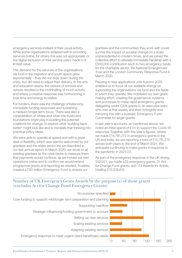emergency services instead of their usual activity. While some organisations adapted well to providing services online, for others this was not appropriate, or the digital exclusion of their service users made it of limited value.

The demand for the services of the organisations we fund in the migration and youth space grew exponentially – they did not slow down during the crisis, but did need to adjust their delivery. In the arts and education space, the closure of schools and venues resulted in the mothballing of much activity, and where a creative response was forthcoming, it took time and energy to realise.

For funders, there was the challenge of balancing immediate funding responses and sustaining a medium/longer term focus. There was also a consideration of where and what role trusts and foundations might play in building the potential coalitions for change, to explore what 'building back better' might look like and to translate that thinking into practical policy ideas.

We were able to operate at speed and with a great deal of flexibility, which was warmly welcomed by our grantees and the wider sector. As we described in our last annual report, in March 2020, we wrote to all existing grantees as the crisis broke to reassure them that payments would continue, as we moved our own operations online and to confirm we would extend programme grants and reporting as needed. Trustees created a £20 million Emergency Fund to ensure our

grantees and the communities they work with could survive the impact of societal change on a scale unprecedented in modern times, and we joined the collective effort to alleviate immediate hardship with a £500,000 contribution each to two emergency funds for the charitable sector, the National Emergencies Trust and the London Community Response Fund in March 2020.

Pausing to new applications until Autumn 2020 enabled us to focus all our available energy on supporting the organisations we fund and the fields in which they operate. We mobilised our own grantmaking effort, creating the governance, systems and processes to make rapid emergency grants, delegating under £20k grants to an executive team who met at first weekly and then fortnightly and mirroring this with a trustees' Emergency Fund Committee for larger grants.

In last year's accounts, as mentioned above, we noted an initial spend of £1m to support the Covid-19 response. Together with this year's figures, where we made £14,791,272 in emergency grants in the UK and India, we are reporting a total of £15,791,272 across both years to the end of March 2021. We anticipate continuing to make grants in response to the pandemic in 2021/22.

As part of the emergency response in the UK during 2020/21, we made 433 emergency grants, 31 Act for Change Fund grants, and 113 Awards for Artists, totalling £13,318,815.

#### Number of UK Emergency Grant Awards by the purpose(s) of those grants (excludes Act for Change Fund Emergency Grants)

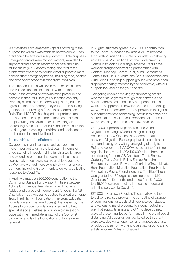We classified each emergency grant according to the purpose for which it was made as shown above. Each grant could be awarded in support of multiple purposes. Emergency grants were most commonly awarded to support grantee organisations to prepare and plan for the future (42%); approximately one third of the grants were awarded to include direct support to meet beneficiaries' emergency needs, including food, phones and data packages to minimise digital exclusion.

The situation in India was even more critical at times, and trustees kept in close touch with our team there. In the context of overwhelming pressure and conscious that Paul Hamlyn Foundation can only ever play a small part in a complex picture, trustees agreed to focus our emergency support on existing grantees. Establishing a £1.5m India Committee Relief Fund (ICRRF), has helped our partners reach out, connect and help some of the most distressed people during the Covid-19 crisis, working on addressing issues of under-nutrition and malnutrition; the dangers presenting to children and adolescents not in education; and livelihoods.

#### Partnerships and collaborations

Collaborations and partnerships have been much more important to us in the last year – in terms of understanding impact; making funding work harder and extending our reach into communities and at scales that, on our own, we are unable to operate at. We have worked more extensively with a range of partners, including Government, to deliver a collective response to Covid-19.

In April, we made a £300,000 contribution to the Community Justice Fund – a joint initiative between Advice UK, Law Centres Network and Citizens Advice and a group of independent funders (the AB Charitable Trust, Access to Justice Foundation, Indigo Trust, Paul Hamlyn Foundation, The Legal Education Foundation and Therium Access). It is hosted by The Access to Justice Foundation and aimed to help specialist social welfare legal advice organisations cope with the immediate impact of the Covid-19 pandemic and lay the foundations for longer-term renewal.

In August, trustees agreed a £500,000 contribution to the Pears Foundation towards a £11 million total fund, with £5 million from Pears Foundation delivering an additional £5.5 million from the Government's Community Match Challenge scheme. Pears have worked through their existing partnerships with Contact, Mencap, Carers Trust, Mind, Samaritans, Home-Start UK, UK Youth, the Scout Association and Girlguiding UK to help support groups who have been disproportionately affected by the pandemic, with our support focused on the youth sector.

Delegating decision making by supporting others who then make grants through their networks and constituencies has been a key component of this work. This approach is new for us, and is something we will want to consider more, especially in the light of our commitment to addressing inequalities better and ensure that those with lived experience of the issues we are seeking to address can have a voice.

£400,000 supported a partnership between Migration Exchange (Global Dialogue), Refugee Action and NACCOM (the 'No Accommodation' network). Migration Exchange played a coordination and fundraising role, with grants going directly to Refugee Action and NACCOM to regrant to front line organisations. A total of £2,137,000 raised from ten contributing funders (AB Charitable Trust, Barrow Cadbury Trust, Comic Relief, Esmée Fairbairn Foundation, Joseph Rowntree Charitable Trust, Lloyds Bank Foundation, Migration Foundation, Paul Hamlyn Foundation, Rayne Foundation, and The Blue Thread) was granted to 130 organisations across the UK. Grants are for 12 months and range from £10,000 to £45,000 towards meeting immediate needs and adapting services to Covid-19.

£70,000 to Camden People's Theatre allowed them to deliver a revised programme consisting of a range of commissions for artists at different career stages, and various forms of presentation, constructed in a way that supports artists and CPT to develop new ways of presenting live performance in the era of social distancing. All opportunities facilitated by this grant were awarded via an open call and targeted at artists of colour, those from working-class backgrounds, and artists who are D/deaf or disabled.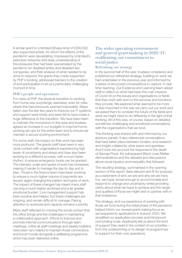A similar grant to Unlimited (Shape Arts) of £200,000 also supported artists, for whom the effects of the pandemic were devastating. Impressed by Unlimited's extensive networks and deep understanding of the pressures that had been exacerbated by the pandemic for disabled artists and disabled-led companies, and their analysis of what needed to be done to respond, the grants they made supported by PHF's funding, addressed barriers to the creation of and participation in art at a particularly challenging moment in time.

#### PHF's people and operations

For many at PHF, the physical transition to working from home was surprisingly seamless, even for roles where this had previously seemed impossible. Steps taken over the last few years to improve our IT systems and support were timely and were felt to have made a huge difference to this transition. We have been keen to maintain the momentum in this area and trustees agreed an increase in our budgets to improve homeworking set-ups for the entire team and to ensure we maintain a secure working environment.

For some staff, the impact on their work has been more profound. The grants staff have been in very close contact with organisations experiencing high levels of uncertainty and stress and have also been working to a different process, with a much faster rhythm, to ensure emergency funds can be granted. The intensity, scale and speed of work has increased, making it harder to manage the day-to-day and to plan. Those in the finance team have been working to ensure a much higher volume of payments are issued, again changing the pattern and types of work. The impact of these changes has meant many staff carrying a much higher workload and a far greater emotional burden. Line management support has been positive and helpful, but these challenges are ongoing, and remain difficult to manage. Paying attention to workload and capacity remains a priority.

Many staff reflected on missing the social contact that the office brings and the challenges in maintaining a collaborative approach. Efforts to improve and promote internal communications through team meetings, online all-staff meetings and weekly bulletins have been very helpful to maintain those connections and boost morale alongside a wellbeing programme which has been delivered online.

#### The wider operating environment and general grant-making in 2020/21: reaffirming our commitment to social justice

#### Refreshing our strategy

In the second half of the year, trustees considered and published our refreshed strategy, building on work we had undertaken in the previous year and informed by a series of structured conversations to capture 'in real time' learning. Our Evidence and Learning team asked staff to reflect on what had been the main impacts of Covid-19 on the issues and organisations or fields that they work with and on the services and functions they provide. We explored what seemed to be more or less important in the way we carry out our work and we asked them to consider the future of the fields and what we might need to do differently in the light of that thinking. All of this was, of course, based on detailed, sometimes challenging and emotional conversations with the organisations that we fund.

This thinking was shared with and informed by our advisory panels. It also referenced conversations that have taken place between funders, and research and insight collated by other peers and grantees. And it took into account the response to the death of George Floyd, the subsequent Black Lives Matter demonstrations and the debates and discussions about racial injustice and inequality that followed.

The resulting strategy, summarised in the opening section of this report, feels relevant and fit for purpose, as a statement of who we are and why we are here. It is, we hope, broad enough to accommodate and respond to change and uncertainty whilst providing clarity about what we hope to achieve and the range and qualities of those we might wish to partner with in that endeavour.

The strategy, and our experience of working with those we fund during the initial phase of the pandemic helped inform our revised grant-making focus as we reopened to applications in Autumn 2020. We simplified our application process and introduced one funding route. Applicants tell us about the kind of support they need in the context of our priorities – from the underpinning or re-design of programmes to support for their core operations.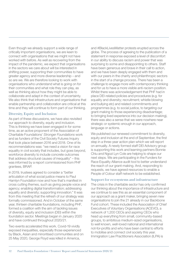Even though we already support a wide range of critically important organisations, we are keen to connect with organisations that we might not have worked with before. As well as recovering from the impact of the pandemic, we expect that organisations in the sectors we care about will be interested in shifting power, supporting their communities to have greater agency and more diverse leadership – and so are we. We are therefore looking to work with organisations who understand what is going on for their communities and what role they can play, as well as thinking about how they might be able to collaborate and adapt in the context of uncertainty. We also think that infrastructure and organisations that enable partnership and collaboration are critical at this time and they will continue to form part of our thinking.

#### Diversity, Equity and Inclusion

As part of these discussions, we have also revisited our approach to diversity, equity and inclusion. This is thinking we have been engaged in for some time, as an active proponent of the Association of Charitable Foundations' *Stronger Foundations* work and as funders of the Civil Society Futures Inquiry that took place between 2016 and 2018. One of its recommendations was: "we need a vision for race equality in civil society that includes, but goes beyond, workforce diversity to include concrete outcomes that address structural causes of inequality" – this was informed by a report commissioned from PHF grantees, BRAP.

In 2019, trustees agreed to consider a "better articulation of what social justice means to Paul Hamlyn Foundation now and how that's manifest in cross cutting themes, such as giving people voice and agency; enabling digital transformation; addressing equality and diversity; supporting innovation." It was from this meeting that the refresh of our strategy was formally commissioned. And in October of the same year, thirteen charitable foundations, including PHF, formed a coalition with the aim of tackling issues of diversity, equity and inclusion (DEI) within the foundation sector. Meetings began in January 2020 and have continued throughout 2020/21.

Two events accelerated this work. Covid-19 vividly exposed inequalities, especially those experienced by Black, Asian and minoritised communities and on 25 May 2020, George Floyd was killed in America,

and #BlackLivesMatter protests erupted across the globe. The process of agreeing to the publication of a statement in response exposed a level of discomfort in our ability to discuss racism and power that was surprising to some and disappointing to others. Staff have been generous and brave in their call to action, and we have been deeply engaged with them and with our peers in the charity and philanthropic sectors in the start of a change process. There has been a challenge to engage more with contemporary thinking and for us to have a more visible anti-racism position. Whilst there was acknowledgement that PHF had in place DEI-related policies and procedures (e.g. for equality and diversity; recruitment; whistle blowing and bullying etc) and related commitments and programmes (e.g. to social justice, to targeting our grant-making to those experiencing disadvantage; to bringing lived experience into our decision making), there was also a sense that we were nowhere near strategic or systemic enough in our approach, language or actions.

We published our renewed commitment to diversity, equity and inclusion at the end of September, the first step in a three-year action plan which we will report on annually. A newly formed staff DEI Advisory group is supporting this work and learning partners Bonnie Chiu and Ngozi Lyn Cole are helping to shape our next steps. We are participating in the Funders for Race Equality Alliance audit tool to better understand the reach of our grant-making. And, responding to requests, we have agreed resources to enable a People of Colour staff network to be established.

#### Support for eco-systems and infrastructure

The crisis in the charitable sector has only confirmed our thinking about the importance of infrastructure and we continue to see this as an essential component of our approach as a grant maker, bringing seven new organisations to join the 21 already in our Backbone Fund cohort. These included the Association of Chief Executives of Voluntary Organisations (ACEVO), a network of 1,200 CEOs and aspiring CEOs who head up everything from small, community-based groups, to ambitious medium-sized organisations, to well known, well-loved national and international not-for-profits and who have been central to efforts to mobilise and connect civil society this year. Immigration Law Practitioners Association (ILPA) is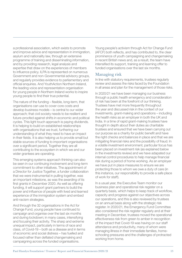a professional association, which exists to promote and improve advice and representation in immigration, asylum and nationality law, through an extensive programme of training and disseminating information, and by providing research, legal analysis and expertise that draw on the experiences of members to influence policy. ILPA is represented on numerous Government and non-Governmental advisory groups, and regularly provides evidence to parliamentary and official enquiries. And YouthAction Northern Ireland, the leading voice and representation organisation for young people in Northern Ireland works to inspire young people to find their true potential.

The nature of the funding – flexible, long-term, that organisations can use to cover core costs and develop business models – is central to our wider approach; that civil society needs to be resilient and future-proofed against shifts in economic and political cycles. This light touch approach is paying dividends. It is helping to build on established relationships with organisations that we trust, furthering our understanding of what they need to have an impact in their fields. It is also helping us to provide small but stable sources of funding to important organisations over a significant period. Together they are all contributing to the ecosystem in which we and our wider grantees are operating.

This emerging systems approach thinking can also be seen in our continuing involvement and long-term commitment to other initiatives. The appointment of a Director for Justice Together, a funder collaboration that we were instrumental in pulling together, was an important milestone, as was the awarding of its first grants in December 2020. As well as offering funding, it will support grant partners to build the power and influence of people with lived and learned experience of the immigration system and embed anti-racism strategies.

And through the 32 organisations in the Act for Change Fund, young people have continued to campaign and organise over the last six months and during lockdown; in many cases, intensifying and focusing their activity. The sharp and extreme unequal impact, particularly in terms of race and class, of Covid-19 – both as a disease and in terms of economic and social distress – has fuelled and focused rather than deflated changemaking and campaigning across the funded organisations.

Young people's activism through Act for Change Fund (AFCF) both reflects, and has contributed to, the clear prominence of youth campaigning and changemaking in recent British news and, as a result, the team have intensified its support, training and learning offer to funded organisations over the last six months.

#### Managing risk

In line with statutory requirements, trustees regularly review and assess the risks faced by the Foundation in all areas and plan for the management of those risks.

In 2020/21 we have been managing our business through a public health emergency and consideration of risk has been at the forefront of our thinking. Trustees have met more frequently throughout the year and discussed risk in the context of our investments, grant-making and operations – including the health risks as an employer in both the UK and India. In a time of rapid grant-making trustees have thought in depth about their duties as charitable trustees and ensured that we have been carrying out our purpose as a charity for public benefit and have the right checks and balances in place and that we are mitigating financial risks and the possibility of fraud. In a volatile investment environment, particular focus has been placed on investment risk (as explained below in the investments review) and we have adapated our internal control procedures to help manage financial risk during a period of home working. As an employer we have put in place measures to ensure we are protecting those to whom we owe a duty of care (in this instance, our responsibility to provide a safe place of work for staff).

In a usual year, the Executive Team monitor our business plan and operational risk register on a quarterly basis, which helps to keep track of workflow, capacity and progress against our objectives across our operations, and this is also reviewed by trustees on an annual basis along with the strategic risk register. In 2020/21, the Emergency Fund Committee also considered the risk register regularly and at their meeting in December, trustees moved the operational effectiveness risk from green to amber in recognition of the impact that Covid-19 was having on our staff attendance and productivity, many of whom were managing illness in their immediate families, homeschooling pressures and the challenges of protracted working from home.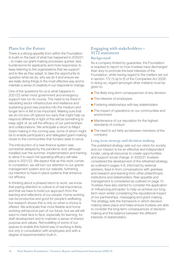#### Plans for the Future

There is a strong appetite from within the Foundation to build on the best of what has happened in 2020/21 – to make our grant-making processes quicker, less burdensome for applicants and more responsive; to keep listening to the organisations that we support and to flex as they adapt; to take the opportunity to question what we do, why we do it and ensure we are really doing things in the most effective way and to maintain a sense of creativity in our response to change.

One of the questions for us is what happens in 2021/22 when most government and emergency support has run its course. The need to be there in rebuilding sector infrastructure and resilience and sustaining good new practice into the medium and longer term is felt to be important. Making sure that we do not box-off options too early that might help us respond differently in light of this will be something to keep sight of, as will the efficacy of our partnerships and collaborations. We anticipate a return to Major Grant making in the coming year, some of which might be to enable participatory and delegated grant-making closer to the communities that funders seek to serve.

The introduction of a new finance system was somewhat delayed by the pandemic and, although installed over the summer, implementation and training to allow it to reach full operating efficacy will take place in 2021/22. We expect that as this work comes to completion, we will turn our attention to our grants management system and our website, furthering our intention to have in place systems that enhance our efficacy.

In thinking about a phased return to work, we know that paying attention to culture is of real importance, and that we have to build our approach from the learning and reflections of our people. Home working can be productive and good for people's wellbeing, but research shows this is only so when a choice is offered. We anticipate that more flexible and home working will become part of our future, but we will still want to meet face to face, especially for learning, for staff development and to maintain a sense of shared purpose and values. Remodelling of some of our spaces to enable this hybrid way of working is likely, but only in consultation with employees and with a degree of experimentation built in.

## Engaging with stakeholders – S172 statement

#### Background

As a company limited by guarantee, the Foundation is required to report on how trustees have discharged their duty to promote the best interests of the Foundation, while having regard to the matters set out in section 172 (1) (a) to (f) of the Companies Act 2006. In doing so, regard (amongst other matters) must be given to:

- The likely long-term consequences of any decision
- The interests of employees
- Fostering relationships with key stakeholders
- The impact of operations on our communities and environment
- Maintenance of our reputation for the highest standards of conduct
- The need to act fairly as between members of the company

#### Long term strategy and decision making

The published strategy sets out our vision for society and our mission to be an effective and independent funder, using all resources to create opportunities and support social change. In 2020/21 trustees considered the development of the refreshed strategy, as outlined in pages 4-6, informed by external advisers, feed-in from conversations with grantees and research and learning from other philanthropic institutions and stakeholders. Risk appetite and management is considered as outlined on page 13. Trustees have also started to consider the application of 'influencing principles' to help us achieve our longterm vison whilst considering the reputational impact of our partnerships, messaging and grant-making. The strategy sets the framework in which decision making takes place and helps ensure trustees are able to consider the long-term consequences of decision making and the balance between the different interests of stakeholders.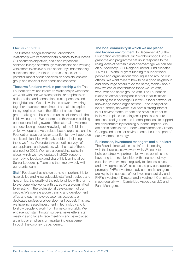#### Our stakeholders

The trustees recognise that the Foundation's relationship with its stakeholders is critical to its success. Our charitable objectives, scale and impact are achieved in large part through relationships and working with others to achieve public benefit. By understanding our stakeholders, trustees are able to consider the potential impact of our decisions on each stakeholder group and consider their needs and concerns.

Those we fund and work in partnership with: The Foundation's values inform its relationships with those we work with and we place particular emphasis on collaboration and connection, trust, openness and thoughtfulness. We believe in the power of working together to achieve more impact and aim to exploit the synergies between the different areas of our grant-making and build communities of interest in the fields we support. We understand the value in building connections, being aware of the external environment and developing a deep knowledge of the fields in which we operate. As a values-based organisation, the Foundation pays particular attention to how it operates and its relationships with stakeholders, including those we fund. We undertake periodic surveys of our applicants and grantees, with the next of these planned for 2022. We have a complaints policy in place, which we have updated in 2020, respond promptly to feedback and share this learning at our Senior Leadership Team and then more widely with our grants team.

Staff: Feedback has shown us how important it is to have skilled and knowledgeable staff and trustees and how critical the quality of the relationships with them is to everyone who works with us, so we are committed to investing in the professional development of our people. We operate a core training and development offer, and each employee also has access to a dedicated professional development budget. This year we have increased investment in technology and kit to allow people to work from home comfortably. We engage with staff through surveys, newsletters, staff meetings and face to face meetings and have placed a particular emphasis on maintaining engagement through the coronavirus pandemic.

#### The local community in which we are placed

and broader environment: In December 2018, the Foundation established Our Neighbourhood Fund – a grant-making programme set up in response to the rising levels of hardship and disadvantage we can see on our doorstep. Our Neighbourhood Fund allocates 1% of PHF's annual grant funding to support local people and organisations working in and around our offices. We want to learn how to be a good neighbour and encourage others to do the same, to think about how we can all contribute to those we live with, work with and share ground with. The Foundation is also an active participant in other local initiatives including the Knowledge Quarter – a local network of knowledge-based organisations – and local police/ local authority networks. We have a strong interest in our environmental impact and have a number of initiatives in place including solar panels, a naturefocussed roof garden and internal practices to support the environment by reducing our consumption. We are participants in the Funder Commitment on Climate Change and consider environmental issues as part of our investment strategy.

#### Businesses, investment managers and suppliers:

The Foundation's values also inform its dealing with the businesses we work with. We seek to build constructive partnerships where possible and have long term relationships with a number of key suppliers who we meet regularly to discuss issues and developments. We also seek to pay our suppliers promptly. PHF's investment advisors and managers are key to the success of our investment activity and PHF's Investment Director and Investment Committee meet regularly with Cambridge Associates LLC and Fund Managers.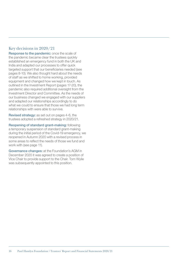#### Key decisions in 2020/21

Response to the pandemic: once the scale of the pandemic became clear the trustees quickly established an emergency fund in both the UK and India and adapted our processes to offer quick targeted support that our beneficiaries needed (see pages 8-10). We also thought hard about the needs of staff as we shifted to home working, provided equipment and changed how we kept in touch. As outlined in the Investment Report (pages 17-20), the pandemic also required additional oversight from the Investment Director and Committee. As the needs of our business changed we engaged with our suppliers and adapted our relationships accordingly to do what we could to ensure that those we had long term relationships with were able to survive.

Revised strategy: as set out on pages 4-6, the trustees adopted a refreshed strategy in 2020/21.

Reopening of standard grant-making: following a temporary suspension of standard grant-making during the initial period of the Covid-19 emergency, we reopened in Autumn 2020 with a revised process in some areas to reflect the needs of those we fund and work with (see page 11).

Governance changes: at the Foundation's AGM in December 2020 it was agreed to create a position of Vice Chair to provide support to the Chair. Tom Wylie was subsequently appointed to this position.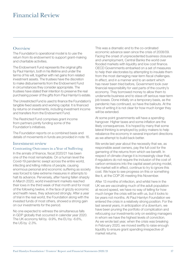# Financial Review

#### **Overview**

The Foundation's operational model is to use the return from its endowment to support grant-making and charitable activities.

The Endowment Fund represents the original gifts by Paul Hamlyn, both in his lifetime and under the terms of his will, together with net gains from related investment assets. The trustees have the discretion to make disbursements from the Endowment Fund in circumstances they consider appropriate. The trustees have stated their intention to preserve the real purchasing power of the gifts from Paul Hamlyn's estate.

The Unrestricted Fund is used to finance the Foundation's tangible fixed assets and working capital. It is financed by returns on investments, including investment income and transfers from the Endowment Fund.

The Restricted Fund comprises grant income from partners jointly funding some of the Foundation's initiatives.

The Foundation reports on a combined basis and details of movements in funds are provided in note 16.

#### Investment review

#### Contrasting Outcomes in a Year of Suffering

In the annals of finance, fiscal 2020/21 has been one of the most remarkable. On a human level the Covid-19 pandemic swept across the entire world, infecting and killing millions of people, causing enormous personal and economic suffering as society was forced to take extreme measures in attempts to halt its advance. Perversely, after having fallen sharply in March 2020, world investment markets reached their lows in the third week of that month and for most of the following twelve, in the face of grizzly economic and health news, they advanced strongly. After a year of trial in the real world, the Foundation along with the invested funds of most others, showed a strong gain on our investments for the period.

No one expected to witness the simultaneous falls in GDP globally that occurred in calendar year 2020. The UK economy fell by -9.9%, the EU by -6.6%, the US by -2.3%.

This was a dramatic end to the co-ordinated economic advance seen since the crisis of 2008/09. Facing the onset of unprecedented business closures and unemployment, Central Banks the world over flooded markets with liquidity and low cost finance. OECD Governments embarked on a set of measures to help their electorates by attempting to insulate them from the most damaging near-term fiscal challenges. In effect, and in a manner and to an extent which has never been tried before, Government took over financial responsibility for vast parts of the country's economy. They borrowed money to allow them to underwrite business and to stave off serious near-term job losses. Done initially on a temporary basis, as the pandemic has continued, so have the bailouts. At the time of writing it is not clear for how much longer they will be extended.

At some point governments will have a spending hangover. Higher taxes and some inflation are the likely consequences. It is hoped by many that some lateral thinking is employed by policy makers to help rebalance the economy in several important directions as we attempt to build back better.

We wrote last year about the necessity that we, as responsible asset owners, pay the full cost for the garnering of the returns from which we benefit. In respect of climate change it is increasingly clear that, if regulators do not require the inclusion of the cost of carbon emissions into the capital asset pricing model, the market will in effect, continue to try to ignore this cost. We hope to see progress on this or something like it, at the COP 26 meeting this November.

After 13 months of infection, and whilst here in the UK we are vaccinating much of the adult population at record speed, we have no way of telling for how much longer the crisis will be with us, but it looks to be years not months. At Paul Hamlyn Foundation we entered the crisis in a relatively strong position. For the last several years, in anticipation of a downturn, we have been pruning the portfolio of complication and refocusing our investments only on existing managers in whom we have the highest levels of conviction. As we wrote last year, when the crisis was breaking in February 2020, we moved swiftly to raise enough liquidity to ensure grant spending irrespective of market returns.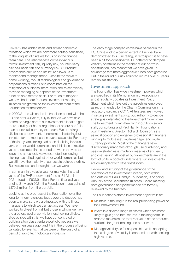Covid-19 has added itself, and similar pandemic threats to which we are now more acutely sensitised, to the long list of risks we focus on in the finance team here. The risks we face come in various forms: investment risk, liquidity risk, counter-party risk, valuation risk and currency risk. Our robust governance culture and structure allows us to monitor and manage these. Despite the move to home working, robust technological and governance preparations allowed us to coordinate on the mitigation of business interruption and to seamlessly move to managing all aspects of the investment function on a remote basis. For much of the year we have had more frequent investment meetings. Trustees are grateful to the investment team at the Foundation for their efforts.

In 2020/21 the UK ended its transition period with the EU and after 40 years, fully exited. As we have said before no single part of our investment allocation gets more scrutiny, or has a larger impact on our portfolio than our overall currency exposure. We are a large UK-based endowment, denominated in sterling but invested for the most part in overseas assets. For many of the last years sterling had been declining in value versus other world currencies, and this loss of relative value accelerated in the period between the vote to leave and actual exit. As we expected, on leaving sterling has rallied against other world currencies but we still have the majority of our assets outside sterling. But we are less underweight than we were.

In summary in a volatile year for markets, the total value of the PHF endowment fund at 31 March 2021 stood at £937.9 million. For the financial year ending 31 March 2021, the Foundation made gains of £179.2 million from the portfolio.

Looking at the progress of the Foundation over the long-term, our relentless focus over the decade has been to make sure we are invested with the finest managers to which we can get access. We have worked to divest from all but those in whom we have the greatest level of conviction, eschewing all else. Side by side with this, we have concentrated on building a top class venture portfolio because we believed ten years ago, and it is in the process of being validated by events, that we were on the cusp of a period of rapid technological innovation.

The early stage companies we have backed in the US, China and to a certain extent in Europe, have demonstrated this. Our failing, in retrospect, is to have been a bit too conservative. Our attempt to dampen volatility of returns in the manner of our portfolio construction, has meant that we have given up advantage that more aggressive funds have garnered. But in the round our risk adjusted returns over 10 years remain satisfactory.

#### Investment approach

The Foundation has wide investment powers which are specified in its Memorandum of Association, and it regularly updates its Investment Policy Statement which lays out the guidelines employed, as recommended by the Charity Commission in its regulatory guidance CC14. All trustees are involved in setting investment policy, but authority to decide strategy is delegated to the Investment Committee. The Investment Committee, with input from senior staff, consultants and Paul Hamlyn Foundation's own Investment Director Richard Robinson, sets asset allocation and engages professional managers running its multi-asset, multi-manager and multicurrency portfolio. Most of the managers have discretionary mandates although use of advisory and passive strategies is made for reasons of efficiency and cost saving. Almost all our investments are in the form of units in pooled funds where our investments are co-mingled with other institutions.

Review and scrutiny of the governance of the operation of the investment function, both within and outside of Paul Hamlyn Foundation, is ongoing. Annually at the September Trustees' Board meeting both governance and performance are formally reviewed by the trustees.

The Foundation's stated investment objective is to:

- Maintain in the long run the real purchasing power of the Endowment fund.
- Invest in a diverse range of assets which are most likely to give good total returns in the long term, in order to maximise the total real value of the amounts available for grant-making and other work.
- Manage volatility as far as possible, while accepting that a degree of volatility is concomitant with seeking high returns.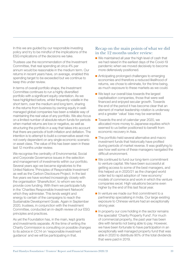In this we are guided by our responsible investing policy and try to be mindful of the implications of the ESG implications of the decisions we take.

Trustees use the recommendation of the Investment Committee, that real spending at circa 4% per annum would be reasonable in the medium term. Our returns in recent years have, on average, enabled this spending target to be exceeded but we continue to keep this under review.

In terms of overall portfolio shape, the Investment Committee continues to run a highly diversified portfolio with a significant equity orientation. As we have highlighted before, whilst frequently volatile in the short term, over the medium and long term, sharing in the returns from business by owning equity in wellmanaged global companies has been a reliable way of maintaining the real value of any portfolio. We also focus on a limited number of absolute return funds for periods when market returns are low or negative, as well as structuring the portfolio in a way that takes into account that there are periods of both inflation and deflation. The intention is to attempt to build a conservative asset mix not overly dependent on any single economic scenario or asset class. The value of this has been seen in these last 12 months under review.

We recognise the centrality of Environmental, Social and Corporate Governance issues in the selection and management of investments within our portfolio. Several years ago we became signatories to the United Nations 'Principles of Responsible Investment' as well as the Carbon Disclosure Project. In the last five years we have worked increasingly closely with the organisation 'ShareAction', to whom we now provide core funding. With them we participate fully in the 'Charities Responsible Investment Network' which they administer. This lends weight and energy to certain of the campaigns to reach the Sustainable Development Goals. Again in September 2020, trustees, in conjunction with the Investment Committee, conducted an in-depth review of our ESG principles and practices.

As yet the Foundation has, in the main, kept grants and investments separate. At the time of writing the Charity Commission is consulting on possible changes to its advice in CC14 on 'responsible investment guidance' and we will be participating in that.

#### Recap on the main points of what we did in the 12 months under review:

- We maintained all year the high level of cash that we had raised in the earliest days of the Covid-19 pandemic when we moved decisively to become more defensively positioned.
- Anticipating prolonged challenges to emerging economies and therefore a reduced likelihood of returns, we chose to eliminate, for the time being, as much exposure to these markets as we could.
- We kept our overall bias towards the largest capitalisation companies, those that were well financed and enjoyed secular growth. Towards the end of the period it has become clear that an element of market leadership rotation is underway and a greater 'value' bias may be warranted.
- Towards the end of calendar year 2020, we allocated more money to Japanese equities which seemed to us better positioned to benefit from economic recovery in Asia.
- The portfolio held several alternative and macro investment funds that historically have profited during periods of market reverse. It was gratifying to see how well some of these managers navigated the difficult environment.
- We continued to fund our long-term commitment to venture capital. We have been successful at getting access to some of the best managers, and this helped us in 2020/21 as the changed world order led to rapid adoption of 'new economy' models of commerce and work in which the venture companies excel. High valuations became even higher by the end of this last fiscal year.
- In venture we made our first commitment to a partnership specialising in India. Our large existing exposure to Chinese venture had an exceptionally strong year.
- In property our core holding in the sector remains the specialist 'Charity Property Fund'. For much of commercial property, the past year has been dire with tenants not being able to pay. However, we have been fortunate to have participation in an exceptionally well managed property fund that was able in 2020 to distribute 90% of the total dividends that were paid in 2019.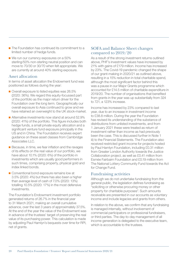- The Foundation has continued its commitment to a limited number of hedge funds.
- We run our currency exposures on a 50% sterling/50% non-sterling neutral position and can move to 70/30 or 30/70 when felt appropriate. We are currently at around 40% sterling exposure.

#### Asset allocation

In terms of asset allocation the Endowment fund was positioned as follows during the year:

- Overall exposure to listed equities was 26.5% (2020: 36%). We regard this equity-focussed part of the portfolio as the major return driver for the Foundation over the long term. Geographically our overall exposure to Asia continued to grow and we have retained an overweight to the UK stock-market.
- Alternative investments now stand at around 52.9% (2020: 41%) of the portfolio. This figure includes both hedge funds, a small private equity allocation and a significant venture fund exposure principally in the US and in China. The Foundation receives expert guidance on these asset classes from Cambridge Associates LLC.
- Because, in time, we fear inflation and the ravages of its effects on the real value of our portfolio, we have about 10.1% (2020: 6%) of the portfolio in investments which are usually good performers in such times, comprising property, physical gold and index linked bonds.
- Conventional bond exposure remains low at 3.5% (2020: 4%) but there has also been a higher than average level of cash of 7.0% (2020: 13%) totalling 10.5% (2020: 17%) in the most defensive investments.

The Foundation's Endowment investment portfolio generated returns of 26.7% in the financial year to 31 March 2021, making an overall cumulative advance, over the last 3 years of approximately 37.5%. At the end of the year the value of the Endowment was in advance of the trustees' target of preserving the real value of its purchasing power. This calculation is made by adjusting Paul Hamlyn's bequests over time for RPI, net of grants.

#### SOFA and Balance Sheet changes compared to 2019/20

As a result of the strong investment returns outlined above, PHF's investment values have increased by 21% with gains of £179 million. Income has increased by 23%. The Covid-19 pandemic changed the shape of our grant-making in 2020/21 as outlined above, resulting in a 15% reduction in total charitable spend, although the most significant factor behind this was a pause in our Major Grants programme which accounted for £14.5 million of charitable expenditure in 2019/20. The number of organisations that benefited from grants in the year was up substantially from 324 to 721, a 123% increase.

Income has increased by 23% compared to last year, due to an increase in investment income to £38.8 million. During the year the Foundation has revised its understanding of the substance of distributions from unlisted investments, and from 1 January 2021 these were treated as return of investment rather than income as had previously been the case. This is discussed further in Note 1 iii) to the Financial Statements. The Foundation also received restricted grant income for projects hosted by Paul Hamlyn Foundation, including £0.31 million from Greater London Authority towards the Justice Collaboration project, as well as £0.41 million from Esmée Fairbairn Foundation and £0.19 million from The National Lottery Community Fund towards the Act for Change Fund.

#### Fundraising activities

Although we do not undertake fundraising from the general public, the legislation defines fundraising as "soliciting or otherwise procuring money or other property for charitable purposes". Such amounts receivable are presented in our accounts as voluntary income and include legacies and grants from others.

In relation to the above, we confirm that any fundraising is managed internally, without involvement of commercial participators or professional fundraisers, or third parties. The day-to-day management of all income generation is delegated to the executive team, which is accountable to the trustees.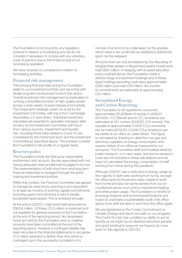The Foundation is not bound by any regulatory scheme in relation to fundraising and we do not consider it necessary to comply with any voluntary code of practice due to the limited scope of our fundraising operation.

We have received no complaints in relation to fundraising activities.

#### Financial risk management

The principal financial risks facing the Foundation relate to our investment portfolio and are in line with similar long-term endowment funds in the sector. Overall investment risk management is predicated on running a diversified portfolio of high-quality assets across a wide variety of asset classes and markets. The longer-term strategic asset mix is set by the Investment Committee, with input from Cambridge Associates LLC and others. Individual investment mandates are awarded to specialist managers after scrutiny by the Investment Committee with input from various sources. Impairment and liquidity risk, including those risks related to Covid-19, are considered by the investment team and the Investment Committee as described above. The trustees consider the Foundation's risk profile on a regular basis.

#### Reserves policy

The Foundation funds are held as an expendable endowment and, as such, the risk associated with not having adequate reserve balances is judged to be low. The implementation of both short term and long-term financial objectives is managed through the grantmaking and investment policies.

Within this context, the Finance Committee has agreed to manage its reserves by ensuring a sum equivalent to at least six months of working-capital commitments (including grant commitments) is held in readily accessible liquid assets. This is reviewed annually.

At the end of 2020/21, total funds held amounted to £905.6 million. Of these, £0.3 million is restricted and not available for general purposes of the Foundation at the end of the reporting period. No designated funds are held by the Foundation and no material amounts have been committed at the end of the reporting period. However a contingent liability has been recorded in the financial statements to recognise £7.5 million awarded to Britten Pear Arts which is contingent upon the successful completion of a

number of actions to be undertaken by the grantee, which need to be confirmed as satisfactory before the grant can be released.

Amounts that can only be realised by the disposing of tangible fixed assets or illiquid fixed assets investments total £625 million. In keeping with its asset-allocation policy outlined above, the Foundation holds a diverse range of investment holdings and of these liquid holdings excluding cash were approximately £246 million and cash £56 million. Six months of commitments are estimated at approximately £43 million.

#### Streamlined Energy and Carbon Reporting

The Foundation's UK operations consumed approximately 85,529kwh of energy in 2020/21 (2019/20: 117,726kwh) and its  $CO_{2}$  emissions are estimated at 18.1 tonnes (2019/20: 27.6 tonnes). This equates to approximately  $0.0258$  CO<sub>2</sub>e emissions per sq metre (2019/20: 0.0395 CO<sub>2</sub>e emissions per sq metre) of our office at Leeke Street. This figure is calculated by drawing on data from our gas and electricity suppliers on energy consumption and square metres of our office as measured by our surveyors. The Foundation staff and trustees travel by public transport, or in rare cases, taxi and so transport costs are not included in these calculations and we have not calculated the energy consumption of staff working from home during the pandemic.

Although 2020/21 saw a reduction in energy usage as the majority of staff were working from home, we kept the office open for those who were unable to work from home and also ran some servers from our air conditioned server room and so maintained heating and other power usage. The Foundation is mindful of its energy footprint and environmental footprint and hopes to undertake a sustainability audit of its office space once staff are able to work from the office again.

We are signatories to the Funder Commitment on Climate Change and report annually on our progress. The Covid-19 crisis has curtailed our ability to act as quickly as we might as we diverted resources (people and grant funding) to respond: we hope to do more work on this agenda in 2021/22.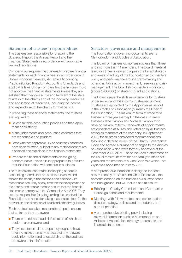#### Statement of trustees' responsibilities

The trustees are responsible for preparing the Strategic Report, the Annual Report and the Financial Statements in accordance with applicable law and regulations.

Company law requires the trustees to prepare financial statements for each financial year in accordance with United Kingdom Generally Accepted Accounting Practice (United Kingdom Accounting Standards and applicable law). Under company law the trustees must not approve the financial statements unless they are satisfied that they give a true and fair view of the state of affairs of the charity and of the incoming resources and application of resources, including the income and expenditure, of the charity for that period.

In preparing these financial statements, the trustees are required to:

- Select suitable accounting policies and then apply them consistently.
- Make judgements and accounting estimates that are reasonable and prudent.
- State whether applicable UK Accounting Standards have been followed, subject to any material departures disclosed and explained in the financial statements.
- Prepare the financial statements on the goingconcern basis unless it is inappropriate to presume that the Foundation will continue in business.

The trustees are responsible for keeping adequate accounting records that are sufficient to show and explain the charity's transactions and disclose with reasonable accuracy at any time the financial position of the charity and enable them to ensure that the financial statements comply with the Companies Act 2006. They are also responsible for safeguarding the assets of the Foundation and hence for taking reasonable steps for the prevention and detection of fraud and other irregularities.

Each trustee has taken reasonable steps to ensure that so far as they are aware:

- There is no relevant audit information of which the auditors are unaware; and
- $\blacksquare$  They have taken all the steps they ought to have taken to make themselves aware of any relevant audit information and to establish that the auditors are aware of that information

#### Structure, governance and management

The Foundation's governing documents are its Memorandum and Articles of Association.

The Board of Trustees comprises not less than three and not more than 11 members. The Board meets at least four times a year and agrees the broad strategy and areas of activity of the Foundation and considers policy and performance around grant-making and other charitable activity, investment, reserves and risk management. The Board also considers significant (above £400,000) or strategic grant applications.

The Board keeps the skills requirements for trustees under review and this informs trustee recruitment. Trustees are appointed by the Appointer as set out in the Articles of Association (currently the Chair of the Foundation). The maximum term of office for a trustee is three years except in the case of family trustees (Jane Hamlyn and Michael Hamlyn) who have no maximum term. Renewals of appointments are considered at AGMs and voted on by all trustees acting as members of the company. In September 2020, the trustees considered recommendations following a detailed review of the Charity Governance Code and agreed a number of changes to the Articles of Association which were formally approved at the December 2020 AGM. These included a statement on the usual maximum term for non-family trustees of 9 years and the creation of a Vice Chair role which Tom Wylie was appointed to in early 2021.

A comprehensive induction is designed for each new trustee by the Chair and Chief Executive – the contents depend on the trustee's skills, experience and background, but will include at a minimum:

- Briefing on Charity Commission and Companies House guidance and requirements.
- Meetings with fellow trustees and senior staff to discuss strategy, policies and procedures, and current priorities.
- A comprehensive briefing pack including relevant information such as Memorandum and Articles of Association, strategy documents and financial statements.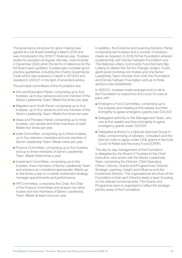The governance structure for grant-making was agreed at a full Board meeting in March 2016 and was introduced in the 2016/17 financial year. Trustees review its operation at regular intervals, most recently in December 2020 when the terms of reference for the full Board were updated. Trustees also consider good practice guidelines, including the Charity Governance Code which was reviewed in depth in 2019/20 and revisited in 2020/21 in the light of amended advice.

The principal committees of the Foundation are:

- Arts and Education Panel, comprising up to four trustees, up to four advisors and one member of the Senior Leadership Team. Meets five times per year.
- Migration and Youth Panel, comprising up to four trustees, up to four advisors and one member of the Senior Leadership Team. Meets five times per year.
- Ideas and Pioneers Panel: comprising up to three trustees, one adviser and three members of staff. Meets four times per year.
- India Committee, comprising up to three trustees, up to four advisory members and one member of Senior Leadership Team. Meets twice per year.
- Finance Committee, comprising up to five trustees and up to three members of Senior Leadership Team. Meets three times a year.
- Investment Committee, comprising up to five trustees, three members of Senior Leadership Team and advisors as considered appropriate. Meets up to five times a year to consider investment strategy, manager appointments and performance.
- HR Committee, comprising the Chair, the Chair of the Finance Committee and at least one other trustee and two members of Senior Leadership Team. Meets at least once per year.

In addition, the Evidence and Learning Advisory Panel, comprising two trustees and a number of advisors, meets as required. In 2018/19 the Foundation entered a partnership with Esmée Fairbairn Foundation and The National Lottery Community Fund (formerly Big Lottery) to deliver the 'Act for Change' project. A joint grant panel involving one trustee and one Senior Leadership Team member from both the Foundation and Esmée Fairbairn Foundation and up to three advisors was established.

In 2020/21, trustees made arrangements to allow the Foundation to respond to the Covid-19 crisis at pace with:

- Emergency Fund Committee, comprising up to five trustees and meeting at first weekly and then fortnightly to agree emergency grants over £20,000
- Delegated authority to the Management Team, who met at first weekly and then fortnightly to agree emergency grants under £20,000
- Delegated authority to a Special Approval Group in India, compromising of advisers, consultant and the Director India to agree under £20k grants in the India Covid-19 Relief and Recovery Fund (ICRRF).

The day-to-day management of the Foundation is delegated by the Board of Trustees to the Chief Executive, who works with the Senior Leadership Team comprising the Director, Chief Operating Officer; Director, Grants and Programmes; Director, Strategic Learning, Insight and Influence and the Investment Director. The organisational structure of the Foundation is that each Director leads a team focusing on the relevant functional area. The Grants and Programme team is organised to reflect the strategic priority areas of the Foundation.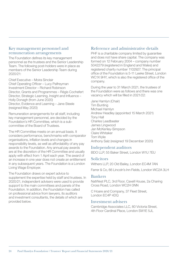#### Key management personnel and remuneration arrangements

The Foundation defines its key management personnel as the trustees and the Senior Leadership Team. The following post-holders were in place as members of the Senior Leadership Team during 2020/21:

Chief Executive – Moira Sinclair Chief Operating Officer – Lucy Palfreyman Investment Director – Richard Robinson Director, Grants and Programmes – Régis Cochefert Director, Strategic Learning, Insight and Influence – Holly Donagh (from June 2020) Director, Evidence and Learning – Jane Steele (resigned May 2020)

Remuneration arrangements for all staff, including key management personnel, are decided by the Foundation's HR Committee, which is a subcommittee of the Board of Trustees.

The HR Committee meets on an annual basis. It considers performance, benchmarks with comparator organisations, inflation levels and changes in responsibility levels, as well as affordability of any pay awards to the Foundation. Any annual pay awards are at the discretion of the HR Committee and usually apply with effect from 1 April each year. The award of an increase in one year does not create an entitlement in any subsequent years. The Foundation is a London Living Wage Employer.

The Foundation draws on expert advice to supplement the expertise held by staff and trustees. In 2020/21, independent advisers were used to provide support to the main committees and panels of the Foundation. In addition, the Foundation has called on professional advice from lawyers, its auditors and investment consultants, the details of which are provided below.

#### Reference and administrative details

PHF is a charitable company limited by guarantee and does not have share capital. The company was formed on 12 February 2004 – company number 5042279 (registered in England and Wales) and registered charity number 1102927. The principal office of the Foundation is 5-11 Leeke Street, London WC1X 9HY, which is also the registered office of the company.

During the year to 31 March 2021, the trustees of the Foundation were as follows and there was one vacancy which will be filled in 2021/22:

Jane Hamlyn (Chair) Tim Bunting Michael Hamlyn Andrew Headley (appointed 15 March 2021) Tony Hall Charles Leadbeater James Lingwood Jan McKenley-Simpson Claire Whitaker Tom Wylie Anthony Salz (resigned 19 December 2020)

#### Independent auditors

BDO LLP, 55 Baker Street, London W1U 7EU

#### **Solicitors**

Withers LLP, 20 Old Bailey, London EC4M 7AN

Farrer & Co, 66 Lincoln's Inn Fields, London WC2A 3LH

#### Bankers

NatWest PLC, 3rd Floor, Cavell House, 2a Charing Cross Road, London WC2H 0NN

C Hoare and Company, 37 Fleet Street, London EC4P 4DQ

#### Investment advisers

Cambridge Associates LLC, 80 Victoria Street, 4th Floor Cardinal Place, London SW1E 5JL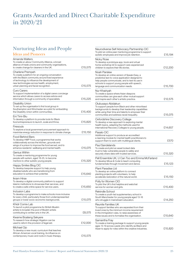# Grants Awarded and Direct Charitable Expenditure in 2020/21

#### Nurturing Ideas and People Ideas and Pioneers

| Amanda Walters<br>To create a Labour Community Alliance, a broad<br>alliance of trade unions and community organisations,<br>to create change for cleaners in the UK.                                                                                              | £15,575 |
|--------------------------------------------------------------------------------------------------------------------------------------------------------------------------------------------------------------------------------------------------------------------|---------|
| Charlene Prempeh<br>To create a platform for an ongoing conversation<br>with the Black community around lived experience<br>of technology to influence the development of<br>new technologies across health, employment,<br>urban planning and facial recognition. | £15,575 |
| Curo Carers<br>To support implementation of a digital carers concierge<br>service which allows carers to access advice and<br>information through a community of specialists.                                                                                      | £15,225 |
| Disability Union<br>To set up the organisation's first local group in<br>Southampton and Winchester as a pilot for embedding<br>the Disability Union within communities.                                                                                           | £15,400 |
| Eni Timi-Biu<br>To develop a platform to provide tools for Black<br>food entrepreneurs to launch, scale and thrive.                                                                                                                                                | £15,820 |
| Firesouls<br>To explore a local government procurement approach to<br>maximise energy reduction in response to climate change.                                                                                                                                     | £15,150 |
| Food Behind Bars<br>To develop HMP Food, a programme that works<br>collaboratively across the kitchen, grounds and<br>wings of a prison to improve the food served, and to<br>enhance residents' wellbeing and mental health.                                      | £15,075 |
| Genius Within<br>To create a mentoring programme for young<br>people with autism, aged 18-25, to become<br>mentors to other autistic young people.                                                                                                                 | £15,320 |
| Happy Smiles Blog CIC<br>To develop bespoke support to help young<br>disabled adults who are transitioning from<br>education to achieve their potential.                                                                                                           | £15,640 |
| Ikram Hirse<br>To develop a digital community platform to support<br>Islamic institutions to showcase their services, and<br>to create a safe online space for service users.                                                                                      | £15,650 |
| <b>Inclusion Labs</b><br>To develop a programme to make schools more inclusive<br>for every child, particularly those from underrepresented<br>groups or lower socio-economic backgrounds.                                                                         | £15,075 |
| Khidr Comix Lab<br>To launch a pilot programme for British Muslim<br>artists to broaden the pool of Muslim artists<br>contributing to written arts in the UK.                                                                                                      | £8,575  |
| Kwame Boateng Sekyere<br>To research how strategic litigation can be<br>used to reform the provision of legal aid.                                                                                                                                                 | £12,000 |
| Michael Ojo<br>To develop a new music curriculum that teaches<br>African-American vocal training, its influence on<br>contemporary music and roots in music therapy.                                                                                               | £15,575 |

| Neurodiverse Self Advocacy Partnership CIC<br>To pilot an online peer mentoring programme to support<br>autistic employees and improve job retention.                                                                                                     | £15,194 |
|-----------------------------------------------------------------------------------------------------------------------------------------------------------------------------------------------------------------------------------------------------------|---------|
| Nicky Rose<br>To develop a prototype app, book and virtual<br>home workshop kit to support care-experienced<br>children to explore their life stories.                                                                                                    | £12,200 |
| Noah Parslew<br>To develop an online version of Speak-Easy, a<br>predictive text-to-voice application designed to<br>help people communicate, and to test its use in<br>schools to support young people with speech,<br>language and communication needs. | £15,700 |
| Nur Khairiyah<br>To create a space where Asian diaspora<br>communities can give each other mutual support<br>and inspire each other's artistic practice.                                                                                                  | £12,575 |
| Olubusayo Abidakun<br>To support people from Black and other minoritised<br>backgrounds to develop their leadership capabilities<br>while using their time and talents to empower their<br>communities and address racial inequality.                     | £15,075 |
| Oxfordshire Discovery College<br>To develop a new approach to exploring mental<br>health topics, adapting the methods used for<br>international Recovery Colleges to young people.                                                                        | £14,657 |
| Pasalo CIC<br>Additional support to produce an accredited<br>e-learning module for mental health practitioners to<br>support them to work with multilingual clients.                                                                                      | £570    |
| Paul Sandelands<br>To create and pilot an asset locked data<br>trust to help vulnerable people to safely and<br>securely share data with trusted services.                                                                                                | £15,320 |
| Pell Ensemble UK, U Can Too and Emma McFarland<br>To develop Move & Code to teach computing<br>fundamentals through movement and dance.                                                                                                                   | £15,123 |
| Plant Paradise Ltd<br>To develop an online platform to connect<br>planting projects with volunteers, to help<br>accelerate restoration of the natural world.                                                                                              | £15,150 |
| Polly for Women CIO<br>To pilot the UK's first helpline and webchat<br>service for women and girls.                                                                                                                                                       | £15,400 |
| Rekindle School<br>To create a youth-led supplementary school in<br>South Manchester for young people aged 13-16<br>who struggle in mainstream education.                                                                                                 | £14,250 |
| Reunite Families UK<br>To support families who are separated from their<br>loved ones by the minimum income requirement<br>in the immigration rules, to raise awareness of<br>these issues and to formalise the organisation.                             | £15,640 |
| Samantha Fray<br>To create a training package to support young people<br>ages 13-19 across Leeds who identify as Black and<br>Asian to apply for roles within the creative industries.                                                                    | £15,820 |
|                                                                                                                                                                                                                                                           |         |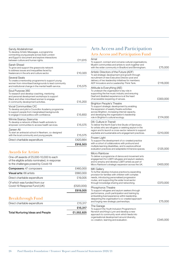|                                                                                                                                                                                                         | £918,503 |
|---------------------------------------------------------------------------------------------------------------------------------------------------------------------------------------------------------|----------|
| Direct charitable expenditure                                                                                                                                                                           | £420,664 |
| Zareen Ali<br>To start an antiracist school in Newham, co-designed<br>with the local community and young people.                                                                                        | £15,575  |
| Winnie Ssanyu Sseruma<br>To develop a network of Black health activists to<br>empower communities to access health services.                                                                            | £15.575  |
| <b>Vocal Communities CIC</b><br>To develop and pilot a Councillor Academy programme<br>to support people from marginalised backgrounds<br>to engage in local politics with confidence.                  | £15,650  |
| Soul Purpose 360<br>To research and develop coaching, mentoring<br>and personal development workshops to support<br>Black and other minoritised women to engage<br>in community development activities. | £15,200  |
| Several Seats<br>To create a mentorship programme to support young<br>women from minoritised backgrounds to lead community<br>and institutional change in the mental health service.                    | £15,575  |
| Sarah Shead<br>To grow and support the grassroots network<br>to address issues and inequalities faced by<br>freelancers in the arts and culture sector.                                                 | £10,320  |
| Sandy Abdelrahman<br>To develop Artistic Messages, a programme<br>connecting young people across East London<br>and Egypt to document and explore interactions<br>between culture and human rights.     | £11,615  |

#### Awards for Artists

| One-off awards of £5,000-10,000 to each<br>of the eligible artists nominated, in response<br>to the challenges posed by Covid-19 |            |
|----------------------------------------------------------------------------------------------------------------------------------|------------|
| <b>Composers:</b> 47 composers                                                                                                   | £460,000   |
| <b>Visual arts:</b> 66 artists                                                                                                   | £660,000   |
| Direct charitable expenditure                                                                                                    | £19,005    |
| Of which was funded from our<br>Covid-19 Response Fund (UK)                                                                      | (E520,000) |
|                                                                                                                                  | £619,005   |
|                                                                                                                                  |            |

#### Breakthrough Fund Direct charitable expenditure <br>
E15,317 £15,317 Total Nurturing Ideas and People £1,552,825

#### Arts Access and Participation Arts Access and Participation Fund

| Amal<br>To support, connect and convene cultural organisations,<br>Muslim communities and artists to work together and<br>with the wider community in Bradford and Birmingham.                                                                                           | £75,000  |
|--------------------------------------------------------------------------------------------------------------------------------------------------------------------------------------------------------------------------------------------------------------------------|----------|
| Artistic Directors of the Future (ADF)<br>To aid strategic development and growth through<br>recruitment of new Executive Director post and<br>delivery of two leadership initiatives for members:<br>ADF Innovators and a Leadership Think Tank.                        | £116,000 |
| Attitude is Everything (AIE)<br>To underpin the organisation's key role in<br>supporting the live music industry and ensuring<br>Deaf and disabled experience is at the heart<br>of accessible reopening of venues.                                                      | £300,000 |
| <b>Brighton People's Theatre</b><br>To support strategic development by enabling<br>the expansion of weekly theatre activities<br>across Brighton, increasing internal capacity,<br>and developing the organisation's leadership<br>role in Brighton's cultural ecology. | £174,000 |
| D6: Culture in Transit<br>To deliver the North East's first Studio of Sanctuary<br>for artists who are refugees or seeking asylum in the<br>region and to launch a cross-sector network to support<br>equitable and sustainable arts engagement practices.               | £210,000 |
| Frozen Light<br>To support the development of co-created practice<br>with a cohort of collaborators with profound and<br>multiple learning disabilities, and to explore ethical<br>evaluation practices and adaptable immersive spaces.                                  | £125,000 |
| Micro Rainbow<br>To deliver a programme of dance and movement arts<br>engagement for LGBTI refugees and asylum seekers,<br>and to employ and develop LGBTI artists as part of<br>Micro Rainbow's strategic expansion across the UK.                                      | £400,000 |
| MK Gallery<br>To further develop inclusive practice by expanding<br>provision for families with children with complex<br>needs, introducing personalised progression<br>routes, and supporting the wider local sector<br>through knowledge sharing and networking.       | £370,000 |
| Phosphoros Theatre<br>To support refugees and asylum seekers through<br>performance, youth participation and training by<br>embedding lived experience within leadership,<br>deepening the organisation's co-created approach<br>and forging new strategic partnerships. | £75,000  |
| The Garage<br>To support the Youth Inclusion Programme in<br>Norwich and King's Lynn and develop a new<br>approach to community work which feeds into<br>organisational development around diversity,<br>co-creation, learning and evaluation.                           | £345,000 |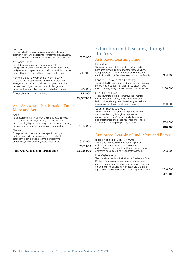#### Transform

|                                                                                                                                                                                                                                                               | £2.657.000 |
|---------------------------------------------------------------------------------------------------------------------------------------------------------------------------------------------------------------------------------------------------------------|------------|
| Direct charitable expenditure                                                                                                                                                                                                                                 | £10,000    |
| Yorkshire Sound Women Network (YSWN)<br>To create more opportunities for women to creatively<br>engage with sound and music technology through the<br>development of grassroots community-led groups,<br>online workshops, networking and skills development. | £70,000    |
| Yorkshire Dance<br>To establish a permanent non-professional<br>intergenerational dance company which will work in-depth<br>and year-round to produce and perform, providing people<br>living with multiple inequalities to engage with dance.                | £137.000   |
| To support a three-year programme embedding co-<br>creation with young people into Transform's organisational<br>model and across their biennial festivals in 2021 and 2023.                                                                                  | £250,000   |

#### Arts Access and Participation Fund: More and Better

| <b>Total Arts Access and Participation</b>                                                                                                                                                                                           | £3.288.000 |
|--------------------------------------------------------------------------------------------------------------------------------------------------------------------------------------------------------------------------------------|------------|
|                                                                                                                                                                                                                                      | £631,000   |
| Take Art<br>To explore the crossover between participatory and<br>professional performance activities in preschool<br>settings through a creative learning programme for<br>under-fives, artists and early years practitioners.      | £275,000   |
| Arika<br>To deepen community agency and participation across<br>the organisation's work, including the planning and<br>delivery of flagship contemporary arts events and ongoing<br>development of access and evaluation approaches. | £356,000   |

#### Education and Learning through the Arts

#### Arts-based Learning Fund

|                                                                                                                                                                                                                                                                           | £616,000 |
|---------------------------------------------------------------------------------------------------------------------------------------------------------------------------------------------------------------------------------------------------------------------------|----------|
| Southampton Music Hub<br>To co-construct a programme exploring literacy<br>and music learning through rap/spoken word,<br>partnering with a rap/spoken word artist, music<br>hub practitioners and school teachers and leaders<br>from three Southampton primary schools. | £64,000  |
| S.M.I.L.E-ing Boys<br>To empower Black boys to improve their mental<br>health, emotional literacy, raise aspirations and<br>build positive identity through wellbeing workshops<br>focusing on photography, film and poetry.                                              | £60,000  |
| London Bubble Theatre Company<br>To adapt the Speech Bubbles drama for communication<br>programme to support children in Key Stage 1 who<br>have been negatively affected by the Covid pandemic.                                                                          | £158,000 |
| DanceEast<br>To create an accessible, scalable and innovative<br>pedagogy blending digital and face to face delivery<br>to support learning through dance and across the<br>curriculum with over 20 primary schools across Suffolk.                                       | £334,000 |

#### Arts-based Learning Fund: More and Better

|                                                                                                                                                                                                                                                                                                                       | £451.000 |
|-----------------------------------------------------------------------------------------------------------------------------------------------------------------------------------------------------------------------------------------------------------------------------------------------------------------------|----------|
| MakeBelieve Arts<br>To expand the reach of the Helicopter Stories and Poetry<br>Basket programmes, which focus on training teachers<br>and early years practitioners, with the aim of improving<br>the communication and early literacy skills of children<br>aged two to six in both mainstream and special schools. | £248.000 |
| darts (Doncaster Community Arts)<br>To develop the Creative Classrooms approach,<br>which uses narrative and drama to support<br>children's resilience, emotional literacy and ability to<br>overcome obstacles, in four Doncaster schools.                                                                           | £203.000 |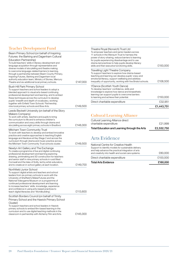#### Teacher Development Fund

| Beam Primary School (on behalf of Inspiring<br>Futures: the Barking and Dagenham Cultural                                                                                                                                                                                                                                                                                                                                                                           |          |
|---------------------------------------------------------------------------------------------------------------------------------------------------------------------------------------------------------------------------------------------------------------------------------------------------------------------------------------------------------------------------------------------------------------------------------------------------------------------|----------|
| Education Partnership)<br>To build teachers' skills in literacy development and<br>language acquisition through representative and<br>diverse models of storytelling and theatre making<br>to overcome language-related barriers to learning,<br>through a partnership between Beam County Primary,<br>Inspiring Futures, Barking and Dagenham local<br>authority education team, Ministry of Stories, Mercury<br>Theatre and six additional local primary schools. | £147,000 |
| Bush Hill Park Primary School<br>To support teachers and school leaders to adopt a<br>blended approach to visual arts-based continuing<br>professional development and learning, and to embed<br>these techniques across the curriculum to develop<br>pupils' breadth and depth of vocabulary, working<br>together with Enfield Town Schools' Partnership,<br>nine local primary schools and Bow Arts.                                                              | £149,500 |
| Leeds Beckett University (on behalf of the Story<br>Makers Company)<br>To work with artists, teachers and pupils to bring<br>the curriculum to life and to enhance children's<br>communication and oracy skills through drama and<br>storytelling across eight primary schools in Bradford.                                                                                                                                                                         | £148,000 |
| Mitcham Town Community Trust<br>To work with teachers to develop and embed innovative<br>practice and creative approaches to teaching English<br>language and literature at Key Stage 2 and across the<br>curriculum through drama and music practice across<br>the Mitcham Town Community Trust schools cluster.                                                                                                                                                   | £149,500 |
| Newlyn Art Gallery and The Exchange<br>To create a programme of live and digital continuing<br>professional development and learning exploring<br>drawing, printmaking and 3D construction for teachers<br>and senior staff in nine primary schools in rural West<br>Cornwall and the Isles of Scilly, led by artist-educators,<br>and to create an in-school gallery at each location.                                                                             | £149,700 |
| Northfield Junior School<br>To support digital artists and teachers and school<br>leaders from six primary schools to work with the<br>University of Sheffield's MakerFutures and the<br>National Videogame Museum on a programme of<br>continued professional development and learning<br>to increase teachers' skills, knowledge, experience<br>and confidence in using arts-based practices to<br>teach digital literacies and 'Worldbuilding'.                  | £113,600 |
| Scottish Borders Council (on behalf of Trinity<br>Primary School and the Hawick Primary School<br>Cluster)<br>To support teachers and school leaders in Hawick<br>primary schools to embed film-based learning in the<br>curriculum and to use digital teaching methods in the<br>classroom in partnership with Alchemy Film and Arts.                                                                                                                              | £145,000 |
|                                                                                                                                                                                                                                                                                                                                                                                                                                                                     |          |

|                                                                                                                                                                                                                                                                                                                                                        | £1,443,751 |
|--------------------------------------------------------------------------------------------------------------------------------------------------------------------------------------------------------------------------------------------------------------------------------------------------------------------------------------------------------|------------|
| Direct charitable expenditure                                                                                                                                                                                                                                                                                                                          | £32.951    |
| <b>YDance (Scottish Youth Dance)</b><br>To develop teachers' confidence, skills and<br>knowledge to explore how dance and kinaesthetic<br>learning can support pupils to overcome barriers<br>to learning and achieve their potential.                                                                                                                 | £150,000   |
| Travelling Light Theatre Company<br>To support teachers to explore how drama-based<br>teaching and learning can develop pupils' oracy and<br>emotional literacy, support wellbeing and address<br>inequality of opportunity, working with five Bristol schools.                                                                                        | £108,500   |
| Theatre Royal (Norwich) Trust Ltd<br>To empower teachers and senior leaders across<br>11 schools in the Wensum Trust to harness the<br>power of story-sharing, reduce barriers to learning<br>for pupils experiencing disadvantage and to use<br>drama-led practices to help pupils develop literacy<br>skills and their executive functioning skills. | £150.00C   |

## Cultural Learning Alliance

| Total Education and Learning through the Arts | £2,532,750 |
|-----------------------------------------------|------------|
| charitable expenditure                        | £21.999    |
| Cultural Learning Alliance direct             |            |

#### Arts Evidence

| <b>Total Arts Evidence</b>                                                                                                                                                                              | £180,000 |
|---------------------------------------------------------------------------------------------------------------------------------------------------------------------------------------------------------|----------|
| Direct charitable expenditure                                                                                                                                                                           | £100,000 |
| National Centre for Creative Health<br>Support to identify models for sustainable delivery<br>and help advance the practical integration of arts<br>and creativity into health and social care systems. | £80,000  |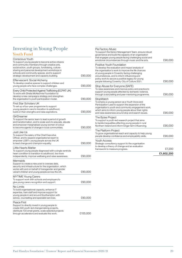#### Investing in Young People Youth Fund

| Conscious Youth<br>To support young people to become active citizens<br>and community members through creative arts,<br>social action, youth groups, fundraising, culture-<br>sharing and personal development workshops in<br>schools and community spaces, and to support<br>strategic development and capacity building. | £90,000  |
|-----------------------------------------------------------------------------------------------------------------------------------------------------------------------------------------------------------------------------------------------------------------------------------------------------------------------------|----------|
| Effervescent: Social Alchemy<br>To develop creative spaces to support children and<br>young people who face complex challenges.                                                                                                                                                                                             | £90,000  |
| Every Child Protected Against Trafficking (ECPAT UK)<br>To work with Sheila McKechnie Foundation to<br>develop a new campaigns strategy and strengthen<br>the organisation's youth participation model.                                                                                                                     | £90,000  |
| First Star Scholars UK<br>To set up a four-year programme to support<br>young people in care to transition to adulthood,<br>build on their strengths and raise aspirations.                                                                                                                                                 | £90,000  |
| GirlDreamer<br>To support the senior team to lead a period of growth<br>and transformation, and to scale work to educate, elevate<br>and empower marginalised young women of colour<br>to become agents of change in local communities.                                                                                     | £90,000  |
| Just Like Us<br>To support the salary of the Chief Executive<br>Officer, and to expand organisational reach to<br>empower LGBT+ young people across the UK<br>to lead change and champion equality.                                                                                                                         | £90,000  |
| Little Hearts Matter<br>To support young people diagnosed with a single ventricle<br>heart condition to transition to adulthood, live more<br>independently, improve wellbeing and raise awareness.                                                                                                                         | £90,000  |
| Mermaids<br>Support to create a new post to oversee data,<br>security and infrastructure for the organisation, which<br>works with and on behalf of transgender and gender<br>variant children and young people across the UK.                                                                                              | £90,000  |
| MYTIME Young Carers<br>To support work with schools and employers to<br>give young carers recognition and support.                                                                                                                                                                                                          | £90,000  |
| No Limits<br>To build organisational capacity, enhance IT<br>expertise, train staff and improve support for<br>young people in and around Southampton with<br>advice, counselling and specialist services.                                                                                                                  | £90,000  |
| Peace First<br>Support to directly invest in young people to<br>create 500 youth-led changemaking projects,<br>distribute 100 small grants, scale selected projects<br>through accelerators and evaluate this work.                                                                                                         | £155,000 |

|                                                                                                                                                                                                                                                                                                                                                | £1,602,200 |
|------------------------------------------------------------------------------------------------------------------------------------------------------------------------------------------------------------------------------------------------------------------------------------------------------------------------------------------------|------------|
| Youth Access<br>Strategic consultancy support to the organisation<br>to develop a theory of change and an evaluation<br>framework to measure progress.                                                                                                                                                                                         | £7,200     |
| The Platform Project<br>To grow organisational reach and capacity to help young<br>people develop confidence and employability skills.                                                                                                                                                                                                         | £90,000    |
| The Bytes Project<br>To support a youth-led research project that aims<br>to tackle inequalities affecting young people in rural<br>Northern Ireland and inform longer term influencing.                                                                                                                                                       | £90,000    |
| StopWatch<br>To employ a young person as a Youth Voice and<br>Participation Lead to support the expansion of the<br>organisation's youth and community engagement work,<br>which aims to inform young people about their rights<br>and raise awareness around stop and search issues.                                                          | £90,000    |
| Stop Abuse for Everyone (SAFE)<br>To raise awareness and improve policy and practice to<br>support young people affected by domestic violence,<br>through a storytelling and peer mentoring programme.                                                                                                                                         | £90,000    |
| Positive Youth Foundation<br>To develop the evaluation and impact analysis of<br>the organisation's work to improve the life chances<br>of young people in Coventry facing challenging<br>circumstances, and to inform influencing and<br>policy work to secure a positive legacy for young<br>people following Coventry City of Culture 2021. | £90,000    |
| <b>Pie Factory Music</b><br>To support the Senior Management Team, ensure robust<br>governance and build the capacity of an organisation<br>that engages young people facing challenging social and<br>emotional circumstances through music and the arts.                                                                                     | £90,000    |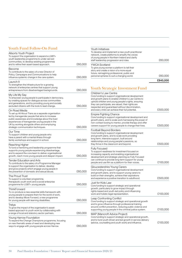#### Youth Fund Follow-On Fund

| <b>Allsorts Youth Project</b><br>To support the organisation to expand a LGBT+<br>youth leadership programme to under-served<br>communities, to develop existing programmes                                                                                                                                         |         |
|---------------------------------------------------------------------------------------------------------------------------------------------------------------------------------------------------------------------------------------------------------------------------------------------------------------------|---------|
| and to refine their asset-based approach.                                                                                                                                                                                                                                                                           | £60,000 |
| Become<br>To contribute to the salary of a new Director of<br>Policy, Campaigns and Communications to help<br>influence systemic change in the care system.                                                                                                                                                         | £60,000 |
| Launch It<br>To strengthen the infrastructure for a growing<br>network of enterprise centres that support young<br>entrepreneurs from disadvantaged backgrounds.                                                                                                                                                    | £60,000 |
| My Life My Say<br>To empower young people to participate in democracy,<br>by creating spaces for dialogue across communities<br>and generations, and by providing young and socially<br>excluded citizens with the tools to lead change.                                                                            | £60,000 |
| On Road Media<br>To set up All About Trans as a separate organisation<br>led by transgender people that aims to increase<br>public awareness and knowledge about the lived<br>experiences of transgender young people in the<br>UK by working alongside others and employing<br>strategic communication techniques. | £60,000 |
| Our Time<br>To support children and young people who<br>have a parent with a mental illness through<br>family workshops and support in school.                                                                                                                                                                      | £60,000 |
| Reaching Higher<br>To fund a mentoring and leadership programme that<br>supports young people experiencing disadvantage,<br>and to expand the core team to deliver organisational<br>growth, reach more young people and deepen impact.                                                                             | £60,000 |
| Tender Education and Arts<br>To contribute to the salary of a Programme Manager<br>to support the organisation to deliver, develop<br>and grow projects which engage young people in<br>the prevention of domestic and sexual abuse.                                                                                | £60,000 |
| The Proud Trust<br>To support a volunteer programme,<br>therapeutic youth work and a social enterprise<br>programme for LGBT+ young people.                                                                                                                                                                         | £60,000 |
| I hinkForward<br>To co-produce a new essential skills framework with<br>young people to prepare them for the world of work,<br>and to develop Move Forward, a new programme<br>for young people with learning disabilities.                                                                                         | £60,000 |
| Trelya<br>To grow the impact of the organisation's asset-<br>based approach to youth work by collaborating with<br>a range of local and statutory sector partners.                                                                                                                                                  | £60,000 |
| Young Harrow Foundation<br>To expand the Change Champions programme, focusing<br>on new thematic areas of need and developing new<br>ways to engage with young people across Harrow.                                                                                                                                | £60,000 |

|                                                                                                                                                                                                                         | £840,000 |
|-------------------------------------------------------------------------------------------------------------------------------------------------------------------------------------------------------------------------|----------|
| YWCA Scotland<br>To give young women a platform to tell their<br>story and create a vision of a more equal<br>future, reimagining professional, public and<br>personal spheres to suit a changing world.                | 000,000  |
| Youth Initiatives<br>To develop and implement a new youth practitioner<br>network, create platforms to amplify the voices<br>of young people in Northern Ireland and clarify<br>staff leadership progression and roles. | £60.000  |

#### Youth Strategic Investment Fund

| Children's Law Centre<br>Core funding to support organisational development<br>and growth plans to enable Children's Law Centre to<br>uphold children and young people's rights, ensuring<br>they can participate, are valued, their rights are<br>respected and guaranteed without discrimination,<br>and every child can achieve their full potential. | £500,000 |
|----------------------------------------------------------------------------------------------------------------------------------------------------------------------------------------------------------------------------------------------------------------------------------------------------------------------------------------------------------|----------|
| <b>Empire Fighting Chance</b><br>Core funding to support organisational development and<br>growth plans, and to scale work harnessing the power of<br>non-contact boxing to mentor, provide therapy and offer<br>careers support for young people to change their lives.                                                                                 | £500,000 |
| Football Beyond Borders<br>Core funding to support organisational development<br>and growth plans, and to scale work providing<br>long-term, intensive support, built around<br>relationships and young people's passions, so<br>they thrive in the classroom and beyond.                                                                                | £500,000 |
| <b>Fully Focused</b><br>To support readiness for investment focused on<br>increasing capacity and enabling organisational<br>development and strategic planning so Fully Focused<br>can continue to provide long-term support for young<br>people and use film as a platform for their voices.                                                           | £100,000 |
| Gloucestershire Young Carers<br>Core funding to support organisational development<br>and growth plans, and to support young carers to<br>build on their strengths, achieve their aspirations<br>and experience a positive transition to adulthood.                                                                                                      | £500,000 |
| Just for Kids Law<br>Core funding to support strategic and operational<br>growth, particularly to grow impact through<br>rights-based and youth-led policy and influencing<br>work and holistic legal representation.                                                                                                                                    | £100,000 |
| Leap Confronting Conflict<br>Core funding to support strategic and operational growth<br>and to grow influence through professional training<br>around conflict prevention, reducing public violence and<br>supporting young people in the criminal justice system.                                                                                      | £100,000 |
| MAP (Mancroft Advice Project)<br>Core funding to support strategic and operational growth,<br>and to fund youth driven and led growth in service delivery<br>(advice, counselling and youth work) and influence.                                                                                                                                         | £100,000 |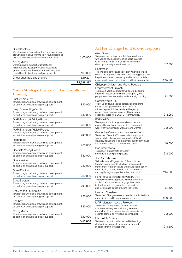|                                                                                                                                                                                                     | £2,689,297 |
|-----------------------------------------------------------------------------------------------------------------------------------------------------------------------------------------------------|------------|
| Direct charitable expenditure                                                                                                                                                                       | £89.297    |
| YoungMinds<br>Core funding to support organisational<br>infrastructure, development and sustainable<br>growth to improve the emotional wellbeing and<br>mental health of children and young people. | £100,000   |
| <b>StreetDoctors</b><br>Core funding to support strategic and operational<br>growth, and to scale work to train young people at<br>risk to become lifesavers in their communities.                  | £100,000   |

#### Youth Strategic Investment Fund – follow-on funding

|                                                                                                                                   | £410,000 |
|-----------------------------------------------------------------------------------------------------------------------------------|----------|
| YoungMinds<br>Towards organisational growth and development<br>as part of an annual package of support.                           | £40,000  |
| The Key<br>Towards organisational growth and development<br>as part of an annual package of support.                              | £30,000  |
| The Jericho Foundation<br>Towards organisational growth and development<br>as part of an annual package of support.               | £30,000  |
| StreetDoctors<br>Towards organisational growth and development<br>as part of an annual package of support.                        | £40,000  |
| StreetDoctors<br>Towards organisational growth and development<br>as part of an annual package of support.                        | £30,000  |
| Spark Inside<br>Towards organisational growth and development<br>as part of an annual package of support.                         | £30,000  |
| <b>Sheffield Young Carers</b><br>Towards organisational growth and development<br>as part of an annual package of support.        | £30,000  |
| Redthread<br>Towards organisational growth and development<br>as part of an annual package of support.                            | £30,000  |
| <b>MAP (Mancroft Advice Project)</b><br>Towards organisational growth and development<br>as part of an annual package of support. | £40,000  |
| <b>MAP (Mancroft Advice Project)</b><br>Towards organisational growth and development<br>as part of an annual package of support. | £30,000  |
| Leap Confronting Conflict<br>Towards organisational growth and development<br>as part of an annual package of support.            | £40,000  |
| Just for Kids Law<br>Towards organisational growth and development<br>as part of an annual package of support.                    | £40,000  |
|                                                                                                                                   |          |

#### Act For Change Fund (Covid response)

| 42nd Street<br>To employ and train peer-activists who will work<br>with young people experiencing social injustice<br>within mental health and social care systems,<br>devising campaigns to address this.                                                                | £12,000 |
|---------------------------------------------------------------------------------------------------------------------------------------------------------------------------------------------------------------------------------------------------------------------------|---------|
| Beatfreeks<br>To contribute to the salaries of staff who will develop<br>REACT, an approach to working with young people that<br>helps them to mobilise quickly and launch art activism<br>responses to issues in their lives and their communities.                      | £45,000 |
| Chilypep (Children and Young People's<br><b>Empowerment Project)</b><br>To create a Youth Led Social Action Studio and to<br>employ a Project Co-ordinator to support young<br>people to access leadership and campaign training.                                         | £1,500  |
| Comics Youth CIC<br>To set up and run a young person-led publishing<br>house focusing on comics and zines that<br>address systemic injustices faced by young<br>people experiencing mental health concerns,<br>especially those from LGBTQ+ communities.                  | £13,250 |
| FORWARD<br>To employ a youth programme lead to expand<br>an equality, rights and leadership programme to<br>work with young men as well as young women.                                                                                                                   | £12,000 |
| Grapevine Coventry and Warwickshire Ltd<br>To support Coventry Young Activists, a group of<br>young adults who experience social isolation to<br>develop, deliver and lead movement building initiatives<br>that address the root causes of loneliness.                   | £8,000  |
| Irise International<br>To support a grassroots advocacy<br>movement to end period poverty.                                                                                                                                                                                | £12,000 |
| Just for Kids Law<br>To fund a Youth Engagement Officer to bring<br>together young people who have been excluded<br>from school to organise and undertake social action<br>campaigning around the educational, emotional<br>and psychological impact of school exclusion. | £45,000 |
| Kent Refugee Action Network (KRAN)<br>To employ two young people with refugee status<br>as Youth Ambassadors to engage their peers<br>in developing the organisation and services,<br>and to influence issues affecting their lives.                                      | £1,500  |
| Leonard Cheshire<br>To support Changemakers, a peer-led youth disability<br>campaigning and leadership programme.                                                                                                                                                         | £20,000 |
| MAP (Mancroft Advice Project)<br>To support MAP's Young Activist Network<br>to access training, secure local government<br>commitments and co-produce service delivery in<br>order to combat bullying and discrimination.                                                 | £12,000 |
| My Life My Choice<br>To develop a youth parliament led by learning-<br>disabled young people to campaign around<br>injustices that they experience.                                                                                                                       | £18,500 |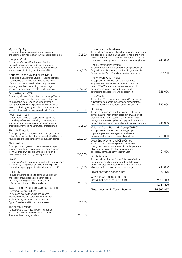| My Life My Say<br>To expand the scope and nature of democratic<br>engagement activities via a Young Leaders programme.                                                                                                                                                                                                                        | £1,500  |
|-----------------------------------------------------------------------------------------------------------------------------------------------------------------------------------------------------------------------------------------------------------------------------------------------------------------------------------------------|---------|
| Newport Mind<br>To employ a Service Development Worker to<br>work with young people to design and deliver<br>training and guidance for public sector staff about<br>mental health, including teachers and GPs.                                                                                                                                | £19,500 |
| Northern Ireland Youth Forum (NIYF)<br>To develop a Leadership Studio for young activists<br>in central Belfast and to contribute to the salary<br>of a youth worker who will deliver programmes<br>to young people experiencing disadvantage,<br>enabling them to become catalysts for change.                                               | £45,000 |
| Off the Record (OTR)<br>To employ a Project Co-ordinator to develop Zazi, a<br>youth-led change making movement that supports<br>young people from Black and minority ethnic<br>backgrounds who are experiencing mental health<br>issues to challenge stigma in their communities and<br>to deliver training to service providers in Bristol. | £12,000 |
| Peer Power Youth<br>To train Peer Leaders to support young people<br>in building self-esteem, creating community and<br>making change to policies and services using co-<br>production methods with statutory professionals.                                                                                                                  | £1,500  |
| Phoenix Education<br>To support young changemakers to design, plan and<br>deliver their own social action projects that will improve<br>young people's experience of the education sector.                                                                                                                                                    | £20,000 |
| Platform London<br>To support the organisation to increase the capacity<br>of young people with experience of marginalisation<br>to initiate their own social change projects and<br>influence the practice of youth organisations.                                                                                                           | £30,800 |
| Praxis<br>To employ a Youth Organiser to work with young people<br>impacted by immigration policy to improve public<br>perception of young people who migrate to the UK.                                                                                                                                                                      | £15,600 |
| RECLAIM<br>To support young people to campaign nationally<br>and locally around issues of discrimination,<br>inequality and stigmatisation arising from<br>unfair economic and political systems.                                                                                                                                             | £20,000 |
| TCC (Trefnu Cymunedol Cymru / Together<br><b>Creating Communities)</b><br>To increase work with young people who<br>experience injustice, particularly those seeking<br>asylum, facing exclusion from school or from<br>Gypsy, Traveller and Roma communities.                                                                                | £1,500  |
| The 4Front Project<br>To support the youth-led 4Mation campaign<br>and the 4Mation Peace Fellowship to build<br>the capacity of young activists.                                                                                                                                                                                              | £20,000 |

| <b>Total Investing in Young People</b>                                                                                                                                                                                                                                                  | £5,902,867 |
|-----------------------------------------------------------------------------------------------------------------------------------------------------------------------------------------------------------------------------------------------------------------------------------------|------------|
|                                                                                                                                                                                                                                                                                         | £361,370   |
| Of which was funded from our<br>Covid-19 Response Fund (UK)                                                                                                                                                                                                                             | (£311,200) |
| Direct charitable expenditure                                                                                                                                                                                                                                                           | £50,170    |
| Youth Access<br>To support the charity's Rights Advocates Training<br>Programme, and link young people with those in<br>power to increase the reach and impact of the Our<br>Minds, Our Future mental health campaign.                                                                  | £45,000    |
| West End Women and Girls Centre<br>To fund a peer education project to mobilise<br>young working-class women with lived experience<br>of gender inequality to influence policy and<br>build local campaigns in the North East.                                                          | £1,500     |
| Voice of Young People in Care (VOYPIC)<br>To support care-experienced young people<br>to plan, implement, manage and evaluate a<br>programme that aims to tackle stigma in care.                                                                                                        | £20,000    |
| UpRising<br>To fund a Campaigns and Engagement Officer to<br>develop alumni networks in social action, as part of<br>their work supporting young people from diverse<br>backgrounds to take up leadership positions across<br>politics, business, and the public and voluntary sectors. | £45,000    |
| The Winch<br>To employ a Youth Worker and Youth Organisers to<br>support young people experiencing disadvantage<br>who are training to lead social action for change.                                                                                                                   | £20,000    |
| The Warren Youth Project<br>To support the development of the youth-led<br>empowerment and governance structure at the<br>heart of The Warren, which offers free support,<br>guidance, training, music, education and<br>counselling services to young people in Hull.                  | £45,000    |
| The Hummingbird Project<br>To enhance support and social action opportunities<br>for graduates of the Young Leaders Programme, the<br>formation of a Youth Board and staffing resources.                                                                                                | £17,750    |
| The Advocacy Academy<br>To run a Social Justice Fellowship for young people who<br>are passionate about making a difference in the world<br>and to contribute to the salary of a Programme Director<br>to focus on developing its model and deepening impact.                           | £40,000    |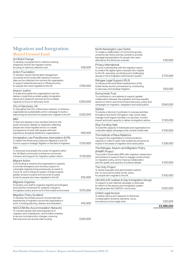#### Migration and Integration Shared Ground Fund

| Act Build Change<br>To develop a programme of collective training,<br>shaped by and for the migration sector,<br>focusing on self and collective care.                                                                                                                                                                                 | £58,000  |
|----------------------------------------------------------------------------------------------------------------------------------------------------------------------------------------------------------------------------------------------------------------------------------------------------------------------------------------|----------|
| <b>Action Foundation</b><br>To develop robust internal data management<br>processes and to build staff capacity to ensure<br>data can be collected from across the organisation<br>to support external advocacy to influence policy<br>for people who have migrated to the UK.                                                         | £160,000 |
| Asylum Justice<br>To scale and sustain the organisation's service<br>delivery model that provides quality immigration<br>advice and casework services and to increase<br>capacity to focus on advocacy work.                                                                                                                           | £200,000 |
| City of Sanctuary UK<br>To strengthen the City of Sanctuary network, to enhance<br>organisational sustainability and to campaign to build a<br>welcoming environment for people who migrate to the UK.                                                                                                                                 | £220,000 |
| IMIX<br>To test and develop a new narrative frame for the<br>public and policy debate on destitution affecting<br>people who have migrated and to co-create<br>a programme of work with people with lived<br>experience alongside destitution organisations.                                                                           | £60,000  |
| Immigration Law Practitioners Association (ILPA)<br>To deliver the Advancing Justice for Migrants in the UK<br>Fund to support strategic litigation in the field of migration.                                                                                                                                                         | £150,000 |
| KIN<br>To empower and amplify the voices of migrants within<br>the UK Black community to enhance community<br>cohesion and support for migration system reform.                                                                                                                                                                        | £120,000 |
| Migrant Action<br>Core funding to enhance the organisation's capacity<br>to provide emergency and recovery support to<br>vulnerable migrants living precariously as result of<br>Covid-19, and to influence system change towards<br>greater access to justice and recourse to public<br>funds for people who have migrated to the UK. | £55,000  |
| Migrants Organise<br>To employ core staff to organise migrants and refugees<br>and build the movement for systemic change to<br>immigration policy and an end of the hostile environment.                                                                                                                                              | £375,000 |
| Migration Policy Scotland<br>To develop the infrastructure to incorporate lived<br>experiences of migration across the organisation's<br>work, including planning, delivery and evaluation.                                                                                                                                            | £45,000  |
| NACCOM (No Accommodation Network)<br>To connect people with lived experience of<br>migration and of destitution, and frontline charities<br>to secure concrete policy changes, ensuring<br>that everyone can access safe housing.                                                                                                      | £240,000 |

|                                                                                                                                                                                                                                                                                         | £2,996,000 |
|-----------------------------------------------------------------------------------------------------------------------------------------------------------------------------------------------------------------------------------------------------------------------------------------|------------|
| United Legal Access<br>To deliver advice and casework to Windrush<br>Compensation Scheme claimants, via an<br>innovative pro bono legal clinic.                                                                                                                                         | £20,000    |
| UKLGIG (UK Lesbian & Gay Immigration Group)<br>To support a new national campaign to advocate<br>for reform of the asylum and immigration system<br>that galvanises the LGBTQI+ community.                                                                                              | £225,000   |
| The Unity Project<br>To tackle inequality and discrimination behind<br>the 'no recourse to public funds' policy<br>for people who migrate to the UK.                                                                                                                                    | £105,000   |
| The Refugee, Asylum and Migration Policy<br>(RAMP) Project<br>To provide Conservative MPs with migration researchers<br>and advisers to support them to engage constructively<br>on migration policy, and to improve collaboration<br>and the quality and quantity of political debate. | £120,000   |
| The Institute of Race Relations<br>To support the organisation's communications<br>capacity in order to reach new audiences and grow its<br>impact in the areas of migration and racial justice.                                                                                        | £128,000   |
| Stop Funding Hate<br>To build the capacity of individuals and organisations to<br>undertake digital campaigns that combat media hate.                                                                                                                                                   | £100,000   |
| Settled<br>To employ a Service Coordinator to oversee activities<br>throughout the North of England, map unmet need,<br>manage multi-lingual volunteer-run services, monitor<br>impact and build capacity to deliver immigration advice.                                                | £120,000   |
| Runnymede Trust<br>To contribute to core salaries to support greater<br>collaboration between the migration and race equality<br>sectors to inform and drive forward advocacy, policy and<br>campaigns on migration, integration and racial justice.                                    | £240,000   |
| Refugee Legal Support (RLS)<br>To influence the post-Brexit replacement of the<br>Dublin family reunion procedures by contributing<br>to advocacy and strategic litigation.                                                                                                             | £50,000    |
| Privacy International<br>To work in partnership with the migration sector<br>to protect the digital rights of people who migrate<br>to the UK, exposing, scrutinising and challenging<br>abuses in the immigration enforcement system.                                                  | £175,000   |
| North Kensington Law Centre<br>To create a collaboration of community groups,<br>university law clinics and law centres to provide<br>free legal representation for people who were<br>affected by the Windrush scandal.                                                                | £30,000    |

Paul Hamlyn Foundation | Trustees' Report and Financial Statements 2020/21 33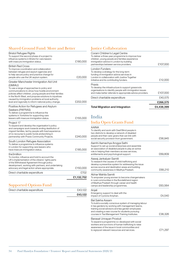#### Shared Ground Fund: More and Better

| of the Withdrawal Agreement through policy<br>development, working with partners, and undertaking<br>advocacy and legal action where appropriate.<br>Direct charitable expenditure                                                                                                                                                                                                       | £185,000<br>£150,000<br>£702<br>£1,132,702 |
|------------------------------------------------------------------------------------------------------------------------------------------------------------------------------------------------------------------------------------------------------------------------------------------------------------------------------------------------------------------------------------------|--------------------------------------------|
|                                                                                                                                                                                                                                                                                                                                                                                          |                                            |
| the3million<br>To monitor, influence and hold to account the<br>UK's implementation of the citizens' rights parts                                                                                                                                                                                                                                                                        |                                            |
| South London Refugee Association<br>To deliver a programme to influence systems<br>in London for supporting care leavers who<br>have insecure immigration status.                                                                                                                                                                                                                        |                                            |
| Project 17<br>To expand and develop the organisation's policy<br>and campaigns work towards ending destitution of<br>migrant families, led by people with lived experience<br>of no recourse to public funds andworking in<br>partnership with Praxis Community Projects.                                                                                                                | £240,000                                   |
| Positive Action for Refugees and Asylum<br>Seekers (PAFRAS)<br>To deliver a programme to influence the<br>systems in Yorkshire for supporting care<br>leavers with insecure immigration status.                                                                                                                                                                                          | £155,000                                   |
| Greater Manchester Immigration Aid Unit<br>(GMIAU)<br>To use a range of approaches to policy and<br>communications to show how hostile environment<br>policies affect children, young people and their families<br>in the North West, and propose solutions to injustices<br>caused by immigration problems at local authority<br>level and regionally to inform national policy change. | £202,000                                   |
| <b>British Red Cross</b><br>To improve coordination and collaboration<br>between refugee and asylum agencies and<br>to help secure policy and practice change for<br>people who use the UK asylum system.                                                                                                                                                                                | £20,000                                    |
| <b>Bristol Refugee Rights</b><br>To support the second phase of a project to<br>influence systems in Bristol for care leavers<br>with insecure immigration status.                                                                                                                                                                                                                       | £180,000                                   |

#### Supported Options Fund

|                               | £43,122 |
|-------------------------------|---------|
| Direct charitable expenditure | £43.122 |

## Justice Collaboration

| <b>Total Migration and Integration</b>                                                                                                                                                                                     | £4.438.399 |
|----------------------------------------------------------------------------------------------------------------------------------------------------------------------------------------------------------------------------|------------|
|                                                                                                                                                                                                                            | £266,575   |
| Direct charitable expenditure                                                                                                                                                                                              | £40.575    |
| Praxis<br>To develop the infrastructure to support grassroots<br>organisations to identify people with immigration issues<br>and make better referrals to appropriate advice providers.                                    | £107,000   |
| London Funders<br>To develop a strategy for the long-term<br>funding of immigration advice services in<br>London in collaboration with Justice Together<br>Initiative and its contributing funders.                        | £12.000    |
| Coram Children's Legal Centre<br>To deliver a three-year programme to improve how<br>children, young people and families experience<br>immigration advice in London by building<br>partnerships between service providers. | £107.000   |

## India

#### India Open Grants Fund

| <b>AAINA</b><br>To identify and work with Deaf Blind people in<br>two districts to develop a network of disabled<br>people and their care-givers that can link with<br>social security provision from government.                                                                               | £56,945 |
|-------------------------------------------------------------------------------------------------------------------------------------------------------------------------------------------------------------------------------------------------------------------------------------------------|---------|
| Aamhi Aamachya Arogya Sathi<br>Support to set up social enterprises and assemble<br>an association of disabled people to play an active<br>role in helping their members access services,<br>entitlements and psychological support.                                                            | £69,809 |
| Aawaj Jankalyan Samiti<br>To research the causes of child trafficking and<br>develop a preventive system for addressing the issue<br>across source and destination areas and building<br>community awareness in Madhya Pradesh.                                                                 | £68,210 |
| Abhar Mahila Samiti<br>To empower young women to become changemakers<br>in rural communities in the Bundelkhand region<br>of Madhya Pradesh through career and health<br>camps and leadership programmes.                                                                                       | £63,564 |
| Anjali<br>Emergency support to deal with the<br>impact of Cyclone Amphan.                                                                                                                                                                                                                       | £4,540  |
| <b>Bal Sakha Assam</b><br>To build a socially conscious system of managing labour<br>in tea gardens by working with management teams,<br>training social advisors and tea garden employees<br>and creating a new course for students pursuing<br>courses in Tea Management Training Institutes. | £38,326 |
| Barasat Unnayan Prostuti<br>To expand a programme co-developed with social<br>workers and survivors of human trafficking to raise<br>awareness of the issue in local communities and<br>to signpost relevant resources and services.                                                            | £71.297 |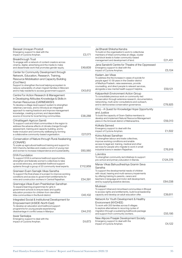| Barasat Unnayan Prostuti<br>Emergency support to deal with the<br>impact of Cyclone Amphan.                                                                                                                                                                                                                                                                                                          | £3,171   |
|------------------------------------------------------------------------------------------------------------------------------------------------------------------------------------------------------------------------------------------------------------------------------------------------------------------------------------------------------------------------------------------------------|----------|
| Breakthrough Trust<br>To engage with a network of content creators across<br>cinema, digital, advertising and the media to make<br>and disseminate work that promotes gender equity.                                                                                                                                                                                                                 | £49,609  |
| Center for Community Development through<br>Network, Education, Research, Training,<br>Resource Mobilisation and Capacity Building<br>(Cod Nerc)<br>Support to strengthen the local helping ecosystem to                                                                                                                                                                                             |          |
| reduce vulnerability of urban migrant families in Mizoram<br>and to help residents to access government support.                                                                                                                                                                                                                                                                                     | £43,612  |
| Centre For Action Research & Management<br>in Developing Attitudes Knowledge & Skills in<br>Human Resources (CARMDAKSH)<br>To develop a village-level support system to strengthen<br>veterinary services, and to introduce an integrated<br>approach to rearing livestock and improve management<br>knowledge, creating a primary and dependable<br>source of income for local farming communities. | £38,288  |
| Chhattisgarh Agricon Samiti<br>To support rural and tribal communities in the region to<br>address the adverse effects of climate change through<br>assessment, training and capacity building, and to<br>foster inclusion and community wellbeing by forming<br>a collaborative community-based organisation.                                                                                       | £27,073  |
| Conservation of Nature through Rural Awakening<br>(CONARE)<br>To scale up agricultural livelihood training and support to<br>500 Chenchu families and create a cohort of young men<br>and women to increase independence and sustainability.                                                                                                                                                         | £60,560  |
| DiYA Foundation<br>To support DiYA to enhance livelihood opportunities,<br>strengthen and federate women's collectives to take<br>up social advocacy, and establish livelihood support<br>systems through a group of 20 community-level experts.                                                                                                                                                     | £112,959 |
| Grameen Evam Samajik Vikas Sanstha<br>To support the final phase of a project to improve working<br>conditions and access to government entitlements for<br>mine and construction workers in Central Rajasthan.                                                                                                                                                                                      | £54,391  |
| Gramrajya Vikas Evam Prashikshan Sansthan<br>To expand learning programmes for girls in<br>government schools to ensure basic and quality<br>education provision for children from denotified<br>tribe communities in the Bundi district.                                                                                                                                                            | £45,102  |
| Integrated Social & Institutional Development for<br>Empowerment (InSIDE-North East)<br>To develop an education and livelihood support<br>programme for young people experiencing<br>disadvantage in conflict areas in Manipur.                                                                                                                                                                      | £44,310  |
| Iswar Sankalpa<br>Emergency support to deal with the<br>impact of Cyclone Amphan.                                                                                                                                                                                                                                                                                                                    | £4,673   |

| Jai Bharati Shiksha Kendra<br>To build on the organisation's work to collectivise<br>members of tribal communities at village, cluster<br>and block levels to foster community-based<br>management and development of land.                                                                         | £21,451  |
|-----------------------------------------------------------------------------------------------------------------------------------------------------------------------------------------------------------------------------------------------------------------------------------------------------|----------|
| Jana Sanskriti Centre for Theatre of the Oppressed<br>Emergency support to deal with the<br>impact of Cyclone Amphan.                                                                                                                                                                               | £5,104   |
| Kadam Jan Vikas<br>To address the the increase in cases of suicide for<br>people aged 10-39 years in the Gwalior district<br>of Madhya Pradesh, raise awareness, provide<br>counselling, and direct people to relevant services,<br>alongside a new mental health support helpline.                 | £59,121  |
| Kalpavriksh Environment Action Group<br>To consolidate previous work on community-led<br>conservation through extensive research, documentation,<br>networking, multi-actor consultations and outreach,<br>and to democrarise conservation governance.                                              | £78,925  |
| Khoj – A Quest for Knowledge Hope Opportunity<br>and Justice<br>To build the capacity of Gram-Sabha members to<br>develop and implement Natural Resource Management<br>plans in the Amravati district of Maharashtra.                                                                               | £59,313  |
| Kolkata Sanved<br>Emergency support to deal with the<br>impact of Cyclone Amphan.                                                                                                                                                                                                                   | £1,502   |
| Kotra Adivasi Sansthan<br>To strengthen labour and trade collectives,<br>improve working conditions and enable<br>access to legal aid, training, medical and other<br>services for people who migrate to work in small<br>industrial towns in western Rajasthan.                                    | £76,918  |
| Lokmitra<br>To strengthen community-led initiatives to support<br>pre-school and primary education in Banda.                                                                                                                                                                                        | £124,376 |
| Manav Vikas Bahuudheshiya Gramin Seva<br>Sanstha<br>To support the developmental needs of children<br>with visual, hearing and multi-sensory impairments<br>by offering training to parents, carers and<br>teachers in language and motor skill development,<br>and by supplying assistive devices. | £64,038  |
| Muskaan<br>To support tribal and minoritised communities in Bhopal<br>to access rights and entitlements, build local leadership<br>capacity and develop an adult education offer.                                                                                                                   | £39,811  |
| Network for Youth Development & Healthy<br>Environment (NYDHEE)<br>To work with 200 families across 8 villages<br>to explore alternatives to recurring cycles of<br>migration through a sustaining livelihoods package<br>and support from community workers.                                       | £55,195  |
| New Alipore Praajak Development Society<br>Emergency support to deal with the<br>impact of Cyclone Amphan.                                                                                                                                                                                          | £4,122   |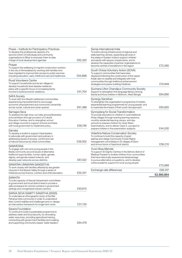| Praxis – Institute for Participatory Practices<br>To develop the professional capacity of a<br>second cohort of individuals and community<br>organisations in Bihar to empower them to take<br>charge of local development agendas.                                                  | £62,320 |
|--------------------------------------------------------------------------------------------------------------------------------------------------------------------------------------------------------------------------------------------------------------------------------------|---------|
| Prayas<br>To support the wellbeing of migrant construction workers<br>in the city of Ahmedabad by working with families who<br>have migrated to improve their access to public services<br>including education, early childhood care and healthcare.                                 | £55,898 |
| Rural Volunteers Centre<br>To support households across ten villages to<br>develop household-level disaster resilience<br>plans with a specific focus on increasing family<br>income to build economic resilience.                                                                   | £41,704 |
| <b>SAFA Society</b><br>To work with four Muslim settlement communities<br>experiencing impoverishment to encourage<br>economic empowerment and community ownership<br>across social, cultural and urban spaces.                                                                      | £61,388 |
| Samagra Seva<br>To address the high drop-out rates among Mushahar<br>schoolchildren through provision of Cultural<br>Education Centres, and to strengthen school<br>and village councils to support schools and liaise<br>with local government to implement policy.                 | £58,746 |
| Samata<br>To develop a toolkit to support tribal leaders<br>to advocate with government and judiciary in<br>addressing issues of access, control and use<br>of natural resources by tribal communities.                                                                              | £39,302 |
| SAMVEDNA<br>To engage with men and young people in the<br>Bedia community around issues of alternative<br>livelihood opportunities, human rights, gender,<br>dignity, and gender-based violence, and<br>develop peer networks across districts.                                      | £67,422 |
| SANATAN UNNAYAN SANGSTHA<br>To work closely with families affected by tea garden<br>closures in the Barack Valley through a series of<br>initiatives across finance, nutrition and child education.                                                                                  | £35,341 |
| SANHITA<br>To build capacity of Sexual Harassment committees<br>at government and local district level to provide a<br>safe workspace for women workers in government<br>settings and unorganised industry sectors.                                                                  | £40,615 |
| SARVA SEVA SAMITY SANSTHA (SSSS)<br>To undertake an ethnographic study of the Mal<br>Pahariya tribe community in order to understand<br>their current realities and challenges and co-design<br>an intervention framework for longer term work.                                      | £31,130 |
| Savera Foundation<br>To continue to build a sustainable programme to<br>address water and food security, by renovating<br>water resources, providing agricultural training,<br>connecting with government facilities and creating<br>and supporting community-based 'water leaders'. | £84,479 |

|                                                                                                                                                                                                                                                                                                                                                          | £2,593,854 |
|----------------------------------------------------------------------------------------------------------------------------------------------------------------------------------------------------------------------------------------------------------------------------------------------------------------------------------------------------------|------------|
| Exchange rate differences                                                                                                                                                                                                                                                                                                                                | £95,747    |
| Yuva Vikas Mandal<br>To support 30 Dignity Centres in the Sehore district of<br>Madhya Pradesh to enable children from communities<br>that have historically experienced disadvantage<br>to pursue alternative occupations, and to develop<br>online academic support for local young people.                                                            | £72,868    |
| Vidarbha Nature Conservation Society<br>To continue to build the capacity of gram<br>sabhas and village Community Forest Rights<br>management committees in 25 villages of Deori<br>and Armori block of Gadchiroli district.                                                                                                                             | £58,210    |
| Synroplang for Social Transformation<br>To provide education to children in rural traditional<br>Khasi villages through evening learning sessions,<br>monthly residential learning camps, and day-<br>schools to prepare children for Open Basic<br>Examinations, and to deliver Class X, a project to<br>prepare children in five examination subjects. | £44,530    |
| Synergy Sansthan<br>To strengthen the organisation's programme of holistic,<br>experiential learning programmes for young people, and<br>to maximise the impact of their youth-led approach.                                                                                                                                                             | £65,820    |
| Suchana Uttor Chandipur Community Society<br>Support to strengthen first language literacy among<br>Santal and Kora children in Birbhum, West Bengal.                                                                                                                                                                                                    | £84,690    |
| South Orissa Voluntary Action (SOVA)<br>To support communities that have been<br>displaced following the construction of the Upper<br>Kolab dam to resettle and integrate with host<br>communities through livelihood enhancement<br>strategies and peace-building initiatives.                                                                          | £74,949    |
| Sense International India<br>To build a strong infrastructure of regional and<br>state learning centres, expanding services in<br>five states in Eastern India to support children<br>and adults with sensory impairments, and to<br>develop the capacities of partner organisations to<br>become centres of excellence in the region.                   | £72,380    |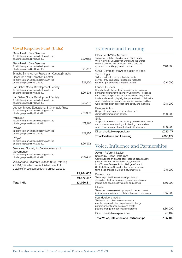#### Covid Response Fund (India)

| <b>Basic Health Care Services</b><br>To aid the organisation in dealing with the<br>challenges posed by Covid-19.                                              | £20,962 |
|----------------------------------------------------------------------------------------------------------------------------------------------------------------|---------|
| <b>Basic Health Care Services</b><br>To aid the organisation in dealing with the<br>challenges posed by Covid-19.                                              | £20,417 |
| Bhasha Sanshodhan Prakashan Kendra (Bhasha<br>Research and Publication Centre)<br>To aid the organisation in dealing with the<br>challenges posed by Covid-19. | £21,120 |
| Jan Sahas Social Development Society<br>To aid the organisation in dealing with the<br>challenges posed by Covid-19.                                           | £20,275 |
| Jan Sahas Social Development Society<br>To aid the organisation in dealing with the<br>challenges posed by Covid-19.                                           | £20,417 |
| Jubayer Masud Educational & Charitable Trust<br>To aid the organisation in dealing with the<br>challenges posed by Covid-19.                                   | £20,909 |
| Muskaan<br>To aid the organisation in dealing with the<br>challenges posed by Covid-19.                                                                        | £21,120 |
| Prayas<br>To aid the organisation in dealing with the<br>challenges posed by Covid-19.                                                                         | £21,120 |
| Prayas<br>To aid the organisation in dealing with the<br>challenges posed by Covid-19.                                                                         | £20,972 |
| Samavesh Society for Development and<br>Governance<br>To aid the organisation in dealing with the<br>challenges posed by Covid-19.                             | £20,486 |
| We awarded 89 grants up to £20,000 totalling<br>£1.264.659 which are not listed here. Full<br>details of these can be found on our website                     |         |
|                                                                                                                                                                |         |

|                    | £1,264,659 |
|--------------------|------------|
|                    | £1,472,457 |
| <b>Total India</b> | £4,066,311 |
|                    |            |

# Evidence and Learning

| <b>Total Evidence and Learning</b>                                                                                                                                                                                                                                                                                                                                               | £333,177 |
|----------------------------------------------------------------------------------------------------------------------------------------------------------------------------------------------------------------------------------------------------------------------------------------------------------------------------------------------------------------------------------|----------|
| Direct charitable expenditure                                                                                                                                                                                                                                                                                                                                                    | £225,177 |
| Shift<br>Support for research project looking at motivations, needs<br>and obstacles in sustaining volunteering communities<br>which have emerged through Covid-19 lockdown.                                                                                                                                                                                                     | £20,000  |
| Refugee Action<br>Support to map legal advice provision and<br>demand for immigration advice.                                                                                                                                                                                                                                                                                    | £20,000  |
| London Funders<br>Contribution to the costs of commissioning learning<br>partners on behalf of the London Community Response<br>Fund to explore potential for continued and longer-term<br>funder collaboration, highlight opportunities to build on the<br>work of civil society groups responding to crisis and find<br>ways to strengthen approaches to equity and inclusion. | £18,000  |
| CAST (Centre for the Acceleration of Social<br>Technology)<br>To further develop the grant advisor web<br>service, providing open, transparent feedback<br>between grant seekers and grant makers.                                                                                                                                                                               | £10,000  |
| <b>Black South West Network</b><br>To support collaboration between Black South<br>West Network, University of Bristol and the Bristol<br>Mayor's Office to test and learn from a One City<br>approach to tackling systemic racism.                                                                                                                                              | £40,000  |

# Voice, Influence and Partnerships

| <b>Total Voice, Influence and Partnerships</b>                                                                                                                                                                                                                                                                                | £165,409 |
|-------------------------------------------------------------------------------------------------------------------------------------------------------------------------------------------------------------------------------------------------------------------------------------------------------------------------------|----------|
| Direct charitable expenditure                                                                                                                                                                                                                                                                                                 | £5,409   |
| sounddelivery media<br>To develop a spokespersons network to<br>enable people with lived experience to change<br>perceptions, influence policy and create<br>positive change through first-hand stories.                                                                                                                      | £80,000  |
| Liberty<br>To support message-testing on public perceptions of<br>judicial review to inform a collaborative public campaign.                                                                                                                                                                                                  | £15,000  |
| Bureau Local<br>To underpin the Bureau's strategic plans to<br>strengthen the local news ecosystem, reporting on<br>inequality to spark positive action and change.                                                                                                                                                           | £50,000  |
| Asylum Reform Initiative,<br>hosted by British Red Cross<br>Contribution to an alliance of six national organisations<br>(Asylum Matters, British Red Cross, Freedom<br>from Torture, Refugee Action, Refugee Council,<br>Scottish Refugee Council) set up to work for long-<br>term, deep change in Britain's asylum system. | £15,000  |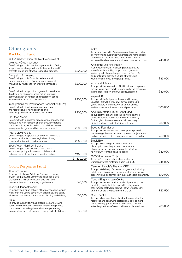## Other grants

#### Backbone Fund

|                                                                                                                                                                                                                                                   | £1,400,000 |
|---------------------------------------------------------------------------------------------------------------------------------------------------------------------------------------------------------------------------------------------------|------------|
| YouthAction Northern Ireland<br>Core funding to build evidence-based work,<br>recommend policy solutions and build networks<br>between the youth sector and decision makers.                                                                      | £150,000   |
| <b>Public Law Project</b><br>Core funding to support the organisation to improve<br>access to justice for those marginalised through<br>poverty, discrimination or disadvantage.                                                                  | £250,000   |
| On Road Media<br>Core funding to strengthen organisational capacity and<br>achieve long term narrative change through strategic<br>communications, aiming to improve public opinion of<br>misrepresented groups within the voluntary sector.      | £200,000   |
| Immigration Law Practitioners Association (ILPA)<br>Core funding to develop organisational capacity<br>and resources, providing expertise and<br>influencing policy on migration law in the UK.                                                   | £200,000   |
| <b>IMIX</b><br>Core funding to support the organisation to reframe<br>the debate on migration, coordinating strategic<br>communication on refugee and integration issues<br>to achieve impact in the public debate.                               | £200,000   |
| Campaign Bootcamp<br>Core funding to build financial resilience and<br>expand a programme of work supporting people<br>impacted by injustice to run effective campaigns.                                                                          | £200,000   |
| ACEVO (Association of Chief Executives of<br><b>Voluntary Organisations)</b><br>Core funding to build membership networks, offering<br>support and challenge to the voluntary sector, and to<br>promote strong and effective leadership practice. | £200,000   |

#### Covid Response Fund

| Albany Theatre<br>To support testing of Artists for Change, a new way<br>of working that switches from traditional top-down<br>programming to a co-creation model with local<br>people, artists and community organisations.                | £43.500 |
|---------------------------------------------------------------------------------------------------------------------------------------------------------------------------------------------------------------------------------------------|---------|
| Allsorts Gloucestershire<br>To support continued delivery of key services and support<br>to children and young people with disabilities, and consult<br>with older members to inform future planning and delivery.                          | £30.000 |
| Arika<br>To provide support to Arika's grassroots partners who<br>deliver frontline support to vulnerable and marginalised<br>communities, including those who are experiencing<br>increased levels of violence and poverty under lockdown. |         |

#### Arika To provide support to Arika's grassroots partners who deliver frontline support to vulnerable and marginalised communities, including those who are experiencing increased levels of violence and poverty under lockdown. £40,000 Arts at the Old Fire Station A one-year extension to existing grant to provide some financial stability, support the organisation in dealing with the challenges posed by Covid-19, and continue to provide a valued offer to Crisis Members and those facing tough times. <br> **E85,000** Artsplay Highland To support the completion of Lit Up with Arts, a project trialling a new approach to support early years learners in language, literacy, and musical development. £30,000 Aspen UK To support the first year of the Aspen UK Young Leaders Fellowship which will develop up to 250 young leaders to build networks, bridge divides and find creative solutions to social problems. £100,000 Asylum Matters (City of Sanctuary) To support the organisation in helping its partners convene, act and advocate locally and nationally for the rights of asylum seekers, in increasingly difficult and unprecedented circumstances. <br>**E30,000** Baobab Foundation To support the research and development phase for the new organisation, delivered by a small project team and overseen by their steering group over six months.  $£50,000$ Black Box To support core organisational costs and planning through the pandemic for a venue championing an inclusive approach, including its work with learning disabled people. £80,000 C4WS Homeless Project To run a Covid-secure homeless shelter in Camden over the winter months in 2020-21. <br> $£45,000$ Camden People's Theatre (CPT) To support delivery of a revised programme, including artists commissions and development of new ways of presenting live performance in the era of social distancing.  $E70,000$ Central England Law Centre To support the continuation of a family reunion project providing quality, holistic support to refugees and their families that works to break down unnecessary barriers, before and after arrival in the UK. <br> **E32,500** Chol Theatre To support core costs and the development of online

resources and continuing professional development to sustain engagement with teachers and children,

extending the theatre's reach while schools are closed.  $£30,000$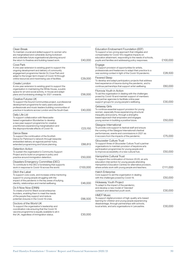| Clean Break<br>To maintain crucial and skilled support to women who<br>are marginalised and vulnerable during lockdown<br>and undertake future organisational planning around<br>the return to theatres and building-based work.                                                | £40,000  |
|---------------------------------------------------------------------------------------------------------------------------------------------------------------------------------------------------------------------------------------------------------------------------------|----------|
| Cove Park<br>A one-year extension to existing grant to support the<br>ongoing development and delivery of community<br>engagement programme Hands On Cove Park and<br>adapt to the longer-term impact of Covid-19 through<br>online resources and maximising use of facilities. | £29,000  |
| Create London<br>A one-year extension to existing grant to support the<br>organisation in maintaining the White House, a public<br>space for art and social activity, in-house and adapt<br>plans and fundraising strategy for 2021 onwards.                                    | £56,000  |
| Creative Futures UK<br>To support the Sound Communities project, a professional<br>development programme for early years education<br>professionals and music leaders building communities of<br>practice in locations across London and the South East.                        | £40,000  |
| Daily Life Ltd<br>To support collaboration with Newcastle-<br>based organisation Wunderbar to develop<br>a new peer support programme for creative<br>practitioners experiencing marginalisation and<br>the disproportionate effects of Covid-19.                               | £23,150  |
| Dance Base<br>To support the continuation of the Scottish<br>Dance for Parkinson's network through bespoke<br>embedded delivery at regional partner hubs,<br>extended programming and future planning.                                                                          | £88,813  |
| Detention Action<br>To sustain the organisation's Community Support<br>Project and to build on progress in policy and<br>practice around immigration detention.                                                                                                                 | £50,000  |
| Disasters Emergency Committee (DEC)<br>To contribute to the DEC's fundraising that supports<br>work in response to Covid-19 across the world.                                                                                                                                   | £100,000 |
| Ditch the Label<br>To support core costs, and increase online mentoring<br>support to young people struggling with the<br>impact of the pandemic in the key areas of bullying,<br>identity, relationships and mental wellbeing.                                                 | £46,000  |
| Do It Now Now (DINN)<br>To create a fund for Black social enterprise<br>founders, enabling them to meet the needs<br>of the people they support and reduce<br>potential closures in the Covid-19 crisis.                                                                        | £66,500  |
| Doctors of the World UK<br>To support the organisation's leadership and<br>coordination role ensuring that the Covid-19<br>vaccine programme is equally available to all in<br>the UK, regardless of immigration status.                                                        | £30,000  |

| Education Endowment Foundation (EEF)<br>To support a two-prong approach that mitigates and<br>compensates for Covid-19's negative impacts on<br>education attainment, responding to the needs of schools,<br>pupils and families and addressing policy responses. | £100,000 |
|-------------------------------------------------------------------------------------------------------------------------------------------------------------------------------------------------------------------------------------------------------------------|----------|
| Engage<br>To support provision of opportunities for artists,<br>professionals and freelancers to adapt their practice to a<br>new working context in light of the Covid-19 pandemic.                                                                              | £28,500  |
| <b>Fevered Sleep</b><br>To develop and adapt participatory projects that address<br>lived experience of trauma during the pandemic, and to<br>continue partnerships that support artist wellbeing.                                                                | £60,000  |
| Fitzrovia Youth in Action<br>To aid the organisation in dealing with the challenges<br>posed by Covid-19 and maintain support of members<br>and partner agencies to facilitate online peer<br>support groups for young people's wellbeing.                        | £30,000  |
| Getaway Girls<br>To continue essential support provision for young<br>women, especially those experiencing structural<br>inequality and poverty, through a strengths-<br>based approach that empowers and engages<br>young women in building a positive future.   | £50,000  |
| Glasgow International<br>To provide core support to festival staff and ensure<br>the running of the Glasgow International's festival<br>performances, events and commissions in 2021 as<br>it recovers from the impacts of the pandemic.                          | £75,000  |
| Gloucester Culture Trust<br>To support three of Gloucester Culture Trust's partner<br>organisations to maintain provision of keystone arts<br>participation programmes for young people and<br>to improve accessibility of a new cultural hub.                    | £50,000  |
| Hampshire Cultural Trust<br>To support the continuation of Horizon 20:20, an arts<br>education intervention for young people attending<br>Hampshire's Education Centres for alternative provision,<br>where artists work with young people and teachers.          | £111,000 |
| <b>Hatch Enterprise</b><br>Core support to aid the organisation in dealing<br>with the challenges posed by Covid-19.                                                                                                                                              | £50,000  |
| Hideaway Youth Project<br>To adapt to the impact of the pandemic,<br>and develop a new model of 'blended'<br>outreach and detached youth work.                                                                                                                    | £30,000  |
| HMDT Music<br>To support digital provision of high-quality arts-based<br>learning for children and young people experiencing<br>disadvantage, through partnerships with schools,<br>local artists, and arts organisations in Lancashire.                          | £30,000  |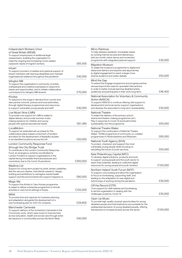| Independent Workers Union<br>of Great Britain (IWGB)<br>To support employment of additional legal<br>caseworkers, enabling the organisation to<br>meet the ongoing and increasing Covid-related<br>casework needs of migrant workers.                                                                              | £65,500  |
|--------------------------------------------------------------------------------------------------------------------------------------------------------------------------------------------------------------------------------------------------------------------------------------------------------------------|----------|
| Intoart<br>To support provision of welfare and pastoral support of<br>Intoart members with learning disabilities and maintain<br>organisational resilience throughout the pandemic.                                                                                                                                | £42,000  |
| Islington Mill<br>To support the organisation's community of artists,<br>craftspeople and creative businesses to respond to<br>needs and opportunities, and to initiate collaborative<br>commissions for Islington Mill tenants.                                                                                   | £70,000  |
| Khulisa<br>To respond to the surge in demand from current and<br>new partner schools, prisons and local authorities,<br>through digital therapy programmes and resources<br>to support vulnerable young people and staff.                                                                                          | £30,000  |
| Live Music Now (LMN)<br>To provide core support for LMN to adapt to<br>digital delivery and provide summer music-<br>making sessions for children and young<br>people with special educational needs.                                                                                                              | £61,390  |
| LocalMotion<br>To support an extended set-up phase for this<br>collaborative place-based consortium of funders<br>and allow for the development of feasibility studies<br>in six identified locations across the UK.                                                                                               | £50,000  |
| London Community Response Fund<br>(through the City Bridge Trust)<br>To contribute to the London Community Response<br>Fund, an emergency scheme coordinated by<br>London Funders to support organisations in the<br>capital facing immediate financial pressures and<br>uncertainty due to the Covid-19 pandemic. | £250,000 |
| Madlove Ltd<br>Support for a long-term project by artist James Leadbitter,<br>aka the vacuum cleaner, that blends research, design,<br>building and exhibitions to reimagine mental health<br>support and the environments this support happens in.                                                                | £80,000  |
| Magic Me<br>To support the Artists in Care Homes programme<br>to adapt to deliver a bespoke programme of remote<br>activities in care home settings in Essex.                                                                                                                                                      | £102,000 |
| MAIA<br>To provide time and capacity for business planning<br>and adaptation alongside the development of a<br>new fundraising plan for 2021/22 onwards.                                                                                                                                                           | £29,800  |
| Manchester Camerata<br>To support delivery of the orchestra's Camerata in the<br>Community work, which uses music to improve lives<br>across education, health and social care through artist-<br>led sessions in communities across the North West.                                                               | £40,000  |

| Micro Rainbow<br>To help address residents' immediate needs<br>by funding internet access and delivering a<br>pilot six-month online dance and movement<br>programme with integrated pastoral support.                                               | £30,000  |
|------------------------------------------------------------------------------------------------------------------------------------------------------------------------------------------------------------------------------------------------------|----------|
| <b>Migration Museum</b><br>To adapt the museum's programme to digital and<br>distanced delivery and explore new approaches<br>to digital engagement to reach a larger more<br>diverse audience and widen debate.                                     | £50,000  |
| Mind the Gap<br>To extend the Engage programme and progress partner<br>venues beyond the need for specialist interventions<br>in order to better include learning disabled artists,<br>audiences and participants in their work long-term.           | £46,400  |
| National Association for Voluntary & Community<br>Action (NAVCA)<br>To support NAVCA to continue offering vital support to<br>development and local sector support organisations<br>and develop the association's long-term sustainability.          | £30,000  |
| National Theatre<br>To adapt the delivery of the primary school<br>drama and theatre-making programme Let's<br>Play in response to Covid-19 and build further<br>sustainability into the programme.                                                  | £50,000  |
| National Theatre Wales<br>To support the continuation of National Theatre<br>Wales' TEAM programme of community co-created<br>programmes in Pembrokeshire and Wrexham.                                                                               | £65,000  |
| National Youth Agency (NYA)<br>To protect, champion and support the most<br>vulnerable young people while focusing on<br>rebuilding the future of youth services.                                                                                    | £50,000  |
| New Philanthropy Capital (NPC)<br>To develop digital solutions, products and tools<br>to support young people and the youth sector to<br>reach their potential, leading to collective digital<br>resources for young people and youth workers.       | £100,000 |
| Northern Ireland Youth Forum (NIYF)<br>To support core funding and allow the organisation<br>to focus on fundraising, supporting staff, and<br>leading on the adaptation to new digital and<br>hybrid ways of working during the pandemic.           | £30,000  |
| Off the Record (OTR)<br>Core support for staff salaries and fundraising,<br>to aid the organisation in dealing with the<br>challenges posed by Covid-19.                                                                                             | £30,000  |
| Open Up Music<br>To provide high-quality musical opportunities for young<br>disabled people and hold institutions accountable for the<br>widespread exclusion of young disabled people, offering<br>frameworks to increase access across the sector. | £100,000 |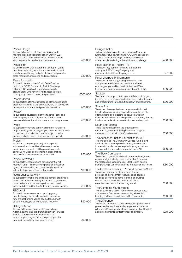| Paines Plough<br>To support a new small-scale touring network,<br>facilitate the small-scale tour of new work in 2021<br>and 2022, and continue audience development to                                                                                                          | £66,000  |
|----------------------------------------------------------------------------------------------------------------------------------------------------------------------------------------------------------------------------------------------------------------------------------|----------|
| encourage audiences back into arts venues.<br>Peace First<br>To develop a UK pilot programme to support young<br>people experiencing injustice and inequality to lead<br>social change through a digital platform that provides<br>tools, resources, mentoring and small grants. | £50,000  |
| <b>Pears Foundation</b><br>To contribute to a pooled Covid Relief Fund as<br>part of the DCMS Community Match Challenge<br>scheme - UK Youth will support small youth<br>organisations who have not had access to crisis<br>funding they need to survive the pandemic.           | £500,000 |
| People United<br>To support long term organisational planning including<br>artist commissions, a digital strategy, and an accessible<br>online platform for arts and prosocial behaviour.                                                                                        | £60,000  |
| Power2<br>To support redevelopment of the flagship Teens and<br>Toddlers programme in light of the pandemic and<br>oversee relationships with schools across programmes.                                                                                                         | £30,000  |
| Praxis<br>To support the remote delivery of Brighter Futures, a<br>project working with young people to ensure their access<br>to food, accommodation, financial support, health<br>guidance, digital access and one-to-one support.                                             | £60,000  |
| Project 17<br>To deliver a one-year pilot project to expand<br>advice services to families with no recourse to<br>public funds across the UK by providing remote<br>advice using video conferencing in areas that do<br>not have face to face services of this kind.             | £50,000  |
| Project Art Works<br>To support the research and development of Art<br>Freedom Care – a new delivery plan that focuses on<br>rights, representation, and creative collaborations<br>with autistic people with complex needs.                                                     | £100,000 |
| Racial Justice Network<br>To support the mentoring and development of antiracist<br>collectives and refine the organisation's programmes,<br>collaborations and partnerships in order to meet<br>increased demand for their Unlearning Racism training.                          | £25,000  |
| RECLAIM<br>To contribute to core work supporting young<br>people through the pandemic and to develop a<br>new project bringing young people together with<br>cultural leaders, policy workers and teachers.                                                                      | £50,000  |
| Refugee Action<br>To support the continuation of Respond and<br>Adapt, a partnership programme between Refugee<br>Action, Migration Exchange and NACCOM,<br>which supports organisations responding to the<br>pandemic to build for long-term recovery.                          | £90,000  |
|                                                                                                                                                                                                                                                                                  |          |

| Refugee Action<br>To help establish a pooled fund between Migration<br>Exchange, Refugee Action and NACCOM, to support<br>frontline charities working in the migration sector<br>where people are facing vulnerability and challenge.<br>Royal Exchange Theatre (RET)<br>To support key delivery roles and engagement<br>activity for RET's Young Company and<br>ensure sustainability of the programme.<br>Royal Liverpool Philharmonic<br>To support In Harmony, a programme that aims<br>to improve the education, aspirations and health<br>of young people and families in Anfield and West<br>Everton and transform communities through music.<br>Scottee<br>To extend our support of Scottee and Friends for a year,<br>investing in the company's artistic research, development<br>and programming throughout lockdown and reopening.<br>Shape Arts<br>To support the organisation's programme Unlimited<br>to extend commissioning support for disabled artists,<br>offering micro-commissions to disabled artists in<br>Northern Ireland and providing ad hoc emergency funding<br>for disabled artists to access equipment and support.<br>South East Dance<br>To aid the continuation of the organisation's<br>national programme Little Big Dance and support<br>the artist community in post-Covid recovery.<br>The Access to Justice Foundation (ATJF)<br>To contribute to The Community Justice Fund, a joint<br>funder initiative which provides emergency support<br>to specialist social welfare legal advice organisations<br>to cope with the immediate impact of Covid-19.<br>The Black Curriculum<br>To support organisational development and the growth<br>of a campaign to design a curriculum that focuses on<br>the realities and experiences of Black British people,<br>incorporating a variety of teaching methods and art forms.<br>The Centre for Literacy in Primary Education (CLPE)<br>To support adaptation of teacher continuing<br>professional development resources and courses<br>for digital delivery and home learning, and further<br>develop the sustainability and impact of the<br>organisation's new online learning model.<br>The Centre for Youth Impact |          |
|--------------------------------------------------------------------------------------------------------------------------------------------------------------------------------------------------------------------------------------------------------------------------------------------------------------------------------------------------------------------------------------------------------------------------------------------------------------------------------------------------------------------------------------------------------------------------------------------------------------------------------------------------------------------------------------------------------------------------------------------------------------------------------------------------------------------------------------------------------------------------------------------------------------------------------------------------------------------------------------------------------------------------------------------------------------------------------------------------------------------------------------------------------------------------------------------------------------------------------------------------------------------------------------------------------------------------------------------------------------------------------------------------------------------------------------------------------------------------------------------------------------------------------------------------------------------------------------------------------------------------------------------------------------------------------------------------------------------------------------------------------------------------------------------------------------------------------------------------------------------------------------------------------------------------------------------------------------------------------------------------------------------------------------------------------------------------------------------------------------------------------------------------------------------------------------------------------------|----------|
|                                                                                                                                                                                                                                                                                                                                                                                                                                                                                                                                                                                                                                                                                                                                                                                                                                                                                                                                                                                                                                                                                                                                                                                                                                                                                                                                                                                                                                                                                                                                                                                                                                                                                                                                                                                                                                                                                                                                                                                                                                                                                                                                                                                                              | £400,000 |
|                                                                                                                                                                                                                                                                                                                                                                                                                                                                                                                                                                                                                                                                                                                                                                                                                                                                                                                                                                                                                                                                                                                                                                                                                                                                                                                                                                                                                                                                                                                                                                                                                                                                                                                                                                                                                                                                                                                                                                                                                                                                                                                                                                                                              | £77,000  |
|                                                                                                                                                                                                                                                                                                                                                                                                                                                                                                                                                                                                                                                                                                                                                                                                                                                                                                                                                                                                                                                                                                                                                                                                                                                                                                                                                                                                                                                                                                                                                                                                                                                                                                                                                                                                                                                                                                                                                                                                                                                                                                                                                                                                              | £80,000  |
|                                                                                                                                                                                                                                                                                                                                                                                                                                                                                                                                                                                                                                                                                                                                                                                                                                                                                                                                                                                                                                                                                                                                                                                                                                                                                                                                                                                                                                                                                                                                                                                                                                                                                                                                                                                                                                                                                                                                                                                                                                                                                                                                                                                                              | £90,000  |
|                                                                                                                                                                                                                                                                                                                                                                                                                                                                                                                                                                                                                                                                                                                                                                                                                                                                                                                                                                                                                                                                                                                                                                                                                                                                                                                                                                                                                                                                                                                                                                                                                                                                                                                                                                                                                                                                                                                                                                                                                                                                                                                                                                                                              | £200,000 |
|                                                                                                                                                                                                                                                                                                                                                                                                                                                                                                                                                                                                                                                                                                                                                                                                                                                                                                                                                                                                                                                                                                                                                                                                                                                                                                                                                                                                                                                                                                                                                                                                                                                                                                                                                                                                                                                                                                                                                                                                                                                                                                                                                                                                              | £60,000  |
|                                                                                                                                                                                                                                                                                                                                                                                                                                                                                                                                                                                                                                                                                                                                                                                                                                                                                                                                                                                                                                                                                                                                                                                                                                                                                                                                                                                                                                                                                                                                                                                                                                                                                                                                                                                                                                                                                                                                                                                                                                                                                                                                                                                                              | £300,000 |
|                                                                                                                                                                                                                                                                                                                                                                                                                                                                                                                                                                                                                                                                                                                                                                                                                                                                                                                                                                                                                                                                                                                                                                                                                                                                                                                                                                                                                                                                                                                                                                                                                                                                                                                                                                                                                                                                                                                                                                                                                                                                                                                                                                                                              | £80,000  |
|                                                                                                                                                                                                                                                                                                                                                                                                                                                                                                                                                                                                                                                                                                                                                                                                                                                                                                                                                                                                                                                                                                                                                                                                                                                                                                                                                                                                                                                                                                                                                                                                                                                                                                                                                                                                                                                                                                                                                                                                                                                                                                                                                                                                              | £50,000  |
| To maintain online delivery and evaluation resources<br>to ensure the Centre continues to play a key role in<br>learning and impact work beyond the pandemic.                                                                                                                                                                                                                                                                                                                                                                                                                                                                                                                                                                                                                                                                                                                                                                                                                                                                                                                                                                                                                                                                                                                                                                                                                                                                                                                                                                                                                                                                                                                                                                                                                                                                                                                                                                                                                                                                                                                                                                                                                                                | £50,000  |
| The Difference<br>To develop Difference Leaders by upskilling secondary<br>phase teachers with leadership experience placed in<br>Alternative Provision schools and to ensure that Covid-19<br>adjustments maintain effectiveness and impact.                                                                                                                                                                                                                                                                                                                                                                                                                                                                                                                                                                                                                                                                                                                                                                                                                                                                                                                                                                                                                                                                                                                                                                                                                                                                                                                                                                                                                                                                                                                                                                                                                                                                                                                                                                                                                                                                                                                                                                | £75,000  |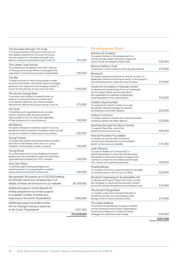| The Duncairn (through 174 Trust)<br>To increase capacity and ensure continuity of a<br>new digital programme for its local community,<br>improve support for volunteers and staff, and<br>allow for long-term planning through Covid-19. | £31,000     |
|------------------------------------------------------------------------------------------------------------------------------------------------------------------------------------------------------------------------------------------|-------------|
| The Larder Cook School<br>To contribute to the salaries of the CEO, Director<br>of Training and a Group Worker to strengthen the<br>organisation and enhance long term sustainability.                                                   | £30,000     |
| The Mix<br>To adapt services to meet young people's needs<br>around mental health, information advice and digital<br>guidance, and respond to the changing context of<br>Covid-19 with partners across youth services.                   | £100,000    |
| The Social Change Nest<br>To provide core funding for essential start-up<br>support to new grassroots movements and<br>unconstituted networks, and meet increased<br>demand from Mutual Aid Groups during Covid-19.                      | £70,000     |
| UK Youth<br>To facilitate youth organisations who provide<br>support, develop skills and give access to<br>opportunities for 9 to 25-year-olds regardless<br>of their background or circumstances.                                       | £50,000     |
| We Belong<br>To sustain emergency hardship support for young<br>people who lack permanent immigration status as well<br>as improve systems of staff support and training.                                                                | £30,000     |
| <b>Young Futures</b><br>To sustain high quality and transformative transition<br>services for care leavers with a focus on young<br>residents' mental health and life-prospects.                                                         | £30,000     |
| Young Roots<br>To sustain support for young refugees and asylum<br>seekers who are vulnerably housed and plan future<br>organisational fundraising for 2021 onwards.                                                                     | £30,000     |
| Your Own Place<br>To develop digital training packages and<br>sustain services for young people to maintain<br>secure tenancies and plan for the future.                                                                                 | £30,000     |
| We awarded 344 grants up to £20,000 totalling<br>£6,258,562 which are not listed here. Full<br>details of these can be found on our website.                                                                                             | £6,258,562  |
| Additional support via the Awards for<br>Artists programme to provide support<br>to a greater number of artists as a                                                                                                                     |             |
| response to the Covid-19 pandemic<br>Additional support provided via the<br>Act for Change Fund as a response                                                                                                                            | £520,000    |
| to the Covid-19 pandemic                                                                                                                                                                                                                 | £311,200    |
|                                                                                                                                                                                                                                          | £13,318,815 |

#### Development Fund

| Ashoka UK & Ireland<br>To support Ashoka in the development of a<br>Young Change Leader internship programme<br>and to recruit two people to these roles.                                                                                                      | £20,000  |
|----------------------------------------------------------------------------------------------------------------------------------------------------------------------------------------------------------------------------------------------------------------|----------|
| <b>Barrow Cadbury Trust</b><br>Contribution to the Funders for Race Equality Alliance.                                                                                                                                                                         | £15,000  |
| Bossing It<br>To create a space and network for womxn of colour in<br>leadership positions in the impact sector, to find support<br>and share experience, ideas and opportunities.                                                                             | £10,000  |
| Centre for Innovation in Voluntary Action<br>To develop the Create Equity Fund, an investment<br>fund to support Black and minority ethnic<br>led organisations to address longstanding<br>racial inequalities in the cultural sector.                         | £15,000  |
| Creative Opportunities<br>To underpin the director's salary for a year,<br>alongside a tailored package of coaching<br>and training to build staff capacity.                                                                                                   | £20,000  |
| Culture Commons<br>To create a series of creative and cultural industries<br>workforce panels with Metro Mayors.                                                                                                                                               | £20,000  |
| Field Day (through the Nerve Centre)<br>To support Stay Alive, a short film<br>exploring the issue of survival.                                                                                                                                                | £20,000  |
| Friends Provident Foundation<br>To develop an annual index of diversity,<br>inclusion and transparency in the foundation<br>sector to improve accountability.                                                                                                  | £15,000  |
| Julie's Bicycle<br>To support Season for Change 2020, a<br>nationwide festival of culture and climate action<br>that aimed to invite communities throughout the<br>country to connect to the climate crisis through<br>arts, culture and creative experiences. | £20,000  |
| Positive Money<br>To mobilise community supporters and to campaign<br>on climate finance in the run up to COP26.                                                                                                                                               | £20,000  |
| Students Organising for Sustainability UK<br>To develop and support Teach the Future, a youth-<br>led campaign to repurpose the education system<br>around the climate emergency and ecological crisis.                                                        | £16,500  |
| The Social Change Nest<br>To create a youth-led movement that aims to<br>double the number of young trustees under<br>the age of 26 on charity boards by 2024.                                                                                                 | £10,000  |
| The Ubele Initiative<br>To fund the Exhale Retreat to support 20 Black<br>women working in social justice organisations,<br>trusts and foundations to create and share<br>strategies for collective social change.                                             | £20,000  |
|                                                                                                                                                                                                                                                                | £221,500 |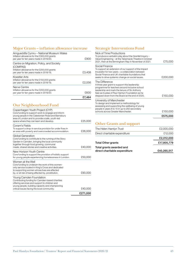#### Major Grants – inflation allowance increase

| Amqueddfa Cymru – National Museum Wales<br>Inflation allowance for the £300,000 grants<br>per year for ten years made in 2019/20.              |        |
|------------------------------------------------------------------------------------------------------------------------------------------------|--------|
| Centre on Migration, Policy, and Society<br>(COMPAS)<br>Inflation allowance for the £200,000 grants<br>per year for ten years made in 2018/19. | £3,408 |
| Koestler Arts<br>Inflation allowance for the £150,000 grants<br>per year for ten years made in 2018/19.                                        | £2.556 |
| Nerve Centre<br>Inflation allowance for the £200,000 grants<br>per year for ten years made in 2019/20.                                         | 476N)  |
|                                                                                                                                                | £7.464 |

## Our Neighbourhood Fund

| Copenhagen Youth Project (CYP)<br>Core funding to support work to engage and inform<br>young people in the Caledonian Road and Barnsbury<br>area of London and to provide a safe, youth-led<br>space where they can learn and develop. | £25,000  |
|----------------------------------------------------------------------------------------------------------------------------------------------------------------------------------------------------------------------------------------|----------|
| Coram's Fields<br>To support a drop-in service provision for under fives in<br>an area with poverty and overcrowded accommodation.                                                                                                     | £26,000  |
| Global Generation<br>Core funding to contribute to the running of the Story<br>Garden in Camden, bringing the local community<br>together through food growing, communal<br>meals, shared stories and creative activities.             | £40,000  |
| New Horizon Youth Centre<br>Core funding to support the provision of holistic support<br>for young people experiencing homelessness in London.                                                                                         | £50,000  |
| Women at the Well<br>Core funding to underpin the work of this women-<br>only service located in King's Cross and dedicated<br>to supporting women whose lives are affected<br>by, or at risk of being affected by, prostitution.      | £90,000  |
| Young Camden Foundation<br>Contributing funding for Camden-based charities<br>offering services and support to children and<br>young people, building capacity and championing<br>critical issues facing the local community.          | £40,000  |
|                                                                                                                                                                                                                                        | £271,000 |

#### Strategic Interventions Fund

|                                                                                                                                                                                                                                                                          | £575,000 |
|--------------------------------------------------------------------------------------------------------------------------------------------------------------------------------------------------------------------------------------------------------------------------|----------|
| University of Manchester<br>To design and implement a methodology for<br>assessing and supporting the wellbeing of young<br>people in years 8 to 10 in up to 250 secondary<br>schools across Greater Manchester.                                                         | £150,000 |
| The Difference<br>A three year grant to support this leadership<br>programme for teachers around inclusive school<br>leadership and mark the tenure of Sir Anthony<br>Salz as trustee of Paul Hamlyn Foundation as he<br>stepped down from the Board at the end of 2020. | £150,000 |
| Social Finance<br>To support an extension of our support of the Impact<br>Incubator for two years - a collaboration between<br>Social Finance and UK charitable foundations that<br>seeks to drive systemic change on social issues.                                     | £200,000 |
| Nick of Time Productions<br>To produce a verbatim play about the Grenfell Inquiry -<br>Value Engineering - at the Tabernacle Theatre in October<br>2021, then at the Birmingham Rep in November of 2021.                                                                 | £75,000  |

## Other Grants and support

| The Helen Hamlyn Trust                                    | £2,000,000  |
|-----------------------------------------------------------|-------------|
| Direct charitable expenditure                             | £12,000     |
|                                                           | £2,012,000  |
| <b>Total Other grants</b>                                 | £17,805,779 |
| Total grants awarded and<br>direct charitable expenditure | £40,265,517 |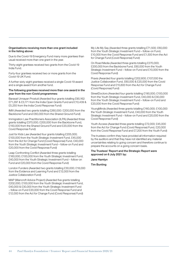#### Organisations receiving more than one grant included in the listing above:

Due to the Covid-19 Emergency Fund many more grantees than usual received more than one grant in the year.

Thirty-eight grantees received two grants from the Covid-19 India Fund.

Forty-four grantees received two or more grants from the Covid-19 UK Fund.

A further sixty-eight grantees received a single Covid-19 award and a single award from another fund.

#### The following grantees received more than one award in the year from the non-Covid programmes:

Barasat Unnayan Prostuti (Awarded four grants totalling £90,162: £71,297 & £3,171 from the India Open Grants Fund and £10,439 & £5,255 from the India Covid Response Fund)

IMIX (Awarded two grants totalling £260,000: £200,000 from the Backbone Fund and £60,000 from the Shared Ground Fund)

Immigration Law Practitioners Association (ILPA) (Awarded three grants totalling £370,000; £200,000 from the Backbone Fund, £150,000 from the Shared Ground Fund and £20,000 from the Covid Response Fund)

Just for Kids Law (Awarded four grants totalling £205,000; £100,000 from the Youth Strategic Investment Fund, £45,000 from the Act for Change Fund (Covid Response) Fund, £40,000 from the Youth Strategic Investment Fund – follow-on Fund and £20,000 from the Covid Response Fund)

Leap Confronting Conflict (Awarded three grants totalling £160,000; £100,000 from the Youth Strategic Investment Fund, £40,000 from the Youth Strategic Investment Fund – follow-on Fund and £20,000 from the Covid Response Fund)

London Funders (Awarded two grants totalling £30,000; £18,000 from the Evidence and Learning Fund and £12,000 from the Justice Collaboration Fund)

MAP (Mancroft Advice Project) (Awarded five grants totalling £202,000; £100,000 from the Youth Strategic Investment Fund, £40,000 & £30,000 from the Youth Strategic Investment Fund – follow-on Fund £20,000 from the Covid Response Fund and £12,000 from the Act for Change Fund (Covid Response) Fund)

My Life My Say (Awarded three grants totalling £71,500; £60,000 from the Youth Strategic Investment Fund – follow-on Fund, £10,000 from the Covid Response Fund and £1,500 from the Act for Change Fund (Covid Response) Fund)

On Road Media (Awarded three grants totalling £270,000; £200,000 from the Backbone Fund, £60,000 from the Youth Strategic Investment Fund – follow-on Fund and £10,000 from the Covid Response Fund)

Praxis (Awarded four grants totalling £202,600; £107,000 the Justice Collaboration Fund, £60,000 & £20,000 from the Covid Response Fund and £15,600 from the Act for Change Fund (Covid Response) Fund)

StreetDoctors (Awarded four grants totalling £190,000; £100,000 from the Youth Strategic Investment Fund, £40,000 & £30,000 from the Youth Strategic Investment Fund – follow-on Fund and £20,000 from the Covid Response Fund)

YoungMinds (Awarded three grants totalling £160,000; £100,000 the Youth Strategic Investment Fund, £40,000 from the Youth Strategic Investment Fund – follow-on Fund and £20,000 from the Covid Response Fund)

Youth Access (Awarded three grants totalling £72,000; £45,000 from the Act for Change Fund (Covid Response) Fund, £20,000 from the Covid Response Fund and £7,200 from the Youth Fund)

The trustees confirm they have provided all information required by the auditors and that they have not identified any material uncertainties relating to going concern and therefore continue to prepare the accounts on a going concern basis.

The Trustees' Report and the Strategic Report were approved on 6 July 2021 by:

#### Jane Hamlyn

Tim Bunting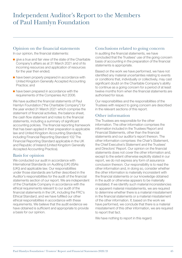#### Opinion on the financial statements

In our opinion, the financial statements:

- give a true and fair view of the state of the Charitable Company's affairs as at 31 March 2021 and of its incoming resources and application of resources for the year then ended;
- have been properly prepared in accordance with United Kingdom Generally Accepted Accounting Practice; and
- have been prepared in accordance with the requirements of the Companies Act 2006.

We have audited the financial statements of Paul Hamlyn Foundation ("the Charitable Company") for the year ended 31 March 2021 which comprise the statement of financial activities, the balance sheet, the cash flow statement and notes to the financial statements, including a summary of significant accounting policies. The financial reporting framework that has been applied in their preparation is applicable law and United Kingdom Accounting Standards, including Financial Reporting Standard 102 The Financial Reporting Standard applicable in the UK and Republic of Ireland (United Kingdom Generally Accepted Accounting Practice).

#### Basis for opinion

We conducted our audit in accordance with International Standards on Auditing (UK) (ISAs (UK)) and applicable law. Our responsibilities under those standards are further described in the Auditor's responsibilities for the audit of the financial statements section of our report. We are independent of the Charitable Company in accordance with the ethical requirements relevant to our audit of the financial statements in the UK, including the FRC's Ethical Standard, and we have fulfilled our other ethical responsibilities in accordance with these requirements. We believe that the audit evidence we have obtained is sufficient and appropriate to provide a basis for our opinion.

#### Conclusions related to going concern

In auditing the financial statements, we have concluded that the Trustees' use of the going concern basis of accounting in the preparation of the financial statements is appropriate.

Based on the work we have performed, we have not identified any material uncertainties relating to events or conditions that, individually or collectively, may cast significant doubt on the Charitable Company's ability to continue as a going concern for a period of at least twelve months from when the financial statements are authorised for issue.

Our responsibilities and the responsibilities of the Trustees with respect to going concern are described in the relevant sections of this report.

#### Other information

The Trustees are responsible for the other information. The other information comprises the information included in the Trustees Report and Financial Statements, other than the financial statements and our auditor's report thereon. The other information comprises: the Chair's Statement, the Chief Executive's Statement and the Trustees' and Directors' Report. Our opinion on the financial statements does not cover the other information and, except to the extent otherwise explicitly stated in our report, we do not express any form of assurance conclusion thereon. Our responsibility is to read the other information and, in doing so, consider whether the other information is materially inconsistent with the financial statements or our knowledge obtained in the audit or otherwise appears to be materially misstated. If we identify such material inconsistencies or apparent material misstatements, we are required to determine whether there is a material misstatement in the financial statements or a material misstatement of the other information. If, based on the work we have performed, we conclude that there is a material misstatement of this other information, we are required to report that fact.

We have nothing to report in this regard.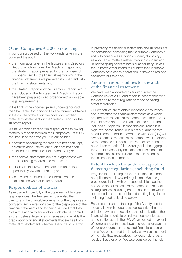#### Other Companies Act 2006 reporting

In our opinion, based on the work undertaken in the course of the audit:

- the information given in the Trustees' and Directors' Report, which includes the Directors' Report and the Strategic report prepared for the purposes of Company Law, for the financial year for which the financial statements are prepared is consistent with the financial statements; and
- the Strategic report and the Directors' Report, which are included in the Trustees' and Directors' Report, have been prepared in accordance with applicable legal requirements.

In the light of the knowledge and understanding of the Charitable Company and its environment obtained in the course of the audit, we have not identified material misstatements in the Strategic report or the Trustee's report.

We have nothing to report in respect of the following matters in relation to which the Companies Act 2006 requires us to report to you if, in our opinion;

- adequate accounting records have not been kept, or returns adequate for our audit have not been received from branches not visited by us; or
- the financial statements are not in agreement with the accounting records and returns; or
- certain disclosures of Directors' remuneration specified by law are not made; or
- we have not received all the information and explanations we require for our audit.

#### Responsibilities of trustees

As explained more fully in the Statement of Trustees' responsibilities, the Trustees (who are also the directors of the charitable company for the purposes of company law) are responsible for the preparation of the financial statements and for being satisfied that they give a true and fair view, and for such internal control as the Trustees determines is necessary to enable the preparation of financial statements that are free from material misstatement, whether due to fraud or error.

In preparing the financial statements, the Trustees are responsible for assessing the Charitable Company's ability to continue as a going concern, disclosing, as applicable, matters related to going concern and using the going concern basis of accounting unless the Trustees either intend to liquidate the Charitable Company or to cease operations, or have no realistic alternative but to do so.

#### Auditor's responsibilities for the audit of the financial statements

We have been appointed as auditor under the Companies Act 2006 and report in accordance with the Act and relevant regulations made or having effect thereunder.

Our objectives are to obtain reasonable assurance about whether the financial statements as a whole are free from material misstatement, whether due to fraud or error, and to issue an auditor's report that includes our opinion. Reasonable assurance is a high level of assurance, but is not a guarantee that an audit conducted in accordance with ISAs (UK) will always detect a material misstatement when it exists. Misstatements can arise from fraud or error and are considered material if, individually or in the aggregate, they could reasonably be expected to influence the economic decisions of users taken on the basis of these financial statements.

#### Extent to which the audit was capable of detecting irregularities, including fraud

Irregularities, including fraud, are instances of noncompliance with laws and regulations. We design procedures in line with our responsibilities, outlined above, to detect material misstatements in respect of irregularities, including fraud. The extent to which our procedures are capable of detecting irregularities, including fraud is detailed below:

Based on our understanding of the Charity and the industry in which it operates, we identified that the principal laws and regulations that directly affect the financial statements to be relevant companies acts and charities acts in the UK. We assessed the extent of compliance with these laws and regulations as part of our procedures on the related financial statement items. We considered the Charity's own assessment of the risks that irregularities may occur either as a result of fraud or error. We also considered financial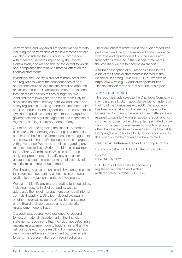performance and key drivers for performance targets, including the performance of the investment portfolio. We also considered the risks of non-compliance with other requirements imposed by the Charity Commission, and we considered the extent to which non-compliance might have a material effect on the financial statements.

In addition, the Charity is subject to many other laws and regulations where the consequences of noncompliance could have a material effect on amounts or disclosures in the financial statements, for instance through the imposition of fines or litigation. We identified the following areas as those most likely to have such an effect: employment law and health and safety regulations. Auditing standards limit the required audit procedures to identify non-compliance with these laws and regulations to enquiry of those charged with governance and other management and inspection of regulatory and legal correspondence if any.

Our tests included agreeing the financial statement disclosures to underlying supporting documentation, enquiries of the Finance Committee and management and review of minutes of meetings of those charged with governance. We made enquiries regarding any matters identified as a Serious Incident as reportable to the Charity Commission. We also performed analytical procedures to identify any unusual or unexpected relationships that may indicate risks of material misstatement due to fraud.

We challenged assumptions made by management in their significant accounting estimates, in particular in relation to the valuation of unlisted investments.

We did not identify any matters relating to irregularities, including fraud. As in all of our audits, we also addressed the risk of management override of internal controls, including testing journals and evaluating whether there was evidence of bias by management or the Board that represented a risk of material misstatement due to fraud.

Our audit procedures were designed to respond to risks of material misstatement in the financial statements, recognising that the risk of not detecting a material misstatement due to fraud is higher than the risk of not detecting one resulting from error, as fraud may involve deliberate concealment by, for example, forgery, misrepresentations or through collusion.

There are inherent limitations in the audit procedures performed and the further removed non-compliance with laws and regulations is from the events and transactions reflected in the financial statements, the less likely we are to become aware of it.

A further description of our responsibilities for the audit of the financial statements is located at the Financial Reporting Council's ("FRC's") website at: https://www.frc.org.uk/auditorsresponsibilities. This description forms part of our auditor's report.

#### Use of our report

This report is made solely to the Charitable Company's members, as a body, in accordance with Chapter 3 of Part 16 of the Companies Act 2006. Our audit work has been undertaken so that we might state to the Charitable Company's members those matters we are required to state to them in an auditor's report and for no other purpose. To the fullest extent permitted by law, we do not accept or assume responsibility to anyone other than the Charitable Company and the Charitable Company's members as a body, for our audit work, for this report, or for the opinions we have formed.

#### Heather Wheelhouse (Senior Statutory Auditor)

For and on behalf of BDO LLP, statutory auditor

London Date: 14 July 2021

BDO LLP is a limited liability partnership registered in England and Wales (with registered number OC305127).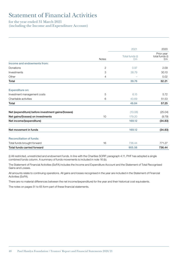# Statement of Financial Activities

#### for the year ended 31 March 2021 (including the Income and Expenditure Account)

|                                                    |       | 2021                  | 2020                                |
|----------------------------------------------------|-------|-----------------------|-------------------------------------|
|                                                    | Notes | Total funds (i)<br>£m | Prior year<br>total funds (i)<br>Em |
| Income and endowments from:                        |       |                       |                                     |
| Donations                                          | 2     | 0.97                  | 2.09                                |
| Investments                                        | 3     | 38.79                 | 30.10                               |
| Other                                              | 4     |                       | 0.02                                |
| Total                                              |       | 39.76                 | 32.21                               |
| <b>Expenditure on:</b>                             |       |                       |                                     |
| Investment management costs                        | 5     | 6.15                  | 5.72                                |
| Charitable activities                              | 6     | 43.69                 | 51.53                               |
| Total                                              |       | 49.84                 | 57.25                               |
| Net (expenditure) before investment gains/(losses) |       | (10.08)               | (25.04)                             |
| Net gains/(losses) on investments                  | 10    | 179.20                | (9.79)                              |
| Net income/(expenditure)                           |       | 169.12                | (34.83)                             |
| Net movement in funds                              |       | 169.12                | (34.83)                             |
| <b>Reconciliation of funds:</b>                    |       |                       |                                     |
| Total funds brought forward                        | 16    | 736.44                | 771.27                              |
| <b>Total funds carried forward</b>                 |       | 905.56                | 736.44                              |

(i) All restricted, unrestricted and endowment funds. In line with the Charities SORP, paragraph 4.11, PHF has adopted a single combined funds column. A summary of funds movements is included in note 16 (b).

The Statement of Financial Activities (SoFA) includes the Income and Expenditure Account and the Statement of Total Recognised Gains and Losses.

All amounts relate to continuing operations. All gains and losses recognised in the year are included in the Statement of Financial Activities (SoFA).

There are no material differences between the net income/(expenditure) for the year and their historical cost equivalents.

The notes on pages 51 to 65 form part of these financial statements.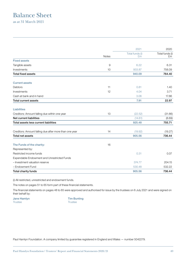# Balance Sheet

as at 31 March 2021

|                                                        |                | 2021                  | 2020                  |
|--------------------------------------------------------|----------------|-----------------------|-----------------------|
|                                                        | <b>Notes</b>   | Total funds (i)<br>£m | Total funds (i)<br>Em |
| <b>Fixed assets</b>                                    |                |                       |                       |
| Tangible assets                                        | $\overline{9}$ | 6.22                  | 6.31                  |
| Investments                                            | 10             | 933.87                | 758.09                |
| <b>Total fixed assets</b>                              |                | 940.09                | 764.40                |
| <b>Current assets</b>                                  |                |                       |                       |
| <b>Debtors</b>                                         | 11             | 0.81                  | 1.40                  |
| Investments                                            | 12             | 4.04                  | 3.71                  |
| Cash at bank and in hand                               |                | 3.06                  | 17.86                 |
| <b>Total current assets</b>                            |                | 7.91                  | 22.97                 |
| <b>Liabilities</b>                                     |                |                       |                       |
| Creditors: Amount falling due within one year          | 13             | (22.52)               | (31.66)               |
| Net current liabilities                                |                | (14.61)               | (8.69)                |
| Total assets less current liabilities                  |                | 925.48                | 755.71                |
| Creditors: Amount falling due after more than one year | 14             | (19.92)               | (19.27)               |
| <b>Total net assets</b>                                |                | 905.56                | 736.44                |
| The Funds of the charity:                              | 16             |                       |                       |
| Represented by:                                        |                |                       |                       |
| Restricted income funds                                |                | 0.31                  | 0.07                  |
| Expendable Endowment and Unrestricted Funds            |                |                       |                       |
| - Investment valuation reserve                         |                | 374.77                | 204.15                |
| - Endowment Fund                                       |                | 530.48                | 532.22                |
| Total charity funds                                    |                | 905.56                | 736.44                |

(i) All restricted, unrestricted and endowment funds.

The notes on pages 51 to 65 form part of these financial statements.

The financial statements on pages 48 to 65 were approved and authorised for issue by the trustees on 6 July 2021 and were signed on their behalf by:

Trustee Trustee

Jane Hamlyn **Tim Bunting** 

Paul Hamlyn Foundation. A company limited by guarantee registered in England and Wales — number 5042279.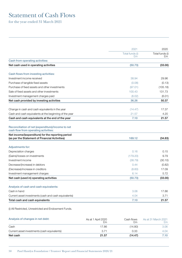# Statement of Cash Flows

for the year ended 31 March 2021

|                                                                                                     | 2021            | 2020            |
|-----------------------------------------------------------------------------------------------------|-----------------|-----------------|
|                                                                                                     | Total funds (i) | Total funds (i) |
| Cash from operating activities:                                                                     | £m              | £m              |
| Net cash used in operating activities                                                               | (50.73)         | (33.00)         |
|                                                                                                     |                 |                 |
| Cash flows from investing activities:                                                               |                 |                 |
| Investment income received                                                                          | 38.94           | 29.96           |
| Purchase of tangible fixed assets                                                                   | (0.08)          | (0.13)          |
| Purchase of fixed assets and other investments                                                      | (97.01)         | (105.18)        |
| Sale of fixed assets and other investments                                                          | 100.43          | 131.73          |
| Investment management charges paid                                                                  | (6.02)          | (6.01)          |
| Net cash provided by investing activities                                                           | 36.26           | 50.37           |
|                                                                                                     |                 |                 |
| Change in cash and cash equivalents in the year                                                     | (14.47)         | 17.37           |
| Cash and cash equivalents at the beginning of the year                                              | 21.57           | 4.20            |
| Cash and cash equivalents at the end of the year                                                    | 7.10            | 21.57           |
| Reconciliation of net (expenditure)/income to net<br>cash flow from operating activities:           |                 |                 |
| Net income/(expenditure) for the reporting period<br>(as per the Statement of Financial Activities) | 169.12          | (34.83)         |
| <b>Adjustments for:</b>                                                                             |                 |                 |
| Depreciation charges                                                                                | 0.16            | 0.15            |
| (Gains)/losses on investments                                                                       | (179.20)        | 9.79            |
| Investment income                                                                                   | (38.79)         | (30.10)         |
| Decrease/(increase) in debtors                                                                      | 0.44            | (0.82)          |
| (Decrease)/increase in creditors                                                                    | (8.60)          | 17.09           |
| Investment management charges                                                                       | 6.14            | 5.72            |
| Net cash (used in) operating activities                                                             | (50.73)         | (33.00)         |
|                                                                                                     |                 |                 |
| Analysis of cash and cash equivalents:                                                              |                 |                 |
| Cash in hand                                                                                        | 3.06            | 17.86           |
| Current asset investments (cash and cash equivalents)                                               | 4.04            | 3.71            |
| Total cash and cash equivalents                                                                     | 7.10            | 21.57           |
| (i) All Restricted, Unrestricted and Endowment Funds.                                               |                 |                 |

Analysis of changes in net debt: As at 1 April 2020 £m Cash flows £m As at 31 March 2021 £m Cash 17.86 (14.80) 3.06 Current asset investments (cash equivalents) 3.71 0.33 4.04 Net cash 21.57 (14.47) 7.10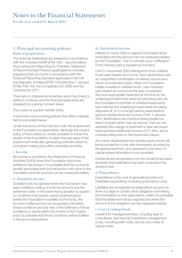# Notes to the Financial Statements

for the year ended 31 March 2021

#### 1. Principal accounting policies Basis of preparation

The financial statements are prepared in accordance with the Charities SORP (FRS 102) – second edition (Accounting and Reporting by Charities: Statement of Recommended Practice applicable for charities preparing their accounts in accordance with the Financial Reporting Standard applicable in the UK and Republic of Ireland (FRS 102) (effective 1 January 2019), FRS 102, the Companies Act 2006 and the Charities Act 2011.

There are no material uncertainties about the charity's ability to continue and the financial statements are prepared on a going-concern basis.

The charity is a public-benefit entity.

A summary of accounting policies that affect material items is provided below.

Under the terms of Paul Hamlyn's will, the endowment of the Foundation is expendable, although the current policy of the trustees is, where possible, to invest the assets of the Foundation to retain the real value of the endowment while also generating sufficient return to fund grant-making and other charitable activities.

#### i. Income

All income is included in the Statement of Financial Activities (SoFA) when the Foundation becomes entitled to the receipt, it is probable that the economic benefit associated with the transaction will come to the Foundation and the amount can be measured reliably.

#### ii. Donation income

Donations are recognised when the Foundation has been notified in writing of both the amount and the settlement date. In the event that a donation is subject to conditions that require a level of performance before the Foundation is entitled to the funds, the income is deferred and not recognised until either those conditions are fully met or the fulfilment of those conditions is wholly within the control of the Charity and it is probable that those conditions will be fulfilled in the accounting period.

#### iii. Investment income

Interest on funds held on deposit is included when receivable and the amount can be measured reliably by the Foundation. This is normally upon notification of the interest paid or payable by the bank.

Until 31 December 2020 distributions from unlisted funds were treated as income. Such distributions are an unspecified combination of interest income and return of investment asset. When the Foundation initially invested in unlisted funds, cash received was treated as income as this was considered the most appropriate treatment at the time as the underlying investments were not yet being sold. As the Foundation's portfolio of unlisted investments has matured the underlying investments are being disposed of, so it no longer seems reasonable to assume distributions are income. From 1 January 2021 distributions are therefore being treated as return of asset rather than as income. Had we not adopted this change of treatment in year we would have reported additional income of £11.34m, and a corresponding loss on the investment values.

Any future distributions from private equity funds will be accounted for in line with information provided by the general partners, and assumed to be return of capital where information is not provided.

Dividends are recognised once the dividend has been declared and notification has been received of the dividend due.

#### iv. Expenditure

Expenditure is the cost of generating funds and charitable expenditure including governance costs.

Liabilities are recognised as expenditure as soon as there is a legal or constructive obligation committing the Foundation to that expenditure, when it is probable that the settlement will be required and when the amount of the obligation can be measured reliably.

#### v. Cost of raising funds

Investment management fees, including fees to consultants, and internal investment management costs, including staff costs, are the only costs of raising funds.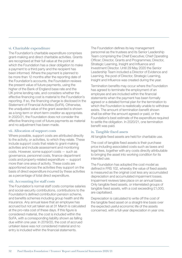#### vi. Charitable expenditure

The Foundation's charitable expenditure comprises grant-making and direct charitable activities. Grants are recognised at their full value at the point at which the Foundation has a clear obligation to make a payment to a third party and the recipient has been informed. Where the payment is planned to be more than 12 months after the reporting date of the Foundation's accounts, the Foundation reviews the present value of future payments, using the higher of the Bank of England base rate and the UK prime lending rate, and considers whether the effective financing cost is material to the Foundation's reporting. If so, the financing charge is disclosed in the Statement of Financial Activities (SoFA). Otherwise, the unadjusted value of the grant awarded is shown as a long-term or short-term creditor as appropriate. In 2020/21, the Foundation does not consider the effective financing cost of future payments as material and no adjustment has been made.

#### vii. Allocation of support costs

Where possible, support costs are attributed directly to the activity, or activities, to which they relate. These include support costs that relate to grant-making activities and include assessment and monitoring costs. However, some support costs — such as governance, personnel costs, finance-department costs and property-related expenditure — support more than one area of activity. These costs are apportioned across the activities they support on the basis of direct expenditure incurred by these activities as a percentage of total direct expenditure.

#### viii. Accounting for staff costs

The Foundation's normal staff costs comprise salaries and social-security contributions, contributions to the Foundation's defined contribution pension scheme, and benefits schemes including group health and life insurance. Any annual leave that an employee has accrued but not yet taken as at 31 March is calculated at the pro-rata cost of these days. If this figure is considered material, the cost is included within the SoFA, with a corresponding liability shown as falling due within one year. In 2019/20, the cost of accrued untaken leave was not considered material and no entry is included within the financial statements.

The Foundation defines its key management personnel as the trustees and its Senior Leadership Team comprising the Chief Executive; Chief Operating Officer; Director, Grants and Programmes; Director, Strategic Learning, Insight and Influence and Investment Director. Until 29 May 2020 the Senior Leadership Team included a Director of Evidence and Learning, the post of Director, Strategic Learning, Insight and Influence was created during the year.

Termination benefits may occur where the Foundation has agreed to terminate the employment of an employee and are included within the financial statements when the payment has been formally agreed or a detailed formal plan for the termination to which the Foundation is realistically unable to withdraw exists. The amount of termination benefit shown shall be either the amount agreed or paid, or the Foundation's best estimate of the expenditure required to settle the obligation. In 2020/21, one termination benefit was paid.

#### ix. Tangible fixed assets

All tangible fixed assets are held for charitable use.

The cost of tangible fixed assets is their purchase price including associated costs such as taxes and legal fees, together with any costs directly attributable to bringing the asset into working condition for its intended use.

The Foundation has adopted the cost model as defined in FRS 102, whereby the value of fixed assets is measured as the original cost less any accumulated depreciation and accumulated impairment losses. Impairment reviews take place on an annual basis. Only tangible fixed assets, or interrelated groups of tangible fixed assets, with a cost exceeding £1,000, are capitalised.

Depreciation is calculated to write off the cost of the tangible fixed asset on a straight-line basis over the expected useful economic life of the assets concerned, with a full-year depreciation in year one.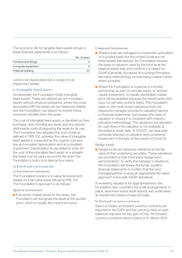The economic life for tangible fixed assets shown in these financial statements is as follows:

|                        | No. of years |
|------------------------|--------------|
| Furniture and fittings |              |
| Computer equipment     |              |
| Freehold building      |              |
|                        |              |

Land is not depreciated but is subject to an impairment review.

#### x. Intangible fixed assets

Occasionally, the Foundation holds intangible fixed assets. These are defined as non-monetary assets without physical substance, where the costs associated with the asset can be measured reliably and the Foundation can expect to receive future economic benefits from the asset.

The cost of intangible fixed assets is identified as their purchase cost including any taxes and any directly attributable costs of preparing the asset for its use. The Foundation has adopted the cost model as defined in FRS 102, whereby the value of intangible fixed assets is measured as the original cost less any accumulated depreciation and accumulated impairment. Depreciation is calculated to write off the cost of the intangible fixed asset on a straightline basis over its useful economic life which the Foundation's policy is to take as four years.

#### xi.Fixed-asset investments

#### a) Investments valuations

The Foundation's policy is to value its investment assets on a fair-value basis following FRS 102. The Foundation's approach is as follows:

#### Quoted investments

■ If an active market exists for the asset, the Foundation will recognise the asset at the quoted price, which is usually the current bid price;

Unquoted investments

- Where funds are managed by investment specialists on a pooled basis but the pooled funds are not listed assets themselves, the Foundation reviews the basis of valuation used by the fund as at the balance sheet date and confirms it is based on GAAP (Generally Accepted Accounting Principles) fair-value methodology, incorporating market values where possible;
- Where the Foundation is a partner in a limited partnership as part of a private equity or venturecapital investment, no readily identifiable market price will be available because the investments held have not yet been publicly listed. The Foundation relies on the most recent valuations from the respective manager provided in valuation reports or financial statements, but reviews the basis of valuation to ensure it is compliant with industrystandard methodology. The valuations are adjusted for cash flows if the valuation is not available at the balance sheet date. In 2020/21 we have paid particular attention to valuation and considered impairment in the light of the impact of Covid-19.

#### Hedge funds

■ Hedge funds are valued by reference to the fair value of their underlying securities. These valuations are provided by their third-party hedge-fund administrators. To verify the manager's valuations, the Foundation will review the funds' audited financial statements to confirm that the fund manager/partner is using an appropriate fair-value approach in line with GAAP standards.

In reviewing valuations for appropriateness, the Foundation also considers the audit arrangements in place, examines recent audit reports and undertakes an impairment review at least annually.

#### b) Forward currency contracts

Gains or losses on forward currency contracts are reported in the SoFA and the carrying value of cash balances adjusted for any gain or loss. No forward currency contracts were in place at 31 March 2021.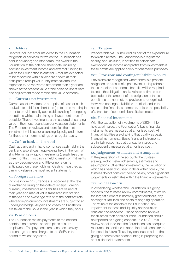#### xii. Debtors

Debtors include: amounts owed to the Foundation for goods or services for which the Foundation has paid in advance; and other amounts owed to the Foundation at the balance sheet date, including accrued investment income and external funding to which the Foundation is entitled. Amounts expected to be recovered within a year are shown at their anticipated receipt value. Any material amounts expected to be recovered after more than a year are shown at the present value at the balance-sheet date and adjustment made for the time value of money.

#### xiii. Current asset investments

Current asset investments comprise of cash or cash equivalents held for a short time (up to three months) in order to provide readily accessible funding for ongoing operations whilst maintaining an investment return if possible. These investments are measured at carrying value in the most recent bank or valuation statements. The Foundation reviews and identifies the best investment vehicles for balancing liquidity and return for these short-term holdings on a regular basis.

#### xiv. Cash at bank and in hand

Cash at bank and in hand comprises cash held in the bank and also all cash equivalents held in the form of short-term highly liquid investments (usually less than three months). This cash is held to meet commitments as they become due and little or no return is anticipated on these holdings. Cash is measured at carrying value in the most recent statement.

#### xv. Foreign currencies

Income in foreign currencies is recorded at the rate of exchange ruling on the date of receipt. Foreigncurrency investments and liabilities are valued at their year-end market value translated into sterling at the year-end exchange rate or at the contract rate where foreign-currency investments are subject to an underlying hedge. All gains or losses on translation are taken to the SoFA in the year in which they occur.

#### xvi. Pension costs

The Foundation makes payments to the defined contribution personal pension plans of all its employees. The payments are based on a salary percentage and are charged to the SoFA in the period to which they relate.

#### xvii. Taxation

Irrecoverable VAT is included as part of the expenditure to which it relates. The Foundation is a registered charity, and, as such, is entitled to certain tax exemptions on income and profits from investments if these profits are applied solely for charitable purposes.

#### xviii. Provisions and contingent liabilities policy

Provisions are recognised where there is a present obligation as a result of a past event, if it is probable that a transfer of economic benefits will be required to settle the obligation and a reliable estimate can be made of the amount of the obligation. If these conditions are not met, no provision is recognised. However, contingent liabilities are disclosed in the notes to the financial statements, unless the possibility of a transfer of economic benefits is remote.

#### xix. Financial instruments

With the exception of investments of £934 million held at fair value, the Foundation's basic financial instruments are measured at amortised cost. All financial liabilities are of a kind that qualify as basic financial instruments. Basic financial instruments are initially recognised at transaction value and subsequently measured at amortised cost.

#### xx. Judgements, estimates and assumptions

In the preparation of the accounts the trustees are required to make judgements, estimates and assumptions. Other than investments, the valuation of which has been discussed in detail within note xi, the trustees do not consider there to be any other significant judgements or estimates within the financial statements.

#### xxi. Going Concern

In considering whether the Foundation is a going concern, the trustees review commitments, of which the largest element is normally grant creditors, any contingent liabilities and costs of ongoing operation. The value of the assets of the Foundation, any impairment to these and liquidity and valuation risks are also reviewed. Based on these reviews the trustees then consider if the Foundation should be reported as a going concern. In 2020/21 this review concluded that the Foundation has adequate resources to continue in operational existence for the foreseeable future. Thus they continue to adopt the going concern basis of accounting in preparing the annual financial statements.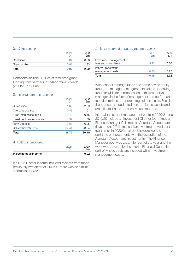#### 2. Donations

|               | 2021<br>Fm | 2020<br>£m |
|---------------|------------|------------|
| Donations     | 0.04       | 0.26       |
| Grant funding | 0.93       | 1.83       |
| Total         | 0.97       | 2.09       |

Donations include £0.96m of restricted grant funding from partners in collaborative projects (2019/20: £1.83m).

#### 3. Investment income

| Total                     | 38.79      | 30.10      |
|---------------------------|------------|------------|
| Unlisted investments      | 34.44      | 23.64      |
| <b>Term Deposits</b>      | 0.03       | 0.05       |
| Investment property funds | 1.39       | 1.66       |
| Fixed interest securities | 0.48       | 0.45       |
| Overseas equities         | 0.83       | 1.61       |
| UK equities               | 1.62       | 2.69       |
|                           | 2021<br>£m | 2020<br>£m |

#### 4. Other income

| Miscellaneous income | $\sim$ | 0.02   |
|----------------------|--------|--------|
|                      |        | $\sim$ |

In 2019/20 other income included receipts from funds previously written off of £14,792, there was no similar income in 2020/21.

#### 5. Investment management costs

| Total                 | 6.15       | 5.72       |
|-----------------------|------------|------------|
| management costs      | 0.23       | 0.22       |
| Internal investment   |            |            |
| fees and consultancy  | 5.92       | 5.50       |
| Investment management |            |            |
|                       | 2021<br>ዮm | 2020<br>ዮm |

With respect to hedge funds and some private equity funds, the management agreements of the underlying funds provide for compensation to the respective managers in the form of management and performance fees determined as a percentage of net assets. Fees in these cases are deducted from the funds' assets and are reflected in the net asset values reported.

Internal investment management costs in 2020/21 and 2019/20 include an Investment Director (part time), a Finance Manager (full time), an Assistant Accountant (Investments) (full time) and an Investments Assistant (part time). In 2020/21, all post holders worked part time on investments with the exception of the Assistant Accountant (Investments). The Finance Manager post was vacant for part of the year and the work was covered by the Interim Financial Controller, part of whose costs are included within investment management costs.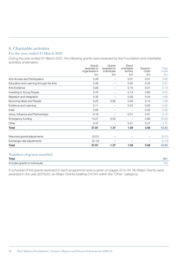#### 6. Charitable activities For the year ended 31 March 2021

During the year ended 31 March 2021, the following grants were awarded by the Foundation and charitable activities undertaken:

|                                         | Grants<br>awarded to<br>organisations<br>£m | Grants<br>awarded to<br>individuals<br>£m | <b>Direct</b><br>charitable<br>activity<br>£m | Support<br>costs<br>£m | Total<br>costs<br>£m |
|-----------------------------------------|---------------------------------------------|-------------------------------------------|-----------------------------------------------|------------------------|----------------------|
| Arts Access and Participation           | 3.28                                        |                                           | 0.01                                          | 0.51                   | 3.80                 |
| Education and Learning through the Arts | 2.48                                        | —                                         | 0.05                                          | 0.34                   | 2.87                 |
| Arts Evidence                           | 0.08                                        | $\overline{\phantom{0}}$                  | 0.10                                          | 0.01                   | 0.19                 |
| Investing in Young People               | 5.76                                        | —                                         | 0.14                                          | 0.60                   | 6.50                 |
| Migration and Integration               | 4.35                                        | —                                         | 0.09                                          | 0.44                   | 4.88                 |
| Nurturing Ideas and People              | 0.25                                        | 0.85                                      | 0.45                                          | 0.14                   | 1.69                 |
| Evidence and Learning                   | 0.11                                        |                                           | 0.23                                          | 0.02                   | 0.36                 |
| India                                   | 2.60                                        | $\overline{\phantom{0}}$                  |                                               | 0.32                   | 2.92                 |
| Voice, Influence and Partnerships       | 0.16                                        | —                                         | 0.01                                          | 0.01                   | 0.18                 |
| Emergency funding                       | 14.27                                       | 0.52                                      |                                               | 0.90                   | 15.69                |
| Other                                   | 4.47                                        |                                           | 0.01                                          | 0.27                   | 4.75                 |
| Total                                   | 37.81                                       | 1.37                                      | 1.09                                          | 3.56                   | 43.83                |
| Returned grants/adjustments             | (0.01)                                      |                                           |                                               |                        | (0.01)               |
| Exchange-rate adjustments               | (0.13)                                      | $\overline{\phantom{0}}$                  |                                               |                        | (0.13)               |
| Total                                   | 37.67                                       | 1.37                                      | 1.09                                          | 3.56                   | 43.69                |
| Numbers of grants awarded               |                                             |                                           |                                               |                        |                      |

| Total                          | nn  |
|--------------------------------|-----|
| .                              | ັບ∠ |
| Includes grants to individuals |     |

A schedule of the grants awarded in each programme area is given on pages 25 to 44. No Major Grants were awarded in the year (2019/20: six Major Grants totalling £14.5m within the 'Other' category).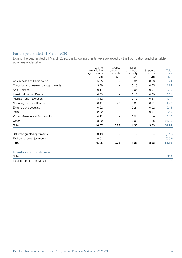#### For the year ended 31 March 2020

During the year ended 31 March 2020, the following grants were awarded by the Foundation and charitable activities undertaken:

| Grants<br>awarded to<br>organisations | Grants<br>awarded to<br>individuals | <b>Direct</b><br>charitable<br>activity | Support<br>costs | Total<br>costs |
|---------------------------------------|-------------------------------------|-----------------------------------------|------------------|----------------|
|                                       |                                     | £m                                      |                  | £m             |
| 5.65                                  |                                     | 0.01                                    | 0.58             | 6.24           |
| 3.79                                  |                                     | 0.10                                    | 0.35             | 4.24           |
| 0.14                                  |                                     | 0.05                                    | 0.01             | 0.20           |
| 6.83                                  |                                     | 0.18                                    | 0.60             | 7.61           |
| 3.62                                  |                                     | 0.12                                    | 0.37             | 4.11           |
| 0.41                                  | 0.78                                | 0.63                                    | 0.11             | 1.93           |
| 0.22                                  |                                     | 0.21                                    | 0.02             | 0.45           |
| 2.29                                  |                                     |                                         | 0.31             | 2.60           |
| 0.12                                  |                                     | 0.04                                    |                  | 0.16           |
| 23.00                                 |                                     | 0.02                                    | 1.18             | 24.20          |
| 46.07                                 | 0.78                                | 1.36                                    | 3.53             | 51.74          |
| (0.19)                                |                                     |                                         |                  | (0.19)         |
| (0.02)                                |                                     |                                         |                  | (0.02)         |
| 45.86                                 | 0.78                                | 1.36                                    | 3.53             | 51.53          |
|                                       | £m                                  | £m                                      |                  | £m             |

#### Numbers of grants awarded

| Total                          | 365 |
|--------------------------------|-----|
| Includes grants to individuals |     |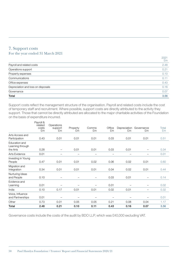#### 7. Support costs For the year ended 31 March 2021

|                                    | 2021<br>£m |
|------------------------------------|------------|
| Payroll and related costs          | 2.48       |
| Operations support                 | 0.21       |
| Property expenses                  | 0.10       |
| Communications                     | 0.11       |
| Office expenses                    | 0.43       |
| Depreciation and loss on disposals | 0.16       |
| Governance                         | 0.07       |
| Total                              | 3.56       |

Support costs reflect the management structure of the organisation. Payroll and related costs include the cost of temporary staff and recruitment. Where possible, support costs are directly attributed to the activity they support. Those that cannot be directly attributed are allocated to the major charitable activities of the Foundation on the basis of expenditure incurred.

|                                               | Payroll &<br>related<br>costs<br>£m | Operations<br>support<br>£m | Property<br>£m           | Comms<br>£m              | Office<br>£m                    | Depreciation Governance<br>£m | £m                              | Total<br>£m |
|-----------------------------------------------|-------------------------------------|-----------------------------|--------------------------|--------------------------|---------------------------------|-------------------------------|---------------------------------|-------------|
| Arts Access and<br>Participation              | 0.43                                | 0.01                        | 0.01                     | 0.01                     | 0.03                            | 0.01                          | 0.01                            | 0.51        |
| Education and<br>Learning through<br>the Arts | 0.28                                |                             | 0.01                     | 0.01                     | 0.03                            | 0.01                          |                                 | 0.34        |
| Arts Evidence                                 | 0.01                                | $\overline{\phantom{0}}$    |                          |                          | $\overbrace{\phantom{1232211}}$ | $\overline{\phantom{0}}$      |                                 | 0.01        |
| Investing in Young<br>People                  | 0.47                                | 0.01                        | 0.01                     | 0.02                     | 0.06                            | 0.02                          | 0.01                            | 0.60        |
| Migration and<br>Integration                  | 0.34                                | 0.01                        | 0.01                     | 0.01                     | 0.04                            | 0.02                          | 0.01                            | 0.44        |
| Nurturing Ideas<br>and People                 | 0.10                                | $\overline{\phantom{m}}$    | $\overline{\phantom{m}}$ | $\overline{\phantom{m}}$ | 0.03                            | 0.01                          | $\overbrace{\phantom{1232211}}$ | 0.14        |
| Evidence and<br>Learning                      | 0.01                                | $\overline{\phantom{0}}$    |                          |                          | 0.01                            |                               |                                 | 0.02        |
| India                                         | 0.10                                | 0.17                        | 0.01                     | 0.01                     | 0.02                            | 0.01                          | $\overbrace{\phantom{1232211}}$ | 0.32        |
| Voice, Influence<br>and Partnerships          | 0.01                                |                             | $\qquad \qquad -$        |                          |                                 |                               |                                 | 0.01        |
| Other                                         | 0.73                                | 0.01                        | 0.05                     | 0.05                     | 0.21                            | 0.08                          | 0.04                            | 1.17        |
| Total                                         | 2.48                                | 0.21                        | 0.10                     | 0.11                     | 0.43                            | 0.16                          | 0.07                            | 3.56        |

Governance costs include the costs of the audit by BDO LLP, which was £40,000 excluding VAT.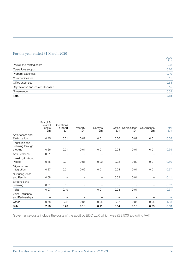#### For the year ended 31 March 2020

| Total                              | 3.53       |
|------------------------------------|------------|
| Governance                         | 0.09       |
| Depreciation and loss on disposals | 0.15       |
| Office expenses                    | 0.54       |
| Communications                     | 0.11       |
| Property expenses                  | 0.10       |
| Operations support                 | 0.26       |
| Payroll and related costs          | 2.28       |
|                                    | 2020<br>£m |

|                                      | Payroll &<br>related | Operations    |                          |                          |                          |                          |                          |             |
|--------------------------------------|----------------------|---------------|--------------------------|--------------------------|--------------------------|--------------------------|--------------------------|-------------|
|                                      | costs<br>£m          | support<br>£m | Property<br>£m           | Comms<br>£m              | Office<br>£m             | Depreciation<br>£m       | Governance<br>£m         | Total<br>£m |
| Arts Access and<br>Participation     | 0.45                 | 0.01          | 0.02                     | 0.01                     | 0.06                     | 0.02                     | 0.01                     | 0.58        |
| Education and<br>Learning through    |                      |               |                          |                          |                          |                          |                          |             |
| the Arts                             | 0.26                 | 0.01          | 0.01                     | 0.01                     | 0.04                     | 0.01                     | 0.01                     | 0.35        |
| Arts Evidence                        | 0.01                 | —             | $\overline{\phantom{0}}$ | $\overline{\phantom{0}}$ | $\overline{\phantom{0}}$ | $\overline{\phantom{0}}$ |                          | 0.01        |
| Investing in Young<br>People         | 0.45                 | 0.01          | 0.01                     | 0.02                     | 0.08                     | 0.02                     | 0.01                     | 0.60        |
| Migration and<br>Integration         | 0.27                 | 0.01          | 0.02                     | 0.01                     | 0.04                     | 0.01                     | 0.01                     | 0.37        |
| Nurturing Ideas<br>and People        | 0.08                 |               |                          | —                        | 0.02                     | 0.01                     |                          | 0.11        |
| Evidence and<br>Learning             | 0.01                 | 0.01          |                          |                          |                          |                          |                          | 0.02        |
| India                                | 0.07                 | 0.19          | —                        | 0.01                     | 0.03                     | 0.01                     | $\overline{\phantom{m}}$ | 0.31        |
| Voice, Influence<br>and Partnerships |                      |               |                          |                          |                          |                          |                          |             |
| Other                                | 0.68                 | 0.02          | 0.04                     | 0.05                     | 0.27                     | 0.07                     | 0.05                     | 1.18        |
| Total                                | 2.28                 | 0.26          | 0.10                     | 0.11                     | 0.54                     | 0.15                     | 0.09                     | 3.53        |

Governance costs include the costs of the audit by BDO LLP, which was £33,500 excluding VAT.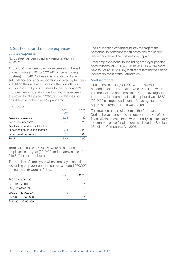#### 8. Staff costs and trustee expenses Trustee expenses

No trustee has been paid any remuneration in 2020/21.

A total of £4 has been paid for expenses on behalf of one trustee (2019/20: £22,243 on behalf of eight trustees). In 2019/20 these costs related to travel, subsistence and accommodation incurred by trustees in fulfilling their role as trustees of the Foundation, including a visit by four trustees to the Foundation's programme in India. A similar trip would have been expected to take place in 2020/21 but this was not possible due to the Covid-19 pandemic.

#### Staff costs

|                                                                    | 2021<br>Fm | 2020<br>ዮm |
|--------------------------------------------------------------------|------------|------------|
| Wages and salaries                                                 | 2.04       | 1.89       |
| Social security costs                                              | 0.22       | Ი.2Ი       |
| Employer's pension contribution<br>to defined contribution schemes | 0.24       | 0.23       |
| Other benefit schemes                                              | 0.13       | 0.08       |
| Total                                                              | 2.63       | 2.40       |

Termination costs of £30,050 were paid to one employee in the year (2019/20: redundancy costs of £19,847 to one employee).

The number of employees whose employee benefits (excluding employer pension costs) exceeded £60,000 during the year were as follows:

|                     | 2021 | 2020 |
|---------------------|------|------|
| $£60,000 - £70,000$ | 2    |      |
| $£70,001 - £80,000$ |      |      |
| $£80,001 - £90,000$ |      |      |
| £90,001 - £100,000  | 2    |      |
| £130,001 - £140,000 |      |      |
| £140,001 - £150,000 |      |      |

The Foundation considers its key management personnel to comprise the trustees and the senior leadership team. The trustees are unpaid.

Total employee benefits (including employer pension contributions) of £566,466 (2019/20: £654,214) were paid to five (2019/20: six) staff representing the senior leadership team of the Foundation.

#### Staff numbers

During the financial year 2020/21 the average headcount of the Foundation was 47 split between full time (33) and part time staff (14). The average full time equivalent number of staff employed was 43.82 (2019/20 average headcount: 45, average full time equivalent number of staff was 42.18).

The trustees are the directors of the Company. During the year and up to the date of approval of the financial statements, there was a qualifying third-party indemnity in place for directors as allowed by Section 234 of the Companies Act 2006.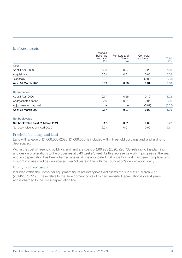#### 9. Fixed assets

|                                    | Freehold<br>buildings<br>and land<br>£m | Furniture and<br>fittings<br>£m | Computer<br>equipment<br>£m | Total<br>£m |
|------------------------------------|-----------------------------------------|---------------------------------|-----------------------------|-------------|
| Cost                               |                                         |                                 |                             |             |
| As at 1 April 2020                 | 6.98                                    | 0.27                            | 0.28                        | 7.53        |
| Acquisitions                       | 0.01                                    | 0.01                            | 0.06                        | 0.08        |
| <b>Disposals</b>                   | $\qquad \qquad -$                       |                                 | (0.03)                      | (0.03)      |
| As at 31 March 2021                | 6.99                                    | 0.28                            | 0.31                        | 7.58        |
| <b>Depreciation</b>                |                                         |                                 |                             |             |
| As at 1 April 2020                 | 0.77                                    | 0.26                            | 0.19                        | 1.22        |
| Charge for the period              | 0.10                                    | 0.01                            | 0.05                        | 0.16        |
| Adjustment on disposal             |                                         |                                 | (0.02)                      | (0.02)      |
| As at 31 March 2021                | 0.87                                    | 0.27                            | 0.22                        | 1.36        |
| Net book value                     |                                         |                                 |                             |             |
| Net book value as at 31 March 2021 | 6.12                                    | 0.01                            | 0.09                        | 6.22        |
| Net book value as at 1 April 2020  | 6.21                                    | 0.01                            | 0.09                        | 6.31        |

#### Freehold buildings and land

Land with a value of £1,666,000 (2020: £1,666,000) is included within Freehold buildings and land and is not depreciated.

Within the cost of Freehold buildings and land are costs of £96,933 (2020: £96,733) relating to the planning and design of alterations to the properties at 5-13 Leeke Street. As this represents work in progress at the year end, no depreciation has been charged against it. It is anticipated that once this work has been completed and brought into use it will be depreciated over 50 years in line with the Foundation's depreciation policy.

#### Intangible fixed assets

Included within the Computer equipment figure are intangible fixed assets of £6,729 at 31 March 2021 (2019/20: £7,919). These relate to the development costs of its new website. Depreciation is over 4 years and is charged to the SoFA depreciation line.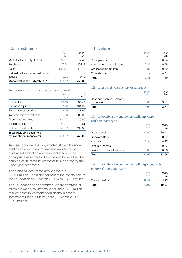#### 10. Investments

| Market value at 31 March 2021      | 933.87     | 758.09     |
|------------------------------------|------------|------------|
| (losses)                           | 179.20     | (9.79)     |
| Net realised and unrealised gains/ |            |            |
| Sales                              | (100.43)   | (131.73)   |
| Purchases                          | 97.01      | 105.18     |
| Market value at 1 April 2020       | 758.09     | 794.43     |
|                                    | 2021<br>£m | 2020<br>£m |

#### Investments at market value comprised:

|                                                       | 2021<br>F <sub>m</sub> | 2020<br>£m |
|-------------------------------------------------------|------------------------|------------|
| UK equities                                           | 83.65                  | 63.26      |
| Overseas equities                                     | 207.76                 | 164.98     |
| Fixed-interest securities                             | 53.65                  | 47.69      |
| Investment property funds                             | 31.50                  | 32.03      |
| Alternative securities                                | 220.27                 | 170.50     |
| Term deposits                                         | 61.47                  | 79.81      |
| Unlisted investments                                  | 275.57                 | 199.82     |
| Total (including cash held<br>by investment managers) | 933.87                 | 758.09     |

Trustees consider that any incidental cash balance held by an investment manager is an integral part of its asset allocation and have included it in the appropriate asset class. The trustees believe that the carrying value of the investments is supported by their underlying net assets.

The historical cost of the above assets is £559.1 million. The historical cost of the assets held by the Foundation at 31 March 2020 was £553.9 million.

The Foundation has committed, where contractual terms are made, to undertake a further £47.2 million of fixed asset investment acquisitions in private investment funds in future years (31 March 2020: £67.8 million).

#### 11. Debtors

|                           | 2021<br>fm | 2020<br>ዮm |
|---------------------------|------------|------------|
| Prepayments               | 0.19       | 0.24       |
| Accrued investment income | 0.31       | 0.46       |
| Other accrued income      | 0.31       | 0.69       |
| Other debtors             |            | 0.01       |
| Total                     | 0.81       | 1.40       |

#### 12. Current assets investments

|                           | 2021<br>۴m | 2020<br>ξm |
|---------------------------|------------|------------|
| Cash and cash equivalents |            |            |
| on deposit                | 4.04       | 371        |
| Total                     | 4.04       | 3.71       |

#### 13. Creditors – amount falling due within one year

| Total                        | 22.52         | 31.66      |
|------------------------------|---------------|------------|
| Taxation and social security | 0.06          | 0.06       |
| Deferred income              |               | 0.43       |
| Accruals                     | 0.34          | 0.17       |
| Trade creditors              | 0.12          | 0.29       |
| Grants payable               | 22.00         | 30.71      |
|                              | 2021<br>\$m\$ | 2020<br>£m |

#### 14. Creditors – amount falling due after more than one year

|                | 2021<br>fm | 2020<br>$\mathsf{Fm}$ |
|----------------|------------|-----------------------|
| Grants payable | 19.92      | 19.27                 |
| Total          | 19.92      | 19.27                 |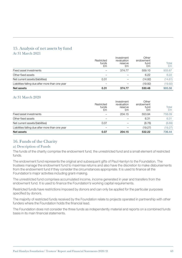#### 15. Analysis of net assets by fund At 31 March 2021

| Net assets                                       | 0.31                      | 374.77                                     | 530.48                           | 905.56      |
|--------------------------------------------------|---------------------------|--------------------------------------------|----------------------------------|-------------|
| Liabilities falling due after more than one year |                           |                                            | (19.92)                          | (19.92)     |
| Net current assets/(liabilities)                 | 0.31                      |                                            | (14.92)                          | (14.61)     |
| Other fixed assets                               |                           |                                            | 6.22                             | 6.22        |
| Fixed asset investments                          |                           | 374.77                                     | 559.10                           | 933.87      |
|                                                  | Restricted<br>funds<br>£m | Investment<br>revaluation<br>reserve<br>£m | Other<br>endowment<br>fund<br>£m | Total<br>£m |

#### At 31 March 2020

|                                                  | Restricted<br>funds<br>£m | Investment<br>revaluation<br>reserve<br>£m | Other<br>endowment<br>fund<br>£m | Total<br>£m |
|--------------------------------------------------|---------------------------|--------------------------------------------|----------------------------------|-------------|
| Fixed asset investments                          |                           | 204.15                                     | 553.94                           | 758.09      |
| Other fixed assets                               |                           |                                            | 6.31                             | 6.31        |
| Net current assets/(liabilities)                 | 0.07                      |                                            | (8.76)                           | (8.69)      |
| Liabilities falling due after more than one year |                           |                                            | (19.27)                          | (19.27)     |
| Net assets                                       | 0.07                      | 204.15                                     | 532.22                           | 736.44      |

#### 16. Funds of the Charity

#### a) Description of Funds

The funds of the charity comprise the endowment fund, the unrestricted fund and a small element of restricted funds.

The endowment fund represents the original and subsequent gifts of Paul Hamlyn to the Foundation. The trustees manage the endowment fund to maximise returns and also have the discretion to make disbursements from the endowment fund if they consider the circumstances appropriate. It is used to finance all the Foundation's major activities including grant-making.

The unrestricted fund comprises accumulated income, income generated in year and transfers from the endowment fund. It is used to finance the Foundation's working capital requirements.

Restricted funds have restrictions imposed by donors and can only be applied for the particular purposes specified by donors.

The majority of restricted funds received by the Foundation relate to projects operated in partnership with other funders where the Foundation holds the financial lead.

The Foundation does not consider the three funds as independently material and reports on a combined funds basis in its main financial statements.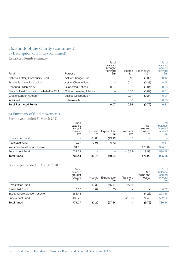# 16. Funds of the charity (continued)

#### a) Description of Funds (continued)

Restricted Funds summary

| Fund                                       | Purpose                           | Fund<br>balances<br>brought<br>forward<br>£m | Income<br>£m | Expenditure<br>£m | <b>Fund</b><br>balances<br>carried<br>forward<br>£m |
|--------------------------------------------|-----------------------------------|----------------------------------------------|--------------|-------------------|-----------------------------------------------------|
| National Lottery Community Fund            | Act for Change Fund               |                                              | 0.18         | (0.06)            | 0.12                                                |
| Esmée Fairbairn Foundation                 | Act for Change Fund               |                                              | 0.41         | (0.33)            | 0.08                                                |
| Unbound Philanthropy                       | Supported Options                 | 0.07                                         |              | (0.04)            | 0.03                                                |
| Clore Duffield Foundation on behalf of CLA | <b>Cultural Learning Alliance</b> |                                              | 0.03         | (0.02)            | 0.01                                                |
| Greater London Authority                   | Justice Collaboration             |                                              | 0.31         | (0.27)            | 0.04                                                |
| Individual                                 | India awards                      |                                              | 0.03         |                   | 0.03                                                |
| <b>Total Restricted Funds</b>              |                                   | 0.07                                         | 0.96         | (0.72)            | 0.31                                                |

#### b) Summary of fund movements

For the year ended 31 March 2021

|                                | Fund<br>balance<br>brought<br>forward<br>£m | Income<br>£m | Expenditure<br>£m | <b>Transfers</b><br>£m | <b>Net</b><br>gains and<br>losses<br>£m | Fund<br>balance<br>carried<br>forward<br>£m |
|--------------------------------|---------------------------------------------|--------------|-------------------|------------------------|-----------------------------------------|---------------------------------------------|
| Unrestricted Fund              |                                             | 38.80        | (49.12)           | 10.32                  |                                         |                                             |
| <b>Restricted Fund</b>         | 0.07                                        | 0.96         | (0.72)            |                        |                                         | 0.31                                        |
| Investment revaluation reserve | 204.15                                      |              |                   |                        | 170.62                                  | 374.77                                      |
| Endowment Fund                 | 532.22                                      |              |                   | (10.32)                | 8.58                                    | 530.48                                      |
| <b>Total funds</b>             | 736.44                                      | 39.76        | (49.84)           |                        | 179.20                                  | 905.56                                      |

For the year ended 31 March 2020

|                                | Fund<br>balance<br>brought<br>forward<br>£m | Income<br>£m | Expenditure<br>£m | <b>Transfers</b><br>£m | <b>Net</b><br>gains and<br>losses<br>£m | <b>Fund</b><br>balance<br>carried<br>forward<br>£m |
|--------------------------------|---------------------------------------------|--------------|-------------------|------------------------|-----------------------------------------|----------------------------------------------------|
| Unrestricted Fund              |                                             | 30.38        | (55.44)           | 25.06                  |                                         |                                                    |
| <b>Restricted Fund</b>         | 0.05                                        | 1.82         | (1.80)            |                        |                                         | 0.07                                               |
| Investment revaluation reserve | 288.43                                      |              |                   |                        | (84.28)                                 | 204.15                                             |
| Endowment Fund                 | 482.79                                      |              |                   | (25.06)                | 74.49                                   | 532.22                                             |
| <b>Total funds</b>             | 771.27                                      | 32.20        | (57.24)           |                        | (9.79)                                  | 736.44                                             |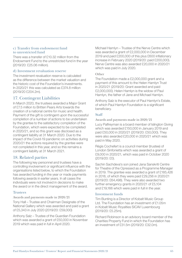#### c) Transfer from endowment fund to unrestricted fund

There was a transfer of £10.32 million from the Endowment Fund to the unrestricted fund in the year (2019/20: £25.06 million).

#### d) Investment revaluation reserve

The investment revaluation reserve is calculated as the difference between the market valuation and the historic cost of the Foundation's investments. In 2020/21 this was calculated as £374.8 million (2019/20 £204.2m).

#### 17. Contingent Liabilities

In March 2020, the trustees awarded a Major Grant of £7.5 million to Britten Pears Arts towards the creation of a national centre for music and health. Payment of the gift is contingent upon the successful completion of a number of actions to be undertaken by the grantee to the satisfactory completion of the Foundation, which were expected to be completed in 2020/21, and so this grant was disclosed as a contingent liability at 31 March 2020. Due to the impact of the Covid-19 pandemic on activities during 2020/21 the actions required by the grantee were not completed in this year, and so this remains a contingent liability at 31 March 2021.

#### 18. Related parties

The following key personnel and trustees have a controlling involvement or significant influence with the organisations listed below, to which the Foundation has awarded funding in the year or made payments following awards in earlier years. In all cases the individuals were not involved in decisions to make the award or in the direct management of the award.

#### **Trustees**

Awards and payments made in 2020/21

Tony Hall – Trustee and Chairman Designate of the National Gallery which was awarded and paid a grant of £5,343 in July 2020 (2019/20: £59,000)

Anthony Salz – Trustee of the Guardian Foundation which was awarded a grant of £50,000 in November 2019 which was paid in full in April 2020.

Michael Hamlyn – Trustee of the Nerve Centre which was awarded a grant of £2,000,000 in December 2019 and paid £200,000 of this plus £600 inflationary increase in February 2020 (2019/20: paid £200,000). Nerve Centre was also awarded £20,000 in 2020/21 which was paid in July 2020.

#### **Other**

The Foundation made a £2,000,000 grant and a payment of this amount to the Helen Hamlyn Trust in 2020/21 (2019/20: Grant awarded and paid £2,000,000). Helen Hamlyn is the widow of Paul Hamlyn, the father of Jane and Michael Hamlyn.

Anthony Salz is the executor of Paul Hamlyn's Estate, of which Paul Hamlyn Foundation is a significant beneficiary.

#### **Staff**

Awards and payments made in 2020/21

Lucy Palfreyman is a board member of Islington Giving which was awarded £150,000 in January 2019 and paid £50,000 in 2020/21 (2019/20: £50,000). They were also awarded £20,000 in 2020/21 which was paid in May 2020.

Régis Cochefert is a council member (trustee) of London Sinfonietta which was awarded a grant of £9,000 in 2020/21, which was paid in October 2020 (2019/20: £0).

Sachin Sachdeva's son joined Jana Sanskriti Centre for Theatre of the Opressed as a Programme Manager in 2019. The grantee was awarded a grant of £185,426 in 2018, of which they were paid £29,256 in 2020/21 (2019/20: £64,498). They were also awarded two further emergency grants in 2020/21 of £5,104 and £19,166 which were paid in full in the year.

#### Investment funds

Tim Bunting is a Director of Kobalt Music Group Ltd. The Foundation has an investment of £1.05m in Kobalt Music Royalties SICAV Luxembourg (2019/20: £5.25m).

Richard Robinson is an advisory board member of the Charities Property Fund in which the Foundation has an investment of £31.5m (2019/20: £32.0m).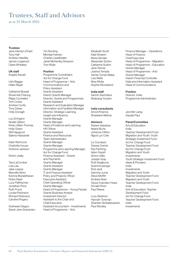# Trustees, Staff and Advisors

as at 31 March 2021

#### **Trustees**

Jane Hamlyn (Chair) Tim Bunting Tony Hall **Michael Hamlyn** Andrew Headley Charles Leadbeater Claire Whitaker Tom Wylie

UK staff **Position** 

Tom Cowie Grants Assistant

Lou Errington Grants Manager Noelle Gilbert Grants Manager Holly Green HR Officer Will Hapgood Grants Assistant

Charlotte House Grants Manager

Tara LaComber Grants Manager Lisa Lee Grants Assistant Jake Leeper Grants Manager Robin Nash **Executive Assistant**<br>
Lucy Palfreyman **Executive Chief Operating Offi** Jonathan Price Grants Manager Richard Robinson Investment Director

Sarah Jane Scaranaro Head of Programme – Arts

James Lingwood Janet McKenley Simpson

Angela Awuah Programme Coordinator, Act for Change Fund Ushi Bagga Head of Programme – Arts Helen Bayer **Communications** and Policy Assistant Catherine Bowell **Grants** Assistant Shuet-Kei Cheung Interim Grants Manager Régis Cochefert Director, Grants and Programmes Andrew Curtis **Research and Evaluation Manager** Tony Davey **Information and Facilities Manager** Holly Donagh Director, Strategic Learning, Insight and Influence Kirsty Gillan-Thomas Head of Evidence and Learning Sakina Hassanali Finance and Resources Team Administrator Kate Hitchcock Grants Manager Vivienne Jackson Programme and Learning Manager, Act for Change Fund Rohini Jhally Finance Assistant – Grants and Payments Marcello Moro IT and Finance Assistant<br>
Kamna Muralidharan Policy and Proiects Office Policy and Projects Officer **Chief Operating Officer** Ruth Pryce Head of Programme – Young People Louisa Robinson Grants Business Analyst Caroline Rogers **Assistant to the Chair and** Chief Executive Sukhwant Sagoo Assistant Accountant – Investments

Kate Sheerin Head of Finance Moira Sinclair Chief Executive Jane Tanner Grants Manager Yemisi Turner-Blake Grants Manager

India staff **Position** Sachin Sachdeva **Director, India** 

#### India consultants

Amod Khanna Jennifer Laing Shwetank Mishra Gazala Paul

Robert Adediran **Arts & Education** Neera Burra **India** 

Simon Gillis **Investments** Ruth Ibegbuna Ideas & Pioneers Sushma Iyengar **India** Rod Jack Investments Donald Peck India

Lucy Skelhorn Act for Change Fund Shankar Venkateswaran India Paul Woolley **Investments** 

Elizabeth Scott Finance Manager – Operations Alexander Sutton Head of Programme – Migration Catherine Sutton Head of Programme – Education Joanna Temple Head of Programme – Arts Lois Wells **Interim Financial Controller** Nina White Data and Information Assistant Sophie Woodward Head of Communications

Skalzang Youdon Programme Administrator

#### Advisors Panel/Committee

Johanne Clifton Teacher Development Fund Ngozi Lyn Cole Migration and Youth; Youth Strategic Investment Fund Liv Cornibert Act for Change Fund Teresa Cremin Teacher Development Fund Rys Farthing **Act for Change Fund**<br> **Islam Fessih** Migration and Youth Migration and Youth Joseph Gray Youth Strategic Investment Fund Gemma Juma **Migration and Youth**<br>Steve Moffitt **Container Container Teacher Development** Teacher Development Fund Andrew Noel Migration and Youth<br>Tanya Ovenden-Hope Teacher Developmer Teacher Development Fund Paul Reeve **Arts & Education**; Teacher Development Fund Hannah Tyreman Teacher Development Fund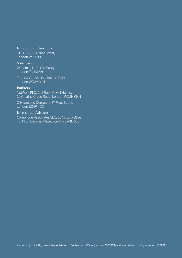#### Independent Auditors

BDO LLP, 55 Baker Street, London W1U 7EU

**Solicitors** Withers LLP, 20 Old Bailey, London EC4M 7AN

Farrer & Co, 66 Lincoln's Inn Fields, London WC2A 3LH

#### Bankers

NatWest PLC, 3rd Floor, Cavell House, 2a Charing Cross Road, London WC2H 0NN

C Hoare and Company, 37 Fleet Street, London EC4P 4DQ

#### Investment Advisers

Cambridge Associates LLC, 80 Victoria Street, 4th Floor Cardinal Place, London SW1E 5JL